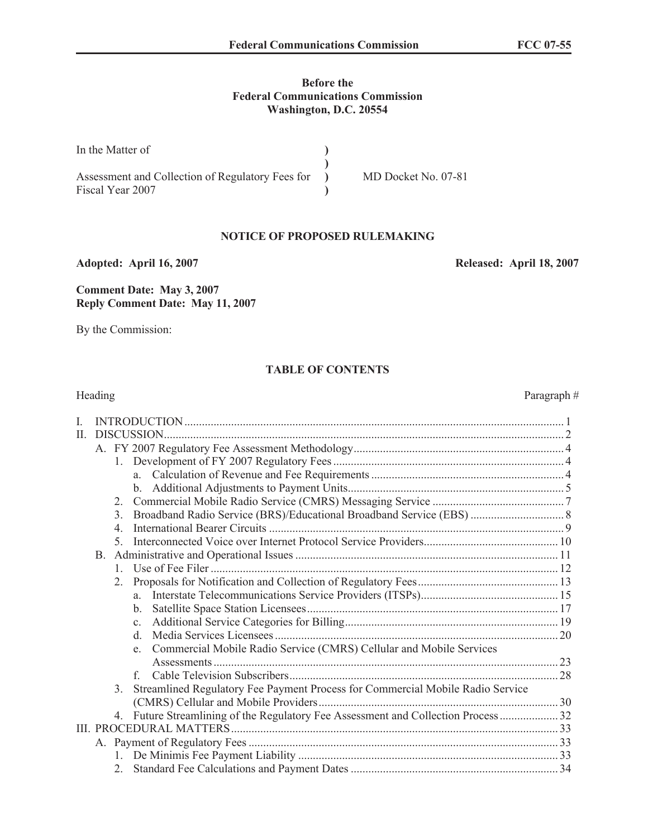### **Before the Federal Communications Commission Washington, D.C. 20554**

| In the Matter of                                                     |                     |
|----------------------------------------------------------------------|---------------------|
| Assessment and Collection of Regulatory Fees for<br>Fiscal Year 2007 | MD Docket No. 07-81 |

#### **NOTICE OF PROPOSED RULEMAKING**

**Adopted: April 16, 2007 Released: April 18, 2007**

**Comment Date: May 3, 2007 Reply Comment Date: May 11, 2007**

By the Commission:

## **TABLE OF CONTENTS**

|    | Heading          |                                                                                | Paragraph# |
|----|------------------|--------------------------------------------------------------------------------|------------|
| L  |                  |                                                                                |            |
| П. |                  | DISCUSSION.                                                                    |            |
|    |                  |                                                                                |            |
|    | 1                |                                                                                |            |
|    |                  |                                                                                |            |
|    |                  |                                                                                |            |
|    | 2                |                                                                                |            |
|    | 3.               |                                                                                |            |
|    | $\overline{4}$ . |                                                                                |            |
|    | 5                |                                                                                |            |
|    |                  |                                                                                |            |
|    | 1                |                                                                                |            |
|    | 2.               |                                                                                |            |
|    |                  |                                                                                |            |
|    |                  | $\mathbf{b}$ .                                                                 |            |
|    |                  | $\mathbf{c}$ .                                                                 |            |
|    |                  | d.                                                                             |            |
|    |                  | e. Commercial Mobile Radio Service (CMRS) Cellular and Mobile Services         |            |
|    |                  |                                                                                |            |
|    |                  | f                                                                              |            |
|    | $3_{-}$          | Streamlined Regulatory Fee Payment Process for Commercial Mobile Radio Service |            |
|    |                  |                                                                                |            |
|    | 4.               | Future Streamlining of the Regulatory Fee Assessment and Collection Process32  |            |
|    |                  |                                                                                |            |
|    |                  |                                                                                |            |
|    |                  |                                                                                |            |
|    | $\mathfrak{2}^-$ |                                                                                |            |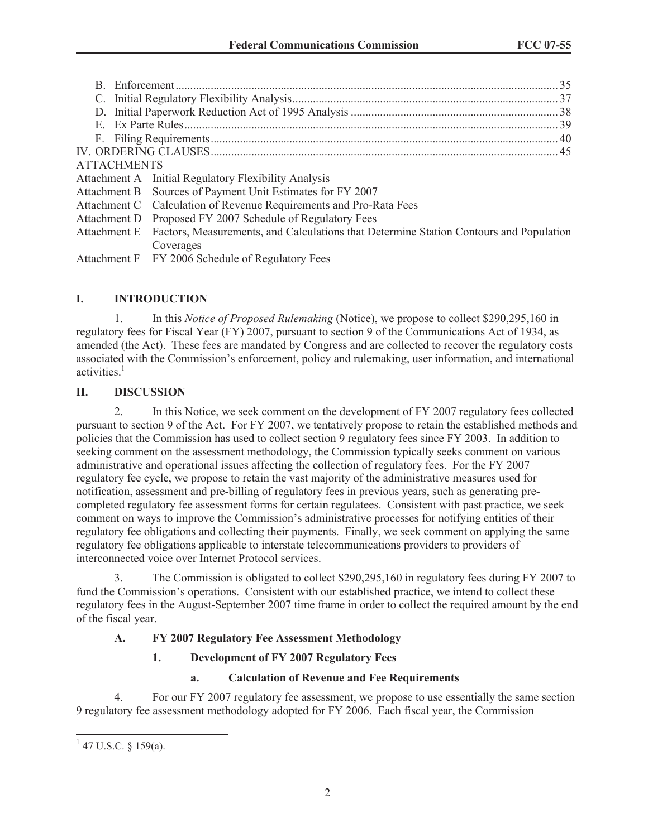| <b>ATTACHMENTS</b> |                                                                                                     |  |
|--------------------|-----------------------------------------------------------------------------------------------------|--|
|                    | Attachment A Initial Regulatory Flexibility Analysis                                                |  |
|                    | Attachment B Sources of Payment Unit Estimates for FY 2007                                          |  |
|                    | Attachment C Calculation of Revenue Requirements and Pro-Rata Fees                                  |  |
|                    | Attachment D Proposed FY 2007 Schedule of Regulatory Fees                                           |  |
|                    | Attachment E Factors, Measurements, and Calculations that Determine Station Contours and Population |  |
|                    | Coverages                                                                                           |  |

Attachment F FY 2006 Schedule of Regulatory Fees

## **I. INTRODUCTION**

1. In this *Notice of Proposed Rulemaking* (Notice), we propose to collect \$290,295,160 in regulatory fees for Fiscal Year (FY) 2007, pursuant to section 9 of the Communications Act of 1934, as amended (the Act). These fees are mandated by Congress and are collected to recover the regulatory costs associated with the Commission's enforcement, policy and rulemaking, user information, and international activities $<sup>1</sup>$ </sup>

### **II. DISCUSSION**

2. In this Notice, we seek comment on the development of FY 2007 regulatory fees collected pursuant to section 9 of the Act. For FY 2007, we tentatively propose to retain the established methods and policies that the Commission has used to collect section 9 regulatory fees since FY 2003. In addition to seeking comment on the assessment methodology, the Commission typically seeks comment on various administrative and operational issues affecting the collection of regulatory fees. For the FY 2007 regulatory fee cycle, we propose to retain the vast majority of the administrative measures used for notification, assessment and pre-billing of regulatory fees in previous years, such as generating precompleted regulatory fee assessment forms for certain regulatees. Consistent with past practice, we seek comment on ways to improve the Commission's administrative processes for notifying entities of their regulatory fee obligations and collecting their payments. Finally, we seek comment on applying the same regulatory fee obligations applicable to interstate telecommunications providers to providers of interconnected voice over Internet Protocol services.

3. The Commission is obligated to collect \$290,295,160 in regulatory fees during FY 2007 to fund the Commission's operations. Consistent with our established practice, we intend to collect these regulatory fees in the August-September 2007 time frame in order to collect the required amount by the end of the fiscal year.

## **A. FY 2007 Regulatory Fee Assessment Methodology**

## **1. Development of FY 2007 Regulatory Fees**

#### **a. Calculation of Revenue and Fee Requirements**

4. For our FY 2007 regulatory fee assessment, we propose to use essentially the same section 9 regulatory fee assessment methodology adopted for FY 2006. Each fiscal year, the Commission

 $1$  47 U.S.C. § 159(a).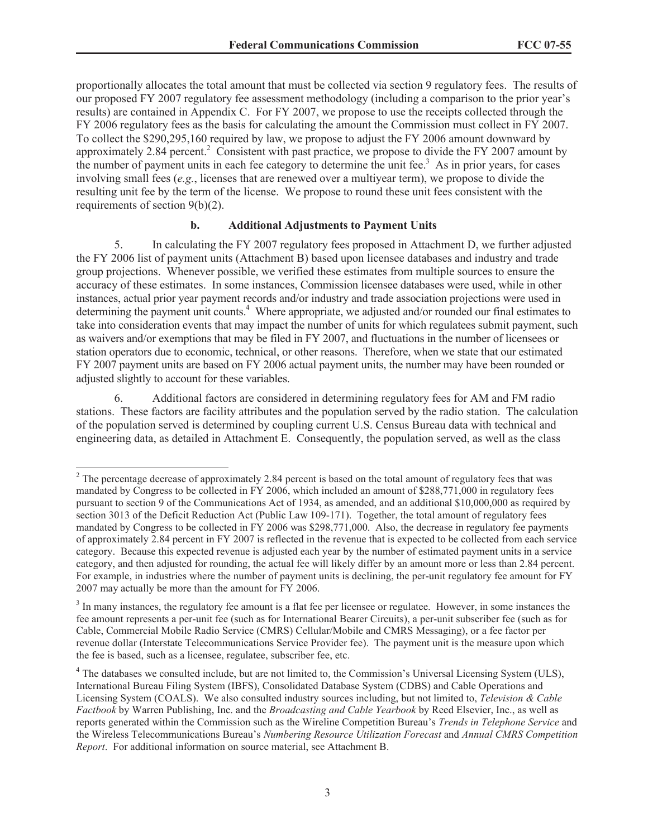proportionally allocates the total amount that must be collected via section 9 regulatory fees. The results of our proposed FY 2007 regulatory fee assessment methodology (including a comparison to the prior year's results) are contained in Appendix C. For FY 2007, we propose to use the receipts collected through the FY 2006 regulatory fees as the basis for calculating the amount the Commission must collect in FY 2007. To collect the \$290,295,160 required by law, we propose to adjust the FY 2006 amount downward by approximately 2.84 percent.<sup>2</sup> Consistent with past practice, we propose to divide the FY 2007 amount by the number of payment units in each fee category to determine the unit fee.<sup>3</sup> As in prior years, for cases involving small fees (*e.g.*, licenses that are renewed over a multiyear term), we propose to divide the resulting unit fee by the term of the license. We propose to round these unit fees consistent with the requirements of section 9(b)(2).

#### **b. Additional Adjustments to Payment Units**

5. In calculating the FY 2007 regulatory fees proposed in Attachment D, we further adjusted the FY 2006 list of payment units (Attachment B) based upon licensee databases and industry and trade group projections. Whenever possible, we verified these estimates from multiple sources to ensure the accuracy of these estimates. In some instances, Commission licensee databases were used, while in other instances, actual prior year payment records and/or industry and trade association projections were used in determining the payment unit counts.<sup>4</sup> Where appropriate, we adjusted and/or rounded our final estimates to take into consideration events that may impact the number of units for which regulatees submit payment, such as waivers and/or exemptions that may be filed in FY 2007, and fluctuations in the number of licensees or station operators due to economic, technical, or other reasons. Therefore, when we state that our estimated FY 2007 payment units are based on FY 2006 actual payment units, the number may have been rounded or adjusted slightly to account for these variables.

6. Additional factors are considered in determining regulatory fees for AM and FM radio stations. These factors are facility attributes and the population served by the radio station. The calculation of the population served is determined by coupling current U.S. Census Bureau data with technical and engineering data, as detailed in Attachment E. Consequently, the population served, as well as the class

 $2$  The percentage decrease of approximately 2.84 percent is based on the total amount of regulatory fees that was mandated by Congress to be collected in FY 2006, which included an amount of \$288,771,000 in regulatory fees pursuant to section 9 of the Communications Act of 1934, as amended, and an additional \$10,000,000 as required by section 3013 of the Deficit Reduction Act (Public Law 109-171). Together, the total amount of regulatory fees mandated by Congress to be collected in FY 2006 was \$298,771,000. Also, the decrease in regulatory fee payments of approximately 2.84 percent in FY 2007 is reflected in the revenue that is expected to be collected from each service category. Because this expected revenue is adjusted each year by the number of estimated payment units in a service category, and then adjusted for rounding, the actual fee will likely differ by an amount more or less than 2.84 percent. For example, in industries where the number of payment units is declining, the per-unit regulatory fee amount for FY 2007 may actually be more than the amount for FY 2006.

 $3$  In many instances, the regulatory fee amount is a flat fee per licensee or regulatee. However, in some instances the fee amount represents a per-unit fee (such as for International Bearer Circuits), a per-unit subscriber fee (such as for Cable, Commercial Mobile Radio Service (CMRS) Cellular/Mobile and CMRS Messaging), or a fee factor per revenue dollar (Interstate Telecommunications Service Provider fee). The payment unit is the measure upon which the fee is based, such as a licensee, regulatee, subscriber fee, etc.

<sup>&</sup>lt;sup>4</sup> The databases we consulted include, but are not limited to, the Commission's Universal Licensing System (ULS), International Bureau Filing System (IBFS), Consolidated Database System (CDBS) and Cable Operations and Licensing System (COALS). We also consulted industry sources including, but not limited to, *Television & Cable Factbook* by Warren Publishing, Inc. and the *Broadcasting and Cable Yearbook* by Reed Elsevier, Inc., as well as reports generated within the Commission such as the Wireline Competition Bureau's *Trends in Telephone Service* and the Wireless Telecommunications Bureau's *Numbering Resource Utilization Forecast* and *Annual CMRS Competition Report*. For additional information on source material, see Attachment B.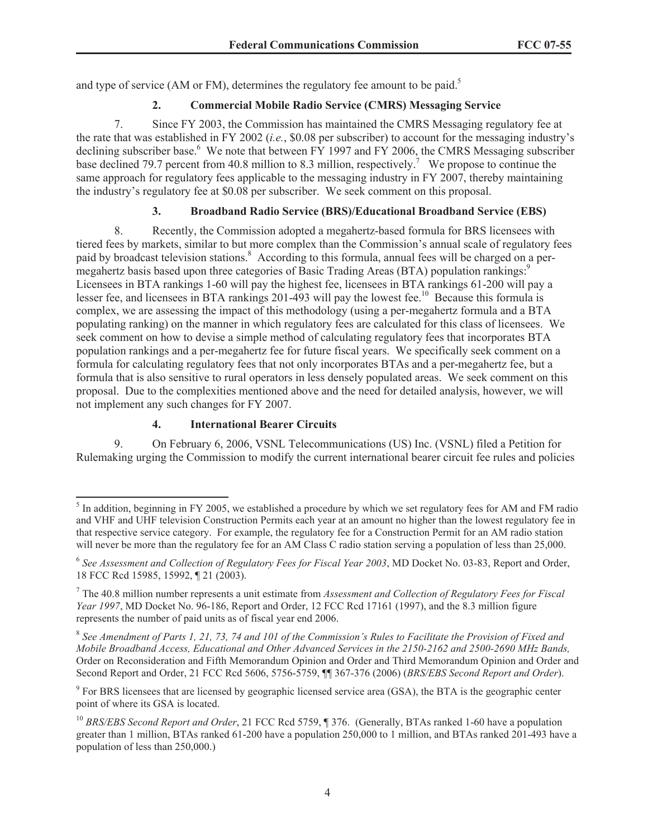and type of service (AM or FM), determines the regulatory fee amount to be paid.<sup>5</sup>

## **2. Commercial Mobile Radio Service (CMRS) Messaging Service**

7. Since FY 2003, the Commission has maintained the CMRS Messaging regulatory fee at the rate that was established in FY 2002 (*i.e.*, \$0.08 per subscriber) to account for the messaging industry's declining subscriber base.<sup>6</sup> We note that between FY 1997 and FY 2006, the CMRS Messaging subscriber base declined 79.7 percent from 40.8 million to 8.3 million, respectively.<sup>7</sup> We propose to continue the same approach for regulatory fees applicable to the messaging industry in FY 2007, thereby maintaining the industry's regulatory fee at \$0.08 per subscriber. We seek comment on this proposal.

## **3. Broadband Radio Service (BRS)/Educational Broadband Service (EBS)**

8. Recently, the Commission adopted a megahertz-based formula for BRS licensees with tiered fees by markets, similar to but more complex than the Commission's annual scale of regulatory fees paid by broadcast television stations.<sup>8</sup> According to this formula, annual fees will be charged on a permegahertz basis based upon three categories of Basic Trading Areas (BTA) population rankings:<sup>9</sup> Licensees in BTA rankings 1-60 will pay the highest fee, licensees in BTA rankings 61-200 will pay a lesser fee, and licensees in BTA rankings 201-493 will pay the lowest fee.<sup>10</sup> Because this formula is complex, we are assessing the impact of this methodology (using a per-megahertz formula and a BTA populating ranking) on the manner in which regulatory fees are calculated for this class of licensees. We seek comment on how to devise a simple method of calculating regulatory fees that incorporates BTA population rankings and a per-megahertz fee for future fiscal years. We specifically seek comment on a formula for calculating regulatory fees that not only incorporates BTAs and a per-megahertz fee, but a formula that is also sensitive to rural operators in less densely populated areas. We seek comment on this proposal. Due to the complexities mentioned above and the need for detailed analysis, however, we will not implement any such changes for FY 2007.

## **4. International Bearer Circuits**

9. On February 6, 2006, VSNL Telecommunications (US) Inc. (VSNL) filed a Petition for Rulemaking urging the Commission to modify the current international bearer circuit fee rules and policies

8 *See Amendment of Parts 1, 21, 73, 74 and 101 of the Commission's Rules to Facilitate the Provision of Fixed and Mobile Broadband Access, Educational and Other Advanced Services in the 2150-2162 and 2500-2690 MHz Bands,*  Order on Reconsideration and Fifth Memorandum Opinion and Order and Third Memorandum Opinion and Order and Second Report and Order, 21 FCC Rcd 5606, 5756-5759, ¶¶ 367-376 (2006) (*BRS/EBS Second Report and Order*).

<sup>9</sup> For BRS licensees that are licensed by geographic licensed service area (GSA), the BTA is the geographic center point of where its GSA is located.

<sup>&</sup>lt;sup>5</sup> In addition, beginning in FY 2005, we established a procedure by which we set regulatory fees for AM and FM radio and VHF and UHF television Construction Permits each year at an amount no higher than the lowest regulatory fee in that respective service category. For example, the regulatory fee for a Construction Permit for an AM radio station will never be more than the regulatory fee for an AM Class C radio station serving a population of less than 25,000.

<sup>6</sup> *See Assessment and Collection of Regulatory Fees for Fiscal Year 2003*, MD Docket No. 03-83, Report and Order, 18 FCC Rcd 15985, 15992, ¶ 21 (2003).

<sup>7</sup> The 40.8 million number represents a unit estimate from *Assessment and Collection of Regulatory Fees for Fiscal Year 1997*, MD Docket No. 96-186, Report and Order, 12 FCC Rcd 17161 (1997), and the 8.3 million figure represents the number of paid units as of fiscal year end 2006.

<sup>&</sup>lt;sup>10</sup> BRS/EBS Second Report and Order, 21 FCC Rcd 5759, ¶ 376. (Generally, BTAs ranked 1-60 have a population greater than 1 million, BTAs ranked 61-200 have a population 250,000 to 1 million, and BTAs ranked 201-493 have a population of less than 250,000.)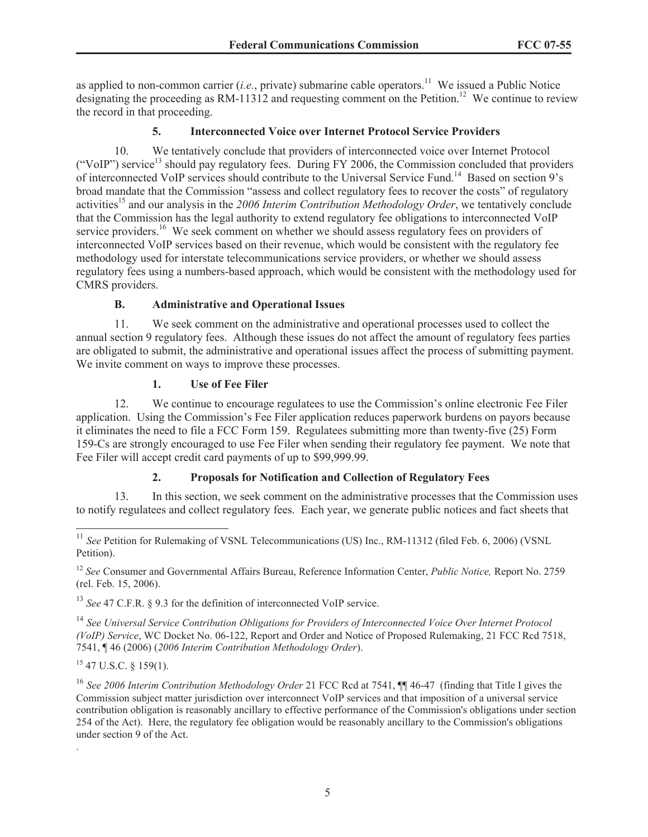as applied to non-common carrier (*i.e.*, private) submarine cable operators.<sup>11</sup> We issued a Public Notice designating the proceeding as RM-11312 and requesting comment on the Petition.<sup>12</sup> We continue to review the record in that proceeding.

## **5. Interconnected Voice over Internet Protocol Service Providers**

10. We tentatively conclude that providers of interconnected voice over Internet Protocol ("VoIP") service<sup>13</sup> should pay regulatory fees. During FY 2006, the Commission concluded that providers of interconnected VoIP services should contribute to the Universal Service Fund.<sup>14</sup> Based on section 9's broad mandate that the Commission "assess and collect regulatory fees to recover the costs" of regulatory activities<sup>15</sup> and our analysis in the 2006 Interim Contribution Methodology Order, we tentatively conclude that the Commission has the legal authority to extend regulatory fee obligations to interconnected VoIP service providers.<sup>16</sup> We seek comment on whether we should assess regulatory fees on providers of interconnected VoIP services based on their revenue, which would be consistent with the regulatory fee methodology used for interstate telecommunications service providers, or whether we should assess regulatory fees using a numbers-based approach, which would be consistent with the methodology used for CMRS providers.

## **B. Administrative and Operational Issues**

11. We seek comment on the administrative and operational processes used to collect the annual section 9 regulatory fees. Although these issues do not affect the amount of regulatory fees parties are obligated to submit, the administrative and operational issues affect the process of submitting payment. We invite comment on ways to improve these processes.

## **1. Use of Fee Filer**

12. We continue to encourage regulatees to use the Commission's online electronic Fee Filer application. Using the Commission's Fee Filer application reduces paperwork burdens on payors because it eliminates the need to file a FCC Form 159. Regulatees submitting more than twenty-five (25) Form 159-Cs are strongly encouraged to use Fee Filer when sending their regulatory fee payment. We note that Fee Filer will accept credit card payments of up to \$99,999.99.

## **2. Proposals for Notification and Collection of Regulatory Fees**

13. In this section, we seek comment on the administrative processes that the Commission uses to notify regulatees and collect regulatory fees. Each year, we generate public notices and fact sheets that

<sup>13</sup> *See* 47 C.F.R. § 9.3 for the definition of interconnected VoIP service.

<sup>14</sup> *See Universal Service Contribution Obligations for Providers of Interconnected Voice Over Internet Protocol (VoIP) Service*, WC Docket No. 06-122, Report and Order and Notice of Proposed Rulemaking, 21 FCC Rcd 7518, 7541, ¶ 46 (2006) (*2006 Interim Contribution Methodology Order*).

 $15$  47 U.S.C. § 159(1).

.

<sup>&</sup>lt;sup>11</sup> See Petition for Rulemaking of VSNL Telecommunications (US) Inc., RM-11312 (filed Feb. 6, 2006) (VSNL Petition).

<sup>12</sup> *See* Consumer and Governmental Affairs Bureau, Reference Information Center, *Public Notice,* Report No. 2759 (rel. Feb. 15, 2006).

<sup>16</sup> *See 2006 Interim Contribution Methodology Order* 21 FCC Rcd at 7541, ¶¶ 46-47 (finding that Title I gives the Commission subject matter jurisdiction over interconnect VoIP services and that imposition of a universal service contribution obligation is reasonably ancillary to effective performance of the Commission's obligations under section 254 of the Act). Here, the regulatory fee obligation would be reasonably ancillary to the Commission's obligations under section 9 of the Act.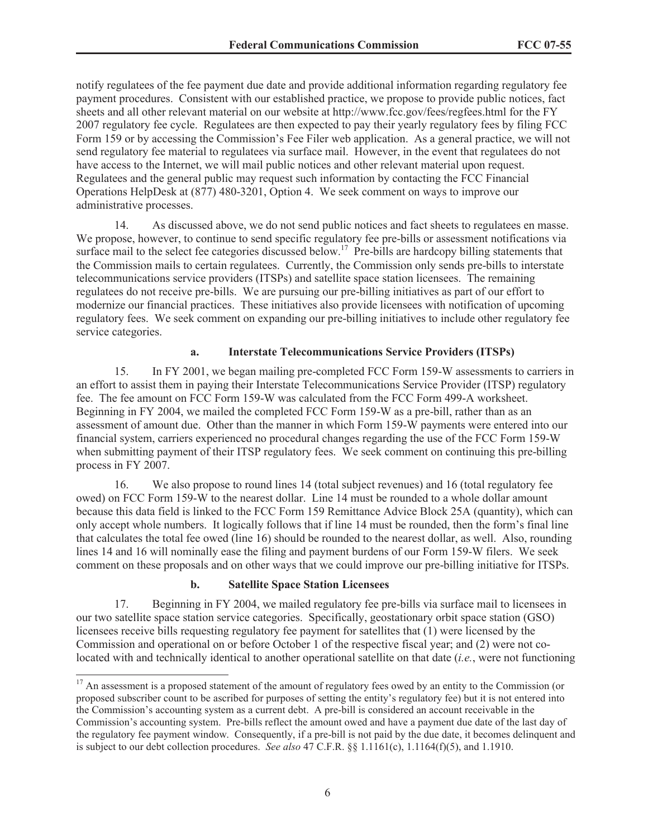notify regulatees of the fee payment due date and provide additional information regarding regulatory fee payment procedures. Consistent with our established practice, we propose to provide public notices, fact sheets and all other relevant material on our website at http://www.fcc.gov/fees/regfees.html for the FY 2007 regulatory fee cycle. Regulatees are then expected to pay their yearly regulatory fees by filing FCC Form 159 or by accessing the Commission's Fee Filer web application. As a general practice, we will not send regulatory fee material to regulatees via surface mail. However, in the event that regulatees do not have access to the Internet, we will mail public notices and other relevant material upon request. Regulatees and the general public may request such information by contacting the FCC Financial Operations HelpDesk at (877) 480-3201, Option 4. We seek comment on ways to improve our administrative processes.

14. As discussed above, we do not send public notices and fact sheets to regulatees en masse. We propose, however, to continue to send specific regulatory fee pre-bills or assessment notifications via surface mail to the select fee categories discussed below.<sup>17</sup> Pre-bills are hardcopy billing statements that the Commission mails to certain regulatees. Currently, the Commission only sends pre-bills to interstate telecommunications service providers (ITSPs) and satellite space station licensees. The remaining regulatees do not receive pre-bills. We are pursuing our pre-billing initiatives as part of our effort to modernize our financial practices. These initiatives also provide licensees with notification of upcoming regulatory fees. We seek comment on expanding our pre-billing initiatives to include other regulatory fee service categories.

### **a. Interstate Telecommunications Service Providers (ITSPs)**

15. In FY 2001, we began mailing pre-completed FCC Form 159-W assessments to carriers in an effort to assist them in paying their Interstate Telecommunications Service Provider (ITSP) regulatory fee. The fee amount on FCC Form 159-W was calculated from the FCC Form 499-A worksheet. Beginning in FY 2004, we mailed the completed FCC Form 159-W as a pre-bill, rather than as an assessment of amount due. Other than the manner in which Form 159-W payments were entered into our financial system, carriers experienced no procedural changes regarding the use of the FCC Form 159-W when submitting payment of their ITSP regulatory fees. We seek comment on continuing this pre-billing process in FY 2007.

16. We also propose to round lines 14 (total subject revenues) and 16 (total regulatory fee owed) on FCC Form 159-W to the nearest dollar. Line 14 must be rounded to a whole dollar amount because this data field is linked to the FCC Form 159 Remittance Advice Block 25A (quantity), which can only accept whole numbers. It logically follows that if line 14 must be rounded, then the form's final line that calculates the total fee owed (line 16) should be rounded to the nearest dollar, as well. Also, rounding lines 14 and 16 will nominally ease the filing and payment burdens of our Form 159-W filers. We seek comment on these proposals and on other ways that we could improve our pre-billing initiative for ITSPs.

#### **b. Satellite Space Station Licensees**

17. Beginning in FY 2004, we mailed regulatory fee pre-bills via surface mail to licensees in our two satellite space station service categories. Specifically, geostationary orbit space station (GSO) licensees receive bills requesting regulatory fee payment for satellites that (1) were licensed by the Commission and operational on or before October 1 of the respective fiscal year; and (2) were not colocated with and technically identical to another operational satellite on that date (*i.e.*, were not functioning

<sup>&</sup>lt;sup>17</sup> An assessment is a proposed statement of the amount of regulatory fees owed by an entity to the Commission (or proposed subscriber count to be ascribed for purposes of setting the entity's regulatory fee) but it is not entered into the Commission's accounting system as a current debt. A pre-bill is considered an account receivable in the Commission's accounting system. Pre-bills reflect the amount owed and have a payment due date of the last day of the regulatory fee payment window. Consequently, if a pre-bill is not paid by the due date, it becomes delinquent and is subject to our debt collection procedures. *See also* 47 C.F.R. §§ 1.1161(c), 1.1164(f)(5), and 1.1910.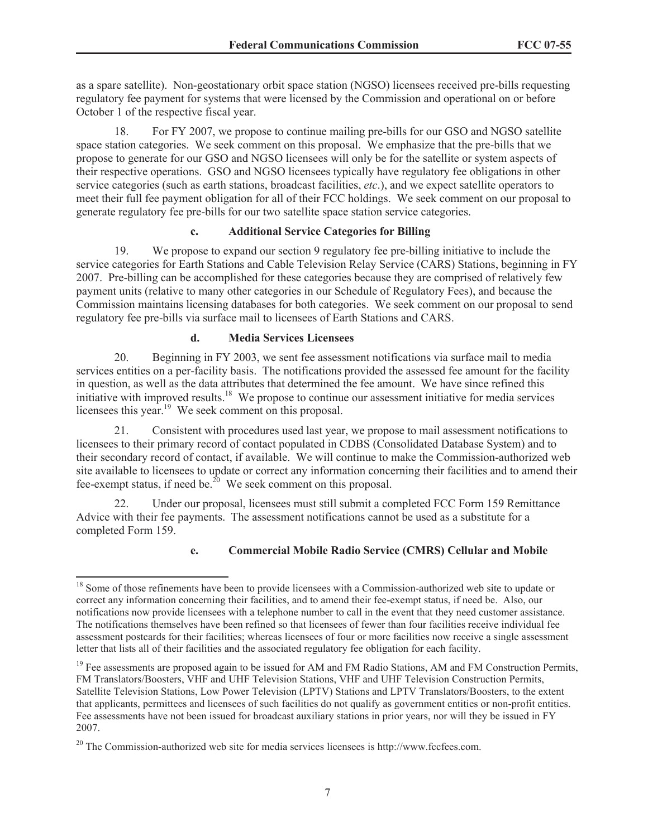as a spare satellite). Non-geostationary orbit space station (NGSO) licensees received pre-bills requesting regulatory fee payment for systems that were licensed by the Commission and operational on or before October 1 of the respective fiscal year.

18. For FY 2007, we propose to continue mailing pre-bills for our GSO and NGSO satellite space station categories. We seek comment on this proposal. We emphasize that the pre-bills that we propose to generate for our GSO and NGSO licensees will only be for the satellite or system aspects of their respective operations. GSO and NGSO licensees typically have regulatory fee obligations in other service categories (such as earth stations, broadcast facilities, *etc*.), and we expect satellite operators to meet their full fee payment obligation for all of their FCC holdings. We seek comment on our proposal to generate regulatory fee pre-bills for our two satellite space station service categories.

#### **c. Additional Service Categories for Billing**

19. We propose to expand our section 9 regulatory fee pre-billing initiative to include the service categories for Earth Stations and Cable Television Relay Service (CARS) Stations, beginning in FY 2007. Pre-billing can be accomplished for these categories because they are comprised of relatively few payment units (relative to many other categories in our Schedule of Regulatory Fees), and because the Commission maintains licensing databases for both categories. We seek comment on our proposal to send regulatory fee pre-bills via surface mail to licensees of Earth Stations and CARS.

### **d. Media Services Licensees**

20. Beginning in FY 2003, we sent fee assessment notifications via surface mail to media services entities on a per-facility basis. The notifications provided the assessed fee amount for the facility in question, as well as the data attributes that determined the fee amount. We have since refined this initiative with improved results.<sup>18</sup> We propose to continue our assessment initiative for media services licensees this year.<sup>19</sup> We seek comment on this proposal.

21. Consistent with procedures used last year, we propose to mail assessment notifications to licensees to their primary record of contact populated in CDBS (Consolidated Database System) and to their secondary record of contact, if available. We will continue to make the Commission-authorized web site available to licensees to update or correct any information concerning their facilities and to amend their fee-exempt status, if need be.<sup>20</sup> We seek comment on this proposal.

22. Under our proposal, licensees must still submit a completed FCC Form 159 Remittance Advice with their fee payments. The assessment notifications cannot be used as a substitute for a completed Form 159.

## **e. Commercial Mobile Radio Service (CMRS) Cellular and Mobile**

<sup>&</sup>lt;sup>18</sup> Some of those refinements have been to provide licensees with a Commission-authorized web site to update or correct any information concerning their facilities, and to amend their fee-exempt status, if need be. Also, our notifications now provide licensees with a telephone number to call in the event that they need customer assistance. The notifications themselves have been refined so that licensees of fewer than four facilities receive individual fee assessment postcards for their facilities; whereas licensees of four or more facilities now receive a single assessment letter that lists all of their facilities and the associated regulatory fee obligation for each facility.

 $19$  Fee assessments are proposed again to be issued for AM and FM Radio Stations, AM and FM Construction Permits, FM Translators/Boosters, VHF and UHF Television Stations, VHF and UHF Television Construction Permits, Satellite Television Stations, Low Power Television (LPTV) Stations and LPTV Translators/Boosters, to the extent that applicants, permittees and licensees of such facilities do not qualify as government entities or non-profit entities. Fee assessments have not been issued for broadcast auxiliary stations in prior years, nor will they be issued in FY 2007.

<sup>20</sup> The Commission-authorized web site for media services licensees is http://www.fccfees.com.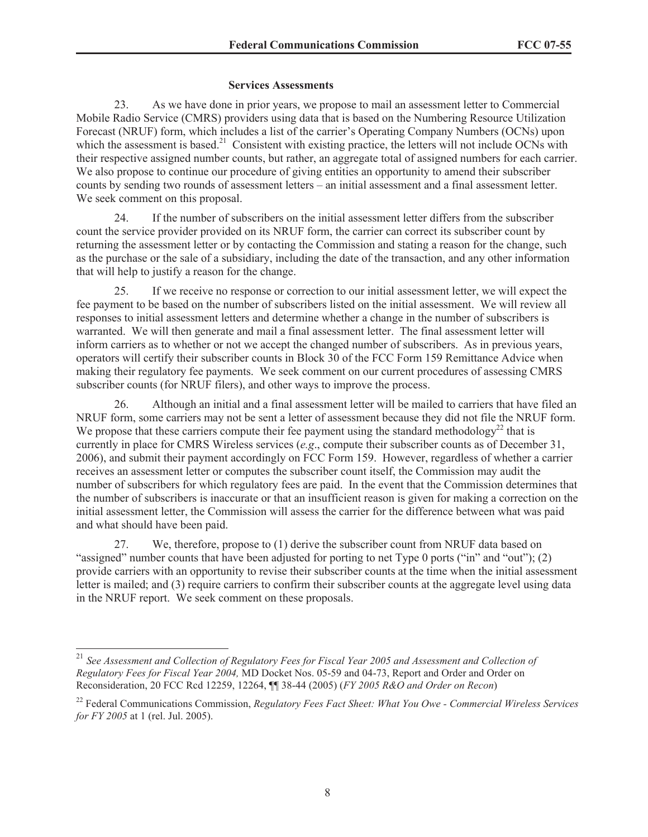#### **Services Assessments**

23. As we have done in prior years, we propose to mail an assessment letter to Commercial Mobile Radio Service (CMRS) providers using data that is based on the Numbering Resource Utilization Forecast (NRUF) form, which includes a list of the carrier's Operating Company Numbers (OCNs) upon which the assessment is based.<sup>21</sup> Consistent with existing practice, the letters will not include OCNs with their respective assigned number counts, but rather, an aggregate total of assigned numbers for each carrier. We also propose to continue our procedure of giving entities an opportunity to amend their subscriber counts by sending two rounds of assessment letters – an initial assessment and a final assessment letter. We seek comment on this proposal.

24. If the number of subscribers on the initial assessment letter differs from the subscriber count the service provider provided on its NRUF form, the carrier can correct its subscriber count by returning the assessment letter or by contacting the Commission and stating a reason for the change, such as the purchase or the sale of a subsidiary, including the date of the transaction, and any other information that will help to justify a reason for the change.

25. If we receive no response or correction to our initial assessment letter, we will expect the fee payment to be based on the number of subscribers listed on the initial assessment. We will review all responses to initial assessment letters and determine whether a change in the number of subscribers is warranted. We will then generate and mail a final assessment letter. The final assessment letter will inform carriers as to whether or not we accept the changed number of subscribers. As in previous years, operators will certify their subscriber counts in Block 30 of the FCC Form 159 Remittance Advice when making their regulatory fee payments. We seek comment on our current procedures of assessing CMRS subscriber counts (for NRUF filers), and other ways to improve the process.

26. Although an initial and a final assessment letter will be mailed to carriers that have filed an NRUF form, some carriers may not be sent a letter of assessment because they did not file the NRUF form. We propose that these carriers compute their fee payment using the standard methodology<sup>22</sup> that is currently in place for CMRS Wireless services (*e.g*., compute their subscriber counts as of December 31, 2006), and submit their payment accordingly on FCC Form 159. However, regardless of whether a carrier receives an assessment letter or computes the subscriber count itself, the Commission may audit the number of subscribers for which regulatory fees are paid. In the event that the Commission determines that the number of subscribers is inaccurate or that an insufficient reason is given for making a correction on the initial assessment letter, the Commission will assess the carrier for the difference between what was paid and what should have been paid.

27. We, therefore, propose to (1) derive the subscriber count from NRUF data based on "assigned" number counts that have been adjusted for porting to net Type 0 ports ("in" and "out"); (2) provide carriers with an opportunity to revise their subscriber counts at the time when the initial assessment letter is mailed; and (3) require carriers to confirm their subscriber counts at the aggregate level using data in the NRUF report. We seek comment on these proposals.

<sup>21</sup> *See Assessment and Collection of Regulatory Fees for Fiscal Year 2005 and Assessment and Collection of Regulatory Fees for Fiscal Year 2004,* MD Docket Nos. 05-59 and 04-73, Report and Order and Order on Reconsideration, 20 FCC Rcd 12259, 12264, ¶¶ 38-44 (2005) (*FY 2005 R&O and Order on Recon*)

<sup>22</sup> Federal Communications Commission, *Regulatory Fees Fact Sheet: What You Owe - Commercial Wireless Services for FY 2005* at 1 (rel. Jul. 2005).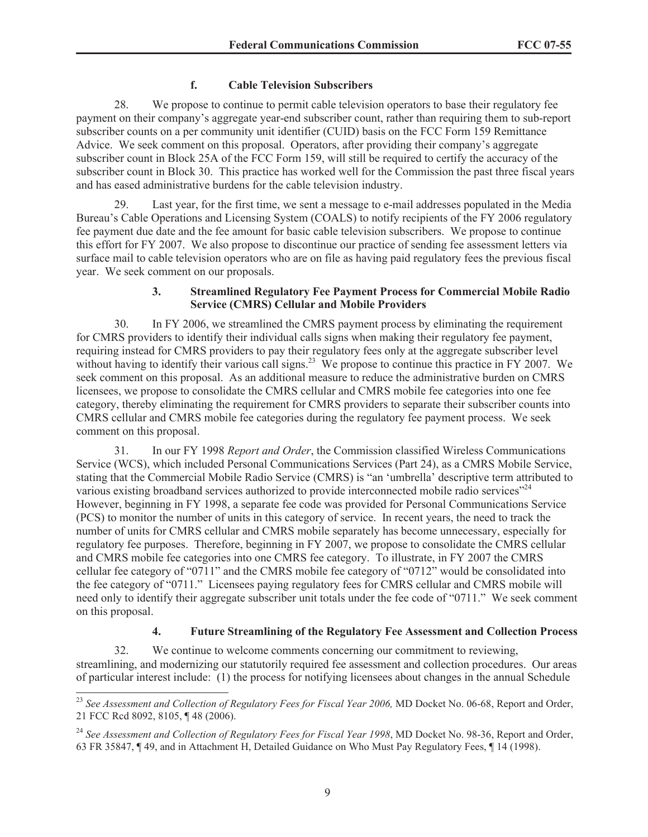### **f. Cable Television Subscribers**

28. We propose to continue to permit cable television operators to base their regulatory fee payment on their company's aggregate year-end subscriber count, rather than requiring them to sub-report subscriber counts on a per community unit identifier (CUID) basis on the FCC Form 159 Remittance Advice. We seek comment on this proposal. Operators, after providing their company's aggregate subscriber count in Block 25A of the FCC Form 159, will still be required to certify the accuracy of the subscriber count in Block 30. This practice has worked well for the Commission the past three fiscal years and has eased administrative burdens for the cable television industry.

29. Last year, for the first time, we sent a message to e-mail addresses populated in the Media Bureau's Cable Operations and Licensing System (COALS) to notify recipients of the FY 2006 regulatory fee payment due date and the fee amount for basic cable television subscribers. We propose to continue this effort for FY 2007. We also propose to discontinue our practice of sending fee assessment letters via surface mail to cable television operators who are on file as having paid regulatory fees the previous fiscal year. We seek comment on our proposals.

#### **3. Streamlined Regulatory Fee Payment Process for Commercial Mobile Radio Service (CMRS) Cellular and Mobile Providers**

30. In FY 2006, we streamlined the CMRS payment process by eliminating the requirement for CMRS providers to identify their individual calls signs when making their regulatory fee payment, requiring instead for CMRS providers to pay their regulatory fees only at the aggregate subscriber level without having to identify their various call signs.<sup>23</sup> We propose to continue this practice in FY 2007. We seek comment on this proposal. As an additional measure to reduce the administrative burden on CMRS licensees, we propose to consolidate the CMRS cellular and CMRS mobile fee categories into one fee category, thereby eliminating the requirement for CMRS providers to separate their subscriber counts into CMRS cellular and CMRS mobile fee categories during the regulatory fee payment process. We seek comment on this proposal.

31. In our FY 1998 *Report and Order*, the Commission classified Wireless Communications Service (WCS), which included Personal Communications Services (Part 24), as a CMRS Mobile Service, stating that the Commercial Mobile Radio Service (CMRS) is "an 'umbrella' descriptive term attributed to various existing broadband services authorized to provide interconnected mobile radio services"<sup>24</sup> However, beginning in FY 1998, a separate fee code was provided for Personal Communications Service (PCS) to monitor the number of units in this category of service. In recent years, the need to track the number of units for CMRS cellular and CMRS mobile separately has become unnecessary, especially for regulatory fee purposes. Therefore, beginning in FY 2007, we propose to consolidate the CMRS cellular and CMRS mobile fee categories into one CMRS fee category. To illustrate, in FY 2007 the CMRS cellular fee category of "0711" and the CMRS mobile fee category of "0712" would be consolidated into the fee category of "0711." Licensees paying regulatory fees for CMRS cellular and CMRS mobile will need only to identify their aggregate subscriber unit totals under the fee code of "0711." We seek comment on this proposal.

## **4. Future Streamlining of the Regulatory Fee Assessment and Collection Process**

32. We continue to welcome comments concerning our commitment to reviewing, streamlining, and modernizing our statutorily required fee assessment and collection procedures. Our areas of particular interest include: (1) the process for notifying licensees about changes in the annual Schedule

<sup>&</sup>lt;sup>23</sup> See Assessment and Collection of Regulatory Fees for Fiscal Year 2006, MD Docket No. 06-68, Report and Order, 21 FCC Rcd 8092, 8105, ¶ 48 (2006).

<sup>24</sup> *See Assessment and Collection of Regulatory Fees for Fiscal Year 1998*, MD Docket No. 98-36, Report and Order, 63 FR 35847, ¶ 49, and in Attachment H, Detailed Guidance on Who Must Pay Regulatory Fees, ¶ 14 (1998).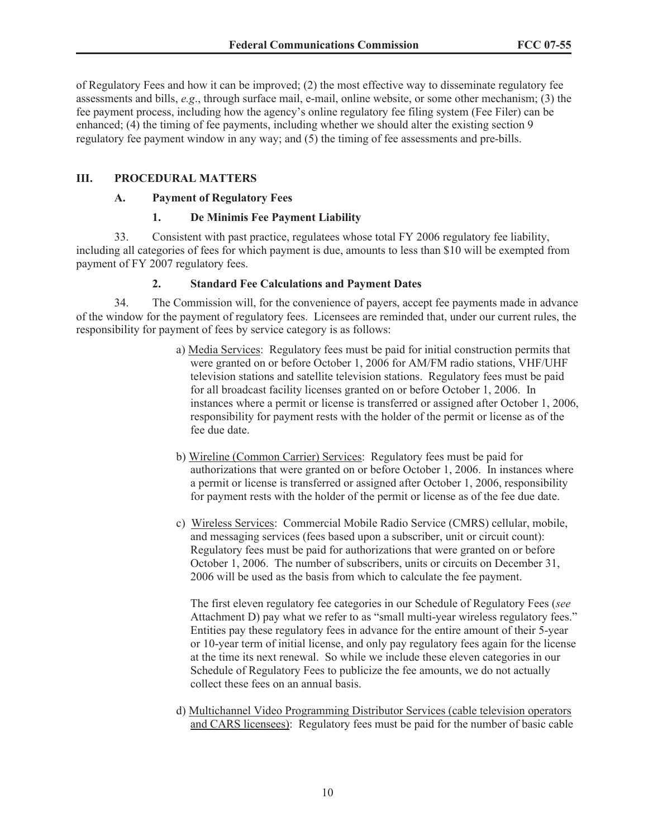of Regulatory Fees and how it can be improved; (2) the most effective way to disseminate regulatory fee assessments and bills, *e.g*., through surface mail, e-mail, online website, or some other mechanism; (3) the fee payment process, including how the agency's online regulatory fee filing system (Fee Filer) can be enhanced; (4) the timing of fee payments, including whether we should alter the existing section 9 regulatory fee payment window in any way; and (5) the timing of fee assessments and pre-bills.

### **III. PROCEDURAL MATTERS**

#### **A. Payment of Regulatory Fees**

### **1. De Minimis Fee Payment Liability**

33. Consistent with past practice, regulatees whose total FY 2006 regulatory fee liability, including all categories of fees for which payment is due, amounts to less than \$10 will be exempted from payment of FY 2007 regulatory fees.

### **2. Standard Fee Calculations and Payment Dates**

34. The Commission will, for the convenience of payers, accept fee payments made in advance of the window for the payment of regulatory fees. Licensees are reminded that, under our current rules, the responsibility for payment of fees by service category is as follows:

- a) Media Services: Regulatory fees must be paid for initial construction permits that were granted on or before October 1, 2006 for AM/FM radio stations, VHF/UHF television stations and satellite television stations. Regulatory fees must be paid for all broadcast facility licenses granted on or before October 1, 2006. In instances where a permit or license is transferred or assigned after October 1, 2006, responsibility for payment rests with the holder of the permit or license as of the fee due date.
- b) Wireline (Common Carrier) Services: Regulatory fees must be paid for authorizations that were granted on or before October 1, 2006. In instances where a permit or license is transferred or assigned after October 1, 2006, responsibility for payment rests with the holder of the permit or license as of the fee due date.
- c) Wireless Services: Commercial Mobile Radio Service (CMRS) cellular, mobile, and messaging services (fees based upon a subscriber, unit or circuit count): Regulatory fees must be paid for authorizations that were granted on or before October 1, 2006. The number of subscribers, units or circuits on December 31, 2006 will be used as the basis from which to calculate the fee payment.

The first eleven regulatory fee categories in our Schedule of Regulatory Fees (*see* Attachment D) pay what we refer to as "small multi-year wireless regulatory fees." Entities pay these regulatory fees in advance for the entire amount of their 5-year or 10-year term of initial license, and only pay regulatory fees again for the license at the time its next renewal. So while we include these eleven categories in our Schedule of Regulatory Fees to publicize the fee amounts, we do not actually collect these fees on an annual basis.

d) Multichannel Video Programming Distributor Services (cable television operators and CARS licensees): Regulatory fees must be paid for the number of basic cable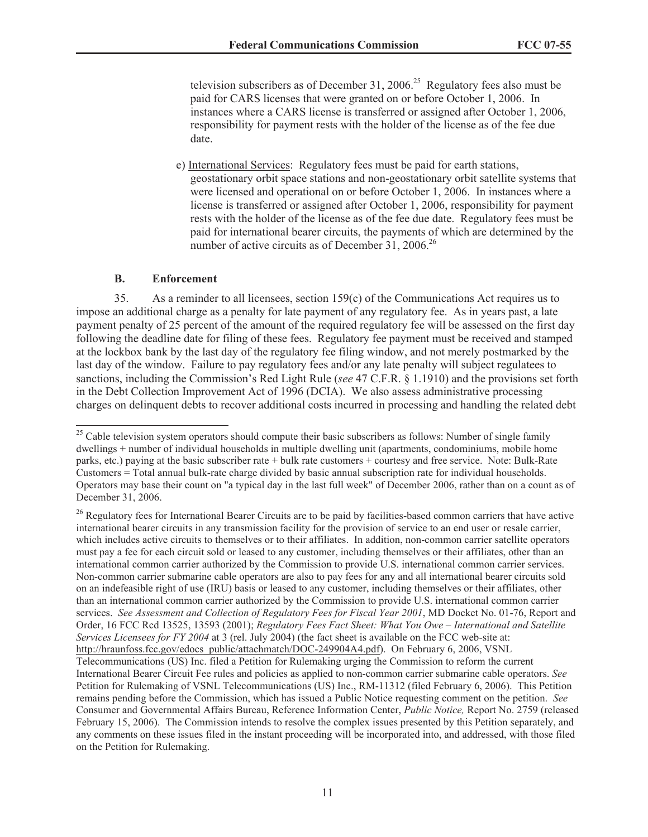television subscribers as of December 31, 2006.<sup>25</sup> Regulatory fees also must be paid for CARS licenses that were granted on or before October 1, 2006. In instances where a CARS license is transferred or assigned after October 1, 2006, responsibility for payment rests with the holder of the license as of the fee due date.

e) International Services: Regulatory fees must be paid for earth stations, geostationary orbit space stations and non-geostationary orbit satellite systems that were licensed and operational on or before October 1, 2006. In instances where a license is transferred or assigned after October 1, 2006, responsibility for payment rests with the holder of the license as of the fee due date. Regulatory fees must be paid for international bearer circuits, the payments of which are determined by the number of active circuits as of December 31, 2006.<sup>26</sup>

#### **B. Enforcement**

35. As a reminder to all licensees, section 159(c) of the Communications Act requires us to impose an additional charge as a penalty for late payment of any regulatory fee. As in years past, a late payment penalty of 25 percent of the amount of the required regulatory fee will be assessed on the first day following the deadline date for filing of these fees. Regulatory fee payment must be received and stamped at the lockbox bank by the last day of the regulatory fee filing window, and not merely postmarked by the last day of the window. Failure to pay regulatory fees and/or any late penalty will subject regulatees to sanctions, including the Commission's Red Light Rule (*see* 47 C.F.R. § 1.1910) and the provisions set forth in the Debt Collection Improvement Act of 1996 (DCIA). We also assess administrative processing charges on delinquent debts to recover additional costs incurred in processing and handling the related debt

<sup>&</sup>lt;sup>25</sup> Cable television system operators should compute their basic subscribers as follows: Number of single family dwellings + number of individual households in multiple dwelling unit (apartments, condominiums, mobile home parks, etc.) paying at the basic subscriber rate + bulk rate customers + courtesy and free service. Note: Bulk-Rate Customers = Total annual bulk-rate charge divided by basic annual subscription rate for individual households. Operators may base their count on "a typical day in the last full week" of December 2006, rather than on a count as of December 31, 2006.

<sup>&</sup>lt;sup>26</sup> Regulatory fees for International Bearer Circuits are to be paid by facilities-based common carriers that have active international bearer circuits in any transmission facility for the provision of service to an end user or resale carrier, which includes active circuits to themselves or to their affiliates. In addition, non-common carrier satellite operators must pay a fee for each circuit sold or leased to any customer, including themselves or their affiliates, other than an international common carrier authorized by the Commission to provide U.S. international common carrier services. Non-common carrier submarine cable operators are also to pay fees for any and all international bearer circuits sold on an indefeasible right of use (IRU) basis or leased to any customer, including themselves or their affiliates, other than an international common carrier authorized by the Commission to provide U.S. international common carrier services. *See Assessment and Collection of Regulatory Fees for Fiscal Year 2001*, MD Docket No. 01-76, Report and Order, 16 FCC Rcd 13525, 13593 (2001); *Regulatory Fees Fact Sheet: What You Owe – International and Satellite Services Licensees for FY 2004* at 3 (rel. July 2004) (the fact sheet is available on the FCC web-site at: http://hraunfoss.fcc.gov/edocs\_public/attachmatch/DOC-249904A4.pdf). On February 6, 2006, VSNL Telecommunications (US) Inc. filed a Petition for Rulemaking urging the Commission to reform the current International Bearer Circuit Fee rules and policies as applied to non-common carrier submarine cable operators. *See* Petition for Rulemaking of VSNL Telecommunications (US) Inc., RM-11312 (filed February 6, 2006). This Petition remains pending before the Commission, which has issued a Public Notice requesting comment on the petition. *See* Consumer and Governmental Affairs Bureau, Reference Information Center, *Public Notice,* Report No. 2759 (released February 15, 2006). The Commission intends to resolve the complex issues presented by this Petition separately, and any comments on these issues filed in the instant proceeding will be incorporated into, and addressed, with those filed on the Petition for Rulemaking.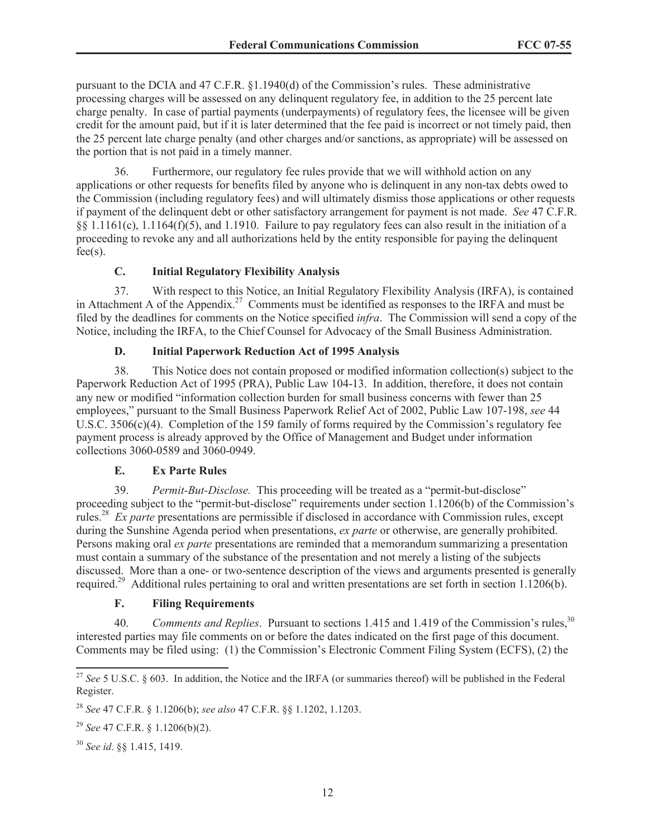pursuant to the DCIA and 47 C.F.R. §1.1940(d) of the Commission's rules. These administrative processing charges will be assessed on any delinquent regulatory fee, in addition to the 25 percent late charge penalty. In case of partial payments (underpayments) of regulatory fees, the licensee will be given credit for the amount paid, but if it is later determined that the fee paid is incorrect or not timely paid, then the 25 percent late charge penalty (and other charges and/or sanctions, as appropriate) will be assessed on the portion that is not paid in a timely manner.

36. Furthermore, our regulatory fee rules provide that we will withhold action on any applications or other requests for benefits filed by anyone who is delinquent in any non-tax debts owed to the Commission (including regulatory fees) and will ultimately dismiss those applications or other requests if payment of the delinquent debt or other satisfactory arrangement for payment is not made. *See* 47 C.F.R. §§ 1.1161(c), 1.1164(f)(5), and 1.1910. Failure to pay regulatory fees can also result in the initiation of a proceeding to revoke any and all authorizations held by the entity responsible for paying the delinquent  $fee(s)$ .

## **C. Initial Regulatory Flexibility Analysis**

37. With respect to this Notice, an Initial Regulatory Flexibility Analysis (IRFA), is contained in Attachment A of the Appendix.<sup>27</sup> Comments must be identified as responses to the IRFA and must be filed by the deadlines for comments on the Notice specified *infra*. The Commission will send a copy of the Notice, including the IRFA, to the Chief Counsel for Advocacy of the Small Business Administration.

## **D. Initial Paperwork Reduction Act of 1995 Analysis**

38. This Notice does not contain proposed or modified information collection(s) subject to the Paperwork Reduction Act of 1995 (PRA), Public Law 104-13. In addition, therefore, it does not contain any new or modified "information collection burden for small business concerns with fewer than 25 employees," pursuant to the Small Business Paperwork Relief Act of 2002, Public Law 107-198, *see* 44 U.S.C. 3506(c)(4). Completion of the 159 family of forms required by the Commission's regulatory fee payment process is already approved by the Office of Management and Budget under information collections 3060-0589 and 3060-0949.

## **E. Ex Parte Rules**

39. *Permit-But-Disclose.* This proceeding will be treated as a "permit-but-disclose" proceeding subject to the "permit-but-disclose" requirements under section 1.1206(b) of the Commission's rules.<sup>28</sup> *Ex parte* presentations are permissible if disclosed in accordance with Commission rules, except during the Sunshine Agenda period when presentations, *ex parte* or otherwise, are generally prohibited. Persons making oral *ex parte* presentations are reminded that a memorandum summarizing a presentation must contain a summary of the substance of the presentation and not merely a listing of the subjects discussed. More than a one- or two-sentence description of the views and arguments presented is generally required.<sup>29</sup> Additional rules pertaining to oral and written presentations are set forth in section 1.1206(b).

## **F. Filing Requirements**

40. *Comments and Replies*. Pursuant to sections 1.415 and 1.419 of the Commission's rules,<sup>30</sup> interested parties may file comments on or before the dates indicated on the first page of this document. Comments may be filed using: (1) the Commission's Electronic Comment Filing System (ECFS), (2) the

<sup>&</sup>lt;sup>27</sup> See 5 U.S.C. § 603. In addition, the Notice and the IRFA (or summaries thereof) will be published in the Federal Register.

<sup>28</sup> *See* 47 C.F.R. § 1.1206(b); *see also* 47 C.F.R. §§ 1.1202, 1.1203.

<sup>29</sup> *See* 47 C.F.R. § 1.1206(b)(2).

<sup>30</sup> *See id*. §§ 1.415, 1419.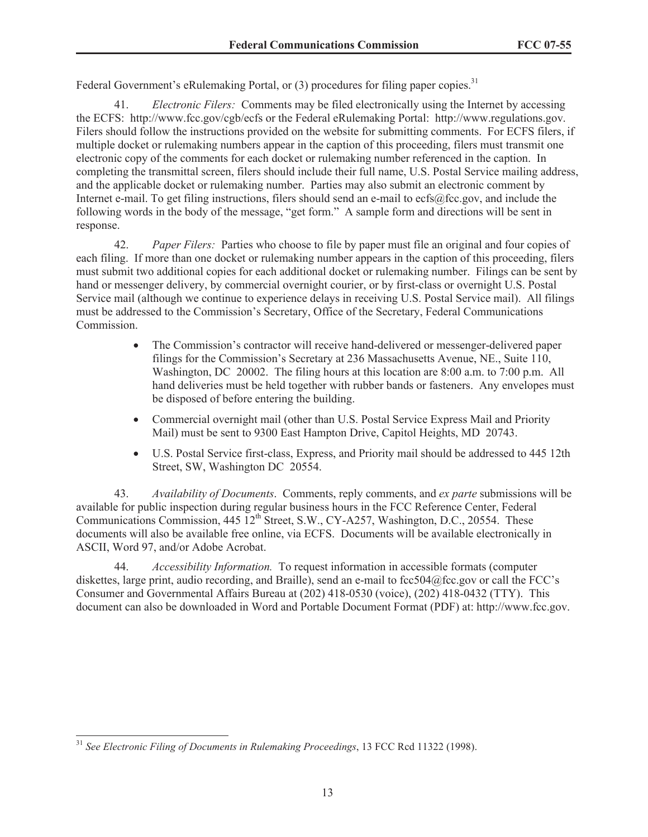Federal Government's eRulemaking Portal, or (3) procedures for filing paper copies.<sup>31</sup>

41. *Electronic Filers:* Comments may be filed electronically using the Internet by accessing the ECFS: http://www.fcc.gov/cgb/ecfs or the Federal eRulemaking Portal: http://www.regulations.gov. Filers should follow the instructions provided on the website for submitting comments. For ECFS filers, if multiple docket or rulemaking numbers appear in the caption of this proceeding, filers must transmit one electronic copy of the comments for each docket or rulemaking number referenced in the caption. In completing the transmittal screen, filers should include their full name, U.S. Postal Service mailing address, and the applicable docket or rulemaking number. Parties may also submit an electronic comment by Internet e-mail. To get filing instructions, filers should send an e-mail to ecfs@fcc.gov, and include the following words in the body of the message, "get form." A sample form and directions will be sent in response.

42. *Paper Filers:* Parties who choose to file by paper must file an original and four copies of each filing. If more than one docket or rulemaking number appears in the caption of this proceeding, filers must submit two additional copies for each additional docket or rulemaking number. Filings can be sent by hand or messenger delivery, by commercial overnight courier, or by first-class or overnight U.S. Postal Service mail (although we continue to experience delays in receiving U.S. Postal Service mail). All filings must be addressed to the Commission's Secretary, Office of the Secretary, Federal Communications Commission.

- The Commission's contractor will receive hand-delivered or messenger-delivered paper filings for the Commission's Secretary at 236 Massachusetts Avenue, NE., Suite 110, Washington, DC 20002. The filing hours at this location are 8:00 a.m. to 7:00 p.m. All hand deliveries must be held together with rubber bands or fasteners. Any envelopes must be disposed of before entering the building.
- Commercial overnight mail (other than U.S. Postal Service Express Mail and Priority Mail) must be sent to 9300 East Hampton Drive, Capitol Heights, MD 20743.
- · U.S. Postal Service first-class, Express, and Priority mail should be addressed to 445 12th Street, SW, Washington DC 20554.

43. *Availability of Documents*. Comments, reply comments, and *ex parte* submissions will be available for public inspection during regular business hours in the FCC Reference Center, Federal Communications Commission, 445 12<sup>th</sup> Street, S.W., CY-A257, Washington, D.C., 20554. These documents will also be available free online, via ECFS. Documents will be available electronically in ASCII, Word 97, and/or Adobe Acrobat.

44. *Accessibility Information.* To request information in accessible formats (computer diskettes, large print, audio recording, and Braille), send an e-mail to fcc504@fcc.gov or call the FCC's Consumer and Governmental Affairs Bureau at (202) 418-0530 (voice), (202) 418-0432 (TTY). This document can also be downloaded in Word and Portable Document Format (PDF) at: http://www.fcc.gov.

<sup>31</sup> *See Electronic Filing of Documents in Rulemaking Proceedings*, 13 FCC Rcd 11322 (1998).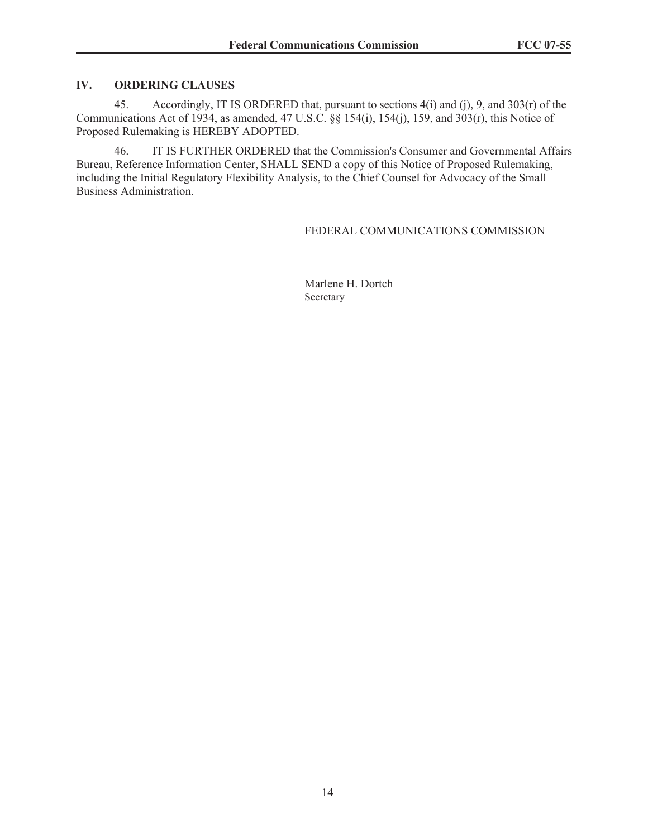### **IV. ORDERING CLAUSES**

45. Accordingly, IT IS ORDERED that, pursuant to sections 4(i) and (j), 9, and 303(r) of the Communications Act of 1934, as amended, 47 U.S.C. §§ 154(i), 154(j), 159, and 303(r), this Notice of Proposed Rulemaking is HEREBY ADOPTED.

46. IT IS FURTHER ORDERED that the Commission's Consumer and Governmental Affairs Bureau, Reference Information Center, SHALL SEND a copy of this Notice of Proposed Rulemaking, including the Initial Regulatory Flexibility Analysis, to the Chief Counsel for Advocacy of the Small Business Administration.

#### FEDERAL COMMUNICATIONS COMMISSION

Marlene H. Dortch Secretary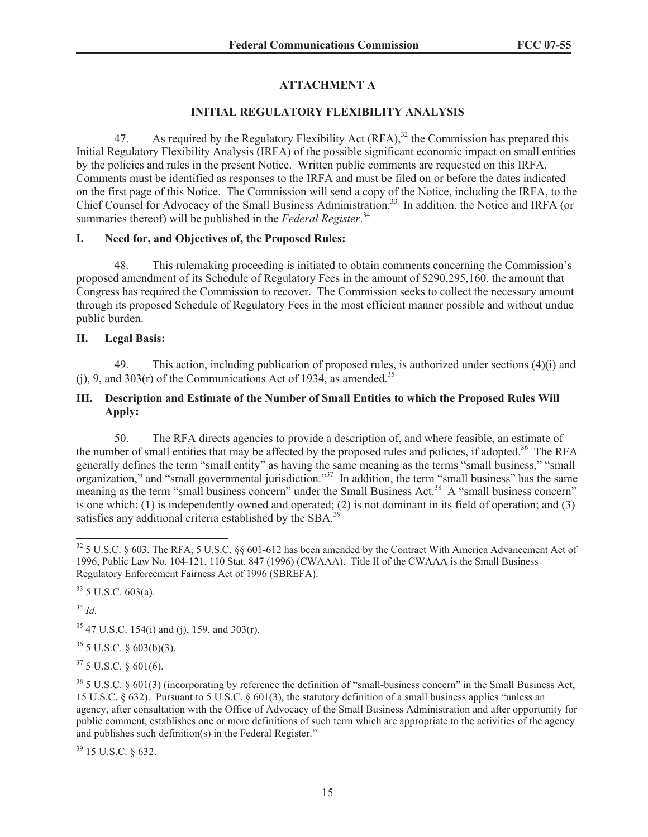## **ATTACHMENT A**

### **INITIAL REGULATORY FLEXIBILITY ANALYSIS**

47. As required by the Regulatory Flexibility Act  $(RFA)$ ,<sup>32</sup>, the Commission has prepared this Initial Regulatory Flexibility Analysis (IRFA) of the possible significant economic impact on small entities by the policies and rules in the present Notice. Written public comments are requested on this IRFA. Comments must be identified as responses to the IRFA and must be filed on or before the dates indicated on the first page of this Notice. The Commission will send a copy of the Notice, including the IRFA, to the Chief Counsel for Advocacy of the Small Business Administration.<sup>33</sup> In addition, the Notice and IRFA (or summaries thereof) will be published in the *Federal Register*.<sup>34</sup>

### **I. Need for, and Objectives of, the Proposed Rules:**

48. This rulemaking proceeding is initiated to obtain comments concerning the Commission's proposed amendment of its Schedule of Regulatory Fees in the amount of \$290,295,160, the amount that Congress has required the Commission to recover. The Commission seeks to collect the necessary amount through its proposed Schedule of Regulatory Fees in the most efficient manner possible and without undue public burden.

### **II. Legal Basis:**

49. This action, including publication of proposed rules, is authorized under sections  $(4)(i)$  and (i), 9, and  $303(r)$  of the Communications Act of 1934, as amended.<sup>35</sup>

## **III. Description and Estimate of the Number of Small Entities to which the Proposed Rules Will Apply:**

50. The RFA directs agencies to provide a description of, and where feasible, an estimate of the number of small entities that may be affected by the proposed rules and policies, if adopted.<sup>36</sup> The RFA generally defines the term "small entity" as having the same meaning as the terms "small business," "small organization," and "small governmental jurisdiction."<sup>37</sup> In addition, the term "small business" has the same meaning as the term "small business concern" under the Small Business Act.<sup>38</sup> A "small business concern" is one which: (1) is independently owned and operated; (2) is not dominant in its field of operation; and (3) satisfies any additional criteria established by the SBA.<sup>3</sup>

 $33$  5 U.S.C. 603(a).

<sup>34</sup> *Id.*

 $35$  47 U.S.C. 154(i) and (j), 159, and 303(r).

 $36$  5 U.S.C. § 603(b)(3).

 $37$  5 U.S.C. § 601(6).

<sup>38</sup> 5 U.S.C. § 601(3) (incorporating by reference the definition of "small-business concern" in the Small Business Act, 15 U.S.C. § 632). Pursuant to 5 U.S.C. § 601(3), the statutory definition of a small business applies "unless an agency, after consultation with the Office of Advocacy of the Small Business Administration and after opportunity for public comment, establishes one or more definitions of such term which are appropriate to the activities of the agency and publishes such definition(s) in the Federal Register."

<sup>39</sup> 15 U.S.C. § 632.

 $32$  5 U.S.C. § 603. The RFA, 5 U.S.C. §§ 601-612 has been amended by the Contract With America Advancement Act of 1996, Public Law No. 104-121, 110 Stat. 847 (1996) (CWAAA). Title II of the CWAAA is the Small Business Regulatory Enforcement Fairness Act of 1996 (SBREFA).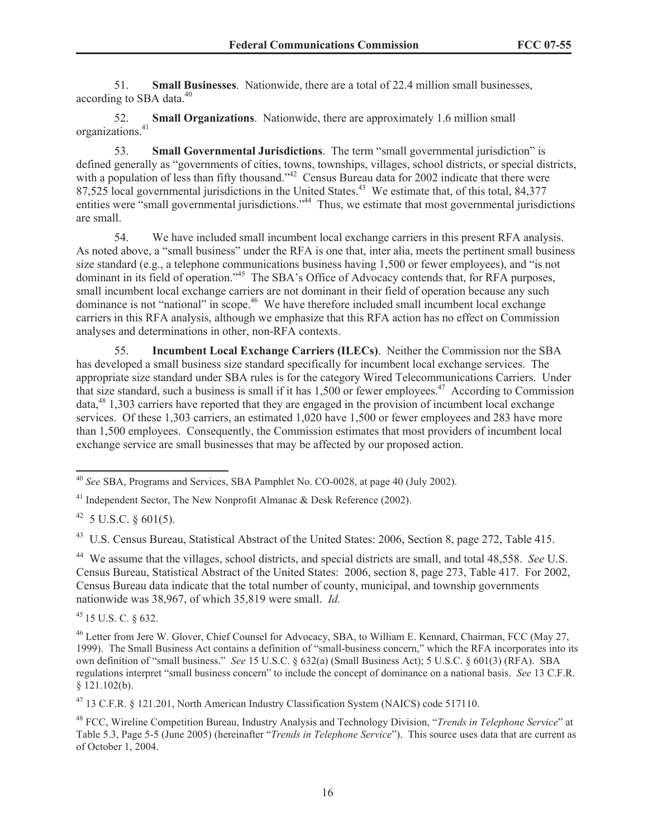51. **Small Businesses**. Nationwide, there are a total of 22.4 million small businesses, according to SBA data.<sup>40</sup>

52. **Small Organizations**. Nationwide, there are approximately 1.6 million small organizations.<sup>41</sup>

53. **Small Governmental Jurisdictions**. The term "small governmental jurisdiction" is defined generally as "governments of cities, towns, townships, villages, school districts, or special districts, with a population of less than fifty thousand."<sup>42</sup> Census Bureau data for 2002 indicate that there were 87,525 local governmental jurisdictions in the United States.<sup>43</sup> We estimate that, of this total, 84,377 entities were "small governmental jurisdictions."<sup>44</sup> Thus, we estimate that most governmental jurisdictions are small.

54. We have included small incumbent local exchange carriers in this present RFA analysis. As noted above, a "small business" under the RFA is one that, inter alia, meets the pertinent small business size standard (e.g., a telephone communications business having 1,500 or fewer employees), and "is not dominant in its field of operation.<sup>45</sup> The SBA's Office of Advocacy contends that, for RFA purposes, small incumbent local exchange carriers are not dominant in their field of operation because any such dominance is not "national" in scope.<sup>46</sup> We have therefore included small incumbent local exchange carriers in this RFA analysis, although we emphasize that this RFA action has no effect on Commission analyses and determinations in other, non-RFA contexts.

55. **Incumbent Local Exchange Carriers (ILECs)**. Neither the Commission nor the SBA has developed a small business size standard specifically for incumbent local exchange services. The appropriate size standard under SBA rules is for the category Wired Telecommunications Carriers. Under that size standard, such a business is small if it has  $1,500$  or fewer employees.<sup>47</sup> According to Commission data,<sup>48</sup> 1,303 carriers have reported that they are engaged in the provision of incumbent local exchange services. Of these 1,303 carriers, an estimated 1,020 have 1,500 or fewer employees and 283 have more than 1,500 employees. Consequently, the Commission estimates that most providers of incumbent local exchange service are small businesses that may be affected by our proposed action.

<sup>43</sup> U.S. Census Bureau, Statistical Abstract of the United States: 2006, Section 8, page 272, Table 415.

<sup>44</sup> We assume that the villages, school districts, and special districts are small, and total 48,558. *See* U.S. Census Bureau, Statistical Abstract of the United States: 2006, section 8, page 273, Table 417. For 2002, Census Bureau data indicate that the total number of county, municipal, and township governments nationwide was 38,967, of which 35,819 were small. *Id.*

<sup>45</sup> 15 U.S. C. § 632.

<sup>47</sup> 13 C.F.R. § 121.201, North American Industry Classification System (NAICS) code 517110.

<sup>40</sup> *See* SBA, Programs and Services, SBA Pamphlet No. CO-0028, at page 40 (July 2002).

<sup>&</sup>lt;sup>41</sup> Independent Sector, The New Nonprofit Almanac  $\&$  Desk Reference (2002).

 $42$  5 U.S.C. § 601(5).

<sup>46</sup> Letter from Jere W. Glover, Chief Counsel for Advocacy, SBA, to William E. Kennard, Chairman, FCC (May 27, 1999). The Small Business Act contains a definition of "small-business concern," which the RFA incorporates into its own definition of "small business." *See* 15 U.S.C. § 632(a) (Small Business Act); 5 U.S.C. § 601(3) (RFA). SBA regulations interpret "small business concern" to include the concept of dominance on a national basis. *See* 13 C.F.R. § 121.102(b).

<sup>48</sup> FCC, Wireline Competition Bureau, Industry Analysis and Technology Division, "*Trends in Telephone Service*" at Table 5.3, Page 5-5 (June 2005) (hereinafter "*Trends in Telephone Service*"). This source uses data that are current as of October 1, 2004.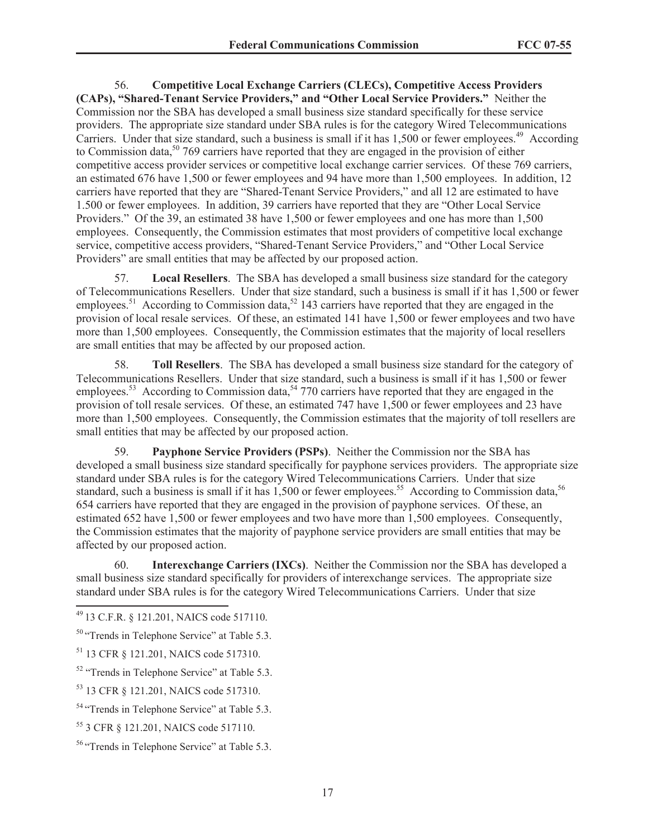56. **Competitive Local Exchange Carriers (CLECs), Competitive Access Providers (CAPs), "Shared-Tenant Service Providers," and "Other Local Service Providers."** Neither the Commission nor the SBA has developed a small business size standard specifically for these service providers. The appropriate size standard under SBA rules is for the category Wired Telecommunications Carriers. Under that size standard, such a business is small if it has 1,500 or fewer employees.<sup>49</sup> According to Commission data,  $50\,769$  carriers have reported that they are engaged in the provision of either competitive access provider services or competitive local exchange carrier services. Of these 769 carriers, an estimated 676 have 1,500 or fewer employees and 94 have more than 1,500 employees. In addition, 12 carriers have reported that they are "Shared-Tenant Service Providers," and all 12 are estimated to have 1.500 or fewer employees. In addition, 39 carriers have reported that they are "Other Local Service Providers." Of the 39, an estimated 38 have 1,500 or fewer employees and one has more than 1,500 employees. Consequently, the Commission estimates that most providers of competitive local exchange service, competitive access providers, "Shared-Tenant Service Providers," and "Other Local Service Providers" are small entities that may be affected by our proposed action.

57. **Local Resellers**. The SBA has developed a small business size standard for the category of Telecommunications Resellers. Under that size standard, such a business is small if it has 1,500 or fewer employees.<sup>51</sup> According to Commission data,<sup>52</sup> 143 carriers have reported that they are engaged in the provision of local resale services. Of these, an estimated 141 have 1,500 or fewer employees and two have more than 1,500 employees. Consequently, the Commission estimates that the majority of local resellers are small entities that may be affected by our proposed action.

58. **Toll Resellers**. The SBA has developed a small business size standard for the category of Telecommunications Resellers. Under that size standard, such a business is small if it has 1,500 or fewer employees.<sup>53</sup> According to Commission data,<sup>54</sup> 770 carriers have reported that they are engaged in the provision of toll resale services. Of these, an estimated 747 have 1,500 or fewer employees and 23 have more than 1,500 employees. Consequently, the Commission estimates that the majority of toll resellers are small entities that may be affected by our proposed action.

59. **Payphone Service Providers (PSPs)**. Neither the Commission nor the SBA has developed a small business size standard specifically for payphone services providers. The appropriate size standard under SBA rules is for the category Wired Telecommunications Carriers. Under that size standard, such a business is small if it has  $1,500$  or fewer employees.<sup>55</sup> According to Commission data,<sup>56</sup> 654 carriers have reported that they are engaged in the provision of payphone services. Of these, an estimated 652 have 1,500 or fewer employees and two have more than 1,500 employees. Consequently, the Commission estimates that the majority of payphone service providers are small entities that may be affected by our proposed action.

60. **Interexchange Carriers (IXCs)**. Neither the Commission nor the SBA has developed a small business size standard specifically for providers of interexchange services. The appropriate size standard under SBA rules is for the category Wired Telecommunications Carriers. Under that size

<sup>49</sup> 13 C.F.R. § 121.201, NAICS code 517110.

<sup>&</sup>lt;sup>50</sup> "Trends in Telephone Service" at Table 5.3.

<sup>51</sup> 13 CFR § 121.201, NAICS code 517310.

<sup>52</sup> "Trends in Telephone Service" at Table 5.3.

<sup>53</sup> 13 CFR § 121.201, NAICS code 517310.

<sup>&</sup>lt;sup>54</sup> "Trends in Telephone Service" at Table 5.3.

<sup>55</sup> 3 CFR § 121.201, NAICS code 517110.

<sup>56</sup> "Trends in Telephone Service" at Table 5.3.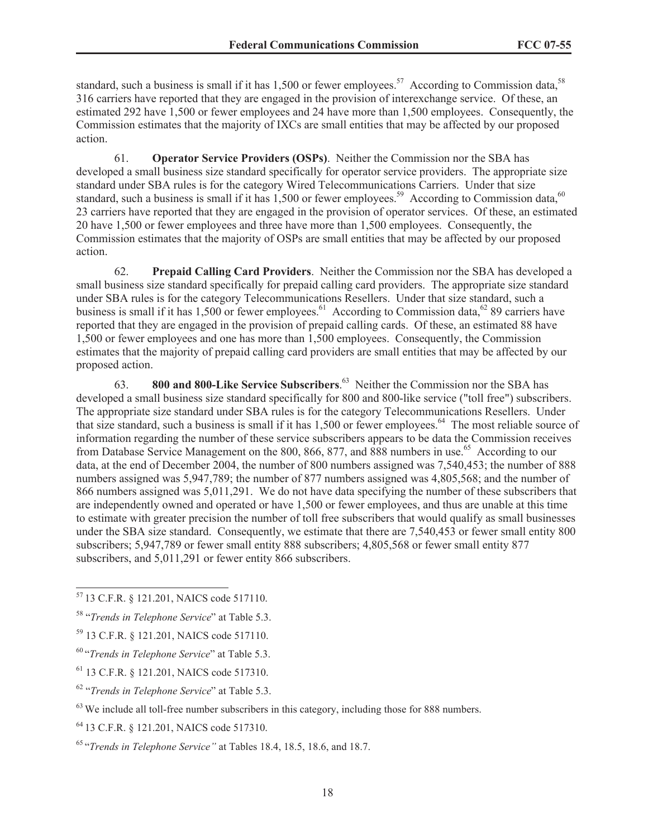standard, such a business is small if it has 1,500 or fewer employees.<sup>57</sup> According to Commission data,<sup>58</sup> 316 carriers have reported that they are engaged in the provision of interexchange service. Of these, an estimated 292 have 1,500 or fewer employees and 24 have more than 1,500 employees. Consequently, the Commission estimates that the majority of IXCs are small entities that may be affected by our proposed action.

61. **Operator Service Providers (OSPs)**. Neither the Commission nor the SBA has developed a small business size standard specifically for operator service providers. The appropriate size standard under SBA rules is for the category Wired Telecommunications Carriers. Under that size standard, such a business is small if it has  $1,500$  or fewer employees.<sup>59</sup> According to Commission data,<sup>60</sup> 23 carriers have reported that they are engaged in the provision of operator services. Of these, an estimated 20 have 1,500 or fewer employees and three have more than 1,500 employees. Consequently, the Commission estimates that the majority of OSPs are small entities that may be affected by our proposed action.

62. **Prepaid Calling Card Providers**. Neither the Commission nor the SBA has developed a small business size standard specifically for prepaid calling card providers. The appropriate size standard under SBA rules is for the category Telecommunications Resellers. Under that size standard, such a business is small if it has 1,500 or fewer employees.<sup>61</sup> According to Commission data,<sup>62</sup> 89 carriers have reported that they are engaged in the provision of prepaid calling cards. Of these, an estimated 88 have 1,500 or fewer employees and one has more than 1,500 employees. Consequently, the Commission estimates that the majority of prepaid calling card providers are small entities that may be affected by our proposed action.

63. **800 and 800-Like Service Subscribers**. <sup>63</sup> Neither the Commission nor the SBA has developed a small business size standard specifically for 800 and 800-like service ("toll free") subscribers. The appropriate size standard under SBA rules is for the category Telecommunications Resellers. Under that size standard, such a business is small if it has  $1,500$  or fewer employees.<sup>64</sup> The most reliable source of information regarding the number of these service subscribers appears to be data the Commission receives from Database Service Management on the 800, 866, 877, and 888 numbers in use.<sup>65</sup> According to our data, at the end of December 2004, the number of 800 numbers assigned was 7,540,453; the number of 888 numbers assigned was 5,947,789; the number of 877 numbers assigned was 4,805,568; and the number of 866 numbers assigned was 5,011,291. We do not have data specifying the number of these subscribers that are independently owned and operated or have 1,500 or fewer employees, and thus are unable at this time to estimate with greater precision the number of toll free subscribers that would qualify as small businesses under the SBA size standard. Consequently, we estimate that there are 7,540,453 or fewer small entity 800 subscribers; 5,947,789 or fewer small entity 888 subscribers; 4,805,568 or fewer small entity 877 subscribers, and 5,011,291 or fewer entity 866 subscribers.

<sup>57</sup> 13 C.F.R. § 121.201, NAICS code 517110.

<sup>58</sup> "*Trends in Telephone Service*" at Table 5.3.

<sup>59</sup> 13 C.F.R. § 121.201, NAICS code 517110.

<sup>60</sup> "*Trends in Telephone Service*" at Table 5.3.

<sup>61</sup> 13 C.F.R. § 121.201, NAICS code 517310.

<sup>62</sup> "*Trends in Telephone Service*" at Table 5.3.

 $63$  We include all toll-free number subscribers in this category, including those for 888 numbers.

<sup>64</sup> 13 C.F.R. § 121.201, NAICS code 517310.

<sup>65</sup> "*Trends in Telephone Service"* at Tables 18.4, 18.5, 18.6, and 18.7.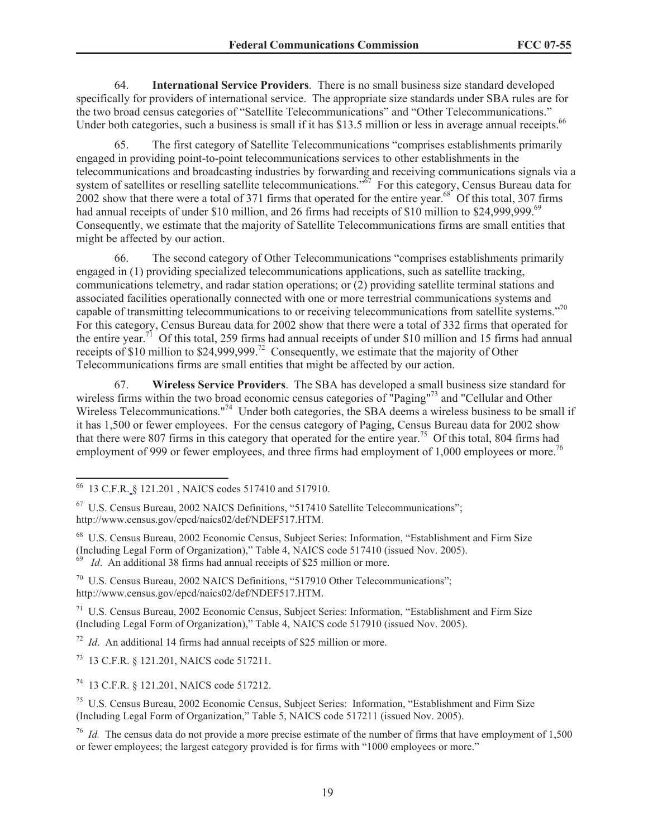64. **International Service Providers**. There is no small business size standard developed specifically for providers of international service. The appropriate size standards under SBA rules are for the two broad census categories of "Satellite Telecommunications" and "Other Telecommunications." Under both categories, such a business is small if it has \$13.5 million or less in average annual receipts.<sup>66</sup>

65. The first category of Satellite Telecommunications "comprises establishments primarily engaged in providing point-to-point telecommunications services to other establishments in the telecommunications and broadcasting industries by forwarding and receiving communications signals via a system of satellites or reselling satellite telecommunications."<sup>67</sup> For this category, Census Bureau data for 2002 show that there were a total of 371 firms that operated for the entire year.<sup>68</sup> Of this total, 307 firms had annual receipts of under \$10 million, and 26 firms had receipts of \$10 million to \$24,999,999.<sup>69</sup> Consequently, we estimate that the majority of Satellite Telecommunications firms are small entities that might be affected by our action.

66. The second category of Other Telecommunications "comprises establishments primarily engaged in (1) providing specialized telecommunications applications, such as satellite tracking, communications telemetry, and radar station operations; or (2) providing satellite terminal stations and associated facilities operationally connected with one or more terrestrial communications systems and capable of transmitting telecommunications to or receiving telecommunications from satellite systems."<sup>70</sup> For this category, Census Bureau data for 2002 show that there were a total of 332 firms that operated for the entire year.<sup>71</sup> Of this total, 259 firms had annual receipts of under \$10 million and 15 firms had annual receipts of \$10 million to \$24,999,999.<sup>72</sup> Consequently, we estimate that the majority of Other Telecommunications firms are small entities that might be affected by our action.

67. **Wireless Service Providers**. The SBA has developed a small business size standard for wireless firms within the two broad economic census categories of "Paging"<sup>73</sup> and "Cellular and Other Wireless Telecommunications."<sup>74</sup> Under both categories, the SBA deems a wireless business to be small if it has 1,500 or fewer employees. For the census category of Paging, Census Bureau data for 2002 show that there were 807 firms in this category that operated for the entire year.<sup>75</sup> Of this total, 804 firms had employment of 999 or fewer employees, and three firms had employment of 1,000 employees or more.<sup>76</sup>

 $72$  *Id.* An additional 14 firms had annual receipts of \$25 million or more.

<sup>73</sup> 13 C.F.R. § 121.201, NAICS code 517211.

<sup>74</sup> 13 C.F.R. § 121.201, NAICS code 517212.

<sup>66</sup> 13 C.F.R. § 121.201 , NAICS codes 517410 and 517910.

<sup>67</sup> U.S. Census Bureau, 2002 NAICS Definitions, "517410 Satellite Telecommunications"; http://www.census.gov/epcd/naics02/def/NDEF517.HTM.

<sup>68</sup> U.S. Census Bureau, 2002 Economic Census, Subject Series: Information, "Establishment and Firm Size (Including Legal Form of Organization)," Table 4, NAICS code 517410 (issued Nov. 2005). <sup>69</sup> *Id.* An additional 38 firms had annual receipts of \$25 million or more.

<sup>70</sup> U.S. Census Bureau, 2002 NAICS Definitions, "517910 Other Telecommunications"; http://www.census.gov/epcd/naics02/def/NDEF517.HTM.

<sup>71</sup> U.S. Census Bureau, 2002 Economic Census, Subject Series: Information, "Establishment and Firm Size (Including Legal Form of Organization)," Table 4, NAICS code 517910 (issued Nov. 2005).

<sup>75</sup> U.S. Census Bureau, 2002 Economic Census, Subject Series: Information, "Establishment and Firm Size (Including Legal Form of Organization," Table 5, NAICS code 517211 (issued Nov. 2005).

<sup>&</sup>lt;sup>76</sup> *Id.* The census data do not provide a more precise estimate of the number of firms that have employment of 1.500 or fewer employees; the largest category provided is for firms with "1000 employees or more."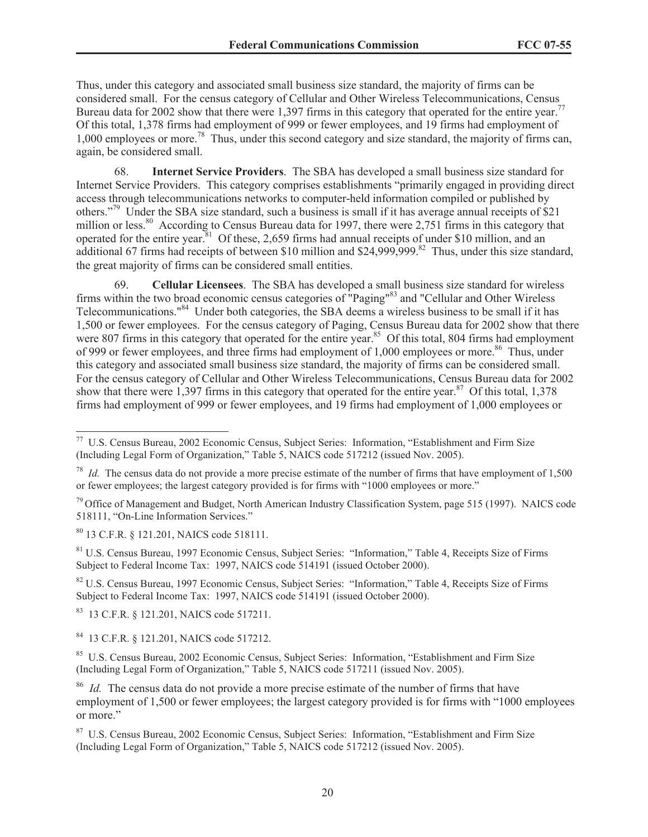Thus, under this category and associated small business size standard, the majority of firms can be considered small. For the census category of Cellular and Other Wireless Telecommunications, Census Bureau data for 2002 show that there were 1,397 firms in this category that operated for the entire year.<sup>77</sup> Of this total, 1,378 firms had employment of 999 or fewer employees, and 19 firms had employment of 1,000 employees or more.<sup>78</sup> Thus, under this second category and size standard, the majority of firms can, again, be considered small.

68. **Internet Service Providers**. The SBA has developed a small business size standard for Internet Service Providers. This category comprises establishments "primarily engaged in providing direct access through telecommunications networks to computer-held information compiled or published by others."<sup>79</sup> Under the SBA size standard, such a business is small if it has average annual receipts of \$21 million or less.<sup>80</sup> According to Census Bureau data for 1997, there were 2,751 firms in this category that operated for the entire year.<sup>81</sup> Of these, 2,659 firms had annual receipts of under \$10 million, and an additional 67 firms had receipts of between \$10 million and \$24,999,999.<sup>82</sup> Thus, under this size standard, the great majority of firms can be considered small entities.

69. **Cellular Licensees**. The SBA has developed a small business size standard for wireless firms within the two broad economic census categories of "Paging"<sup>83</sup> and "Cellular and Other Wireless Telecommunications."<sup>84</sup> Under both categories, the SBA deems a wireless business to be small if it has 1,500 or fewer employees. For the census category of Paging, Census Bureau data for 2002 show that there were 807 firms in this category that operated for the entire year.<sup>85</sup> Of this total, 804 firms had employment of 999 or fewer employees, and three firms had employment of 1,000 employees or more.<sup>86</sup> Thus, under this category and associated small business size standard, the majority of firms can be considered small. For the census category of Cellular and Other Wireless Telecommunications, Census Bureau data for 2002 show that there were 1,397 firms in this category that operated for the entire year.<sup>87</sup> Of this total, 1,378 firms had employment of 999 or fewer employees, and 19 firms had employment of 1,000 employees or

<sup>80</sup> 13 C.F.R. § 121.201, NAICS code 518111.

<sup>81</sup> U.S. Census Bureau, 1997 Economic Census, Subject Series: "Information," Table 4, Receipts Size of Firms Subject to Federal Income Tax: 1997, NAICS code 514191 (issued October 2000).

<sup>82</sup> U.S. Census Bureau, 1997 Economic Census, Subject Series: "Information," Table 4, Receipts Size of Firms Subject to Federal Income Tax: 1997, NAICS code 514191 (issued October 2000).

<sup>83</sup> 13 C.F.R. § 121.201, NAICS code 517211.

<sup>84</sup> 13 C.F.R. § 121.201, NAICS code 517212.

<sup>85</sup> U.S. Census Bureau, 2002 Economic Census, Subject Series: Information, "Establishment and Firm Size (Including Legal Form of Organization," Table 5, NAICS code 517211 (issued Nov. 2005).

<sup>77</sup> U.S. Census Bureau, 2002 Economic Census, Subject Series: Information, "Establishment and Firm Size (Including Legal Form of Organization," Table 5, NAICS code 517212 (issued Nov. 2005).

<sup>&</sup>lt;sup>78</sup> *Id.* The census data do not provide a more precise estimate of the number of firms that have employment of 1,500 or fewer employees; the largest category provided is for firms with "1000 employees or more."

 $79$  Office of Management and Budget, North American Industry Classification System, page 515 (1997). NAICS code 518111, "On-Line Information Services."

<sup>&</sup>lt;sup>86</sup> *Id.* The census data do not provide a more precise estimate of the number of firms that have employment of 1,500 or fewer employees; the largest category provided is for firms with "1000 employees or more."

<sup>87</sup> U.S. Census Bureau, 2002 Economic Census, Subject Series: Information, "Establishment and Firm Size (Including Legal Form of Organization," Table 5, NAICS code 517212 (issued Nov. 2005).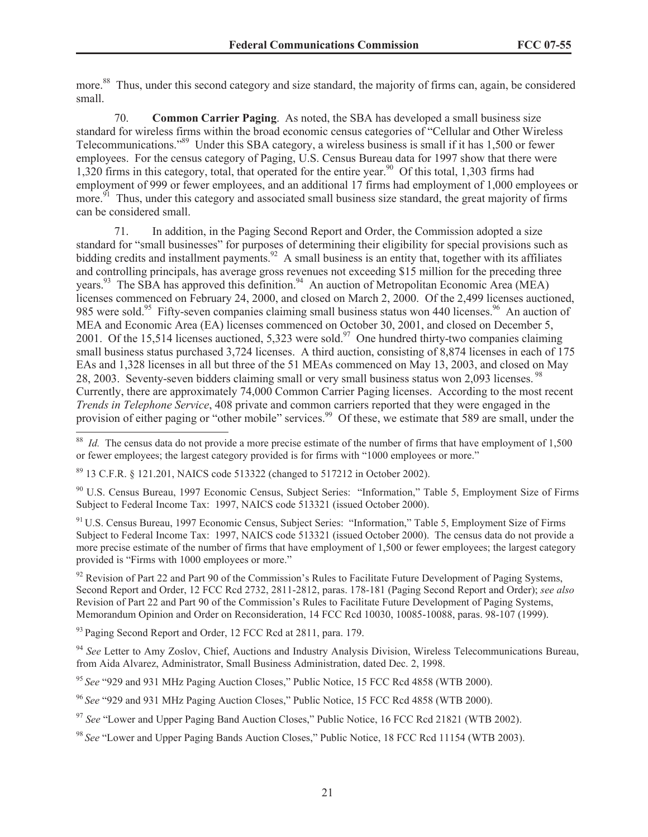more.<sup>88</sup> Thus, under this second category and size standard, the majority of firms can, again, be considered small.

70. **Common Carrier Paging**. As noted, the SBA has developed a small business size standard for wireless firms within the broad economic census categories of "Cellular and Other Wireless Telecommunications."<sup>89</sup> Under this SBA category, a wireless business is small if it has 1,500 or fewer employees. For the census category of Paging, U.S. Census Bureau data for 1997 show that there were 1,320 firms in this category, total, that operated for the entire year.<sup>90</sup> Of this total, 1,303 firms had employment of 999 or fewer employees, and an additional 17 firms had employment of 1,000 employees or more.<sup>91</sup> Thus, under this category and associated small business size standard, the great majority of firms can be considered small.

71. In addition, in the Paging Second Report and Order, the Commission adopted a size standard for "small businesses" for purposes of determining their eligibility for special provisions such as bidding credits and installment payments.<sup>92</sup> A small business is an entity that, together with its affiliates and controlling principals, has average gross revenues not exceeding \$15 million for the preceding three years.<sup>93</sup> The SBA has approved this definition.<sup>94</sup> An auction of Metropolitan Economic Area (MEA) licenses commenced on February 24, 2000, and closed on March 2, 2000. Of the 2,499 licenses auctioned, 985 were sold.<sup>95</sup> Fifty-seven companies claiming small business status won 440 licenses.<sup>96</sup> An auction of MEA and Economic Area (EA) licenses commenced on October 30, 2001, and closed on December 5, 2001. Of the 15,514 licenses auctioned, 5,323 were sold.<sup>97</sup> One hundred thirty-two companies claiming small business status purchased 3,724 licenses. A third auction, consisting of 8,874 licenses in each of 175 EAs and 1,328 licenses in all but three of the 51 MEAs commenced on May 13, 2003, and closed on May 28, 2003. Seventy-seven bidders claiming small or very small business status won 2,093 licenses.<sup>98</sup> Currently, there are approximately 74,000 Common Carrier Paging licenses. According to the most recent *Trends in Telephone Service*, 408 private and common carriers reported that they were engaged in the provision of either paging or "other mobile" services.<sup>99</sup> Of these, we estimate that 589 are small, under the

<sup>91</sup> U.S. Census Bureau, 1997 Economic Census, Subject Series: "Information," Table 5, Employment Size of Firms Subject to Federal Income Tax: 1997, NAICS code 513321 (issued October 2000). The census data do not provide a more precise estimate of the number of firms that have employment of 1,500 or fewer employees; the largest category provided is "Firms with 1000 employees or more."

 $92$  Revision of Part 22 and Part 90 of the Commission's Rules to Facilitate Future Development of Paging Systems, Second Report and Order, 12 FCC Rcd 2732, 2811-2812, paras. 178-181 (Paging Second Report and Order); *see also* Revision of Part 22 and Part 90 of the Commission's Rules to Facilitate Future Development of Paging Systems, Memorandum Opinion and Order on Reconsideration, 14 FCC Rcd 10030, 10085-10088, paras. 98-107 (1999).

<sup>93</sup> Paging Second Report and Order, 12 FCC Rcd at 2811, para. 179.

<sup>94</sup> *See* Letter to Amy Zoslov, Chief, Auctions and Industry Analysis Division, Wireless Telecommunications Bureau, from Aida Alvarez, Administrator, Small Business Administration, dated Dec. 2, 1998.

<sup>95</sup> *See* "929 and 931 MHz Paging Auction Closes," Public Notice, 15 FCC Rcd 4858 (WTB 2000).

<sup>96</sup> *See* "929 and 931 MHz Paging Auction Closes," Public Notice, 15 FCC Rcd 4858 (WTB 2000).

<sup>97</sup> See "Lower and Upper Paging Band Auction Closes," Public Notice, 16 FCC Rcd 21821 (WTB 2002).

<sup>98</sup> *See* "Lower and Upper Paging Bands Auction Closes," Public Notice, 18 FCC Rcd 11154 (WTB 2003).

<sup>&</sup>lt;sup>88</sup> *Id.* The census data do not provide a more precise estimate of the number of firms that have employment of 1,500 or fewer employees; the largest category provided is for firms with "1000 employees or more."

<sup>89</sup> 13 C.F.R. § 121.201, NAICS code 513322 (changed to 517212 in October 2002).

<sup>90</sup> U.S. Census Bureau, 1997 Economic Census, Subject Series: "Information," Table 5, Employment Size of Firms Subject to Federal Income Tax: 1997, NAICS code 513321 (issued October 2000).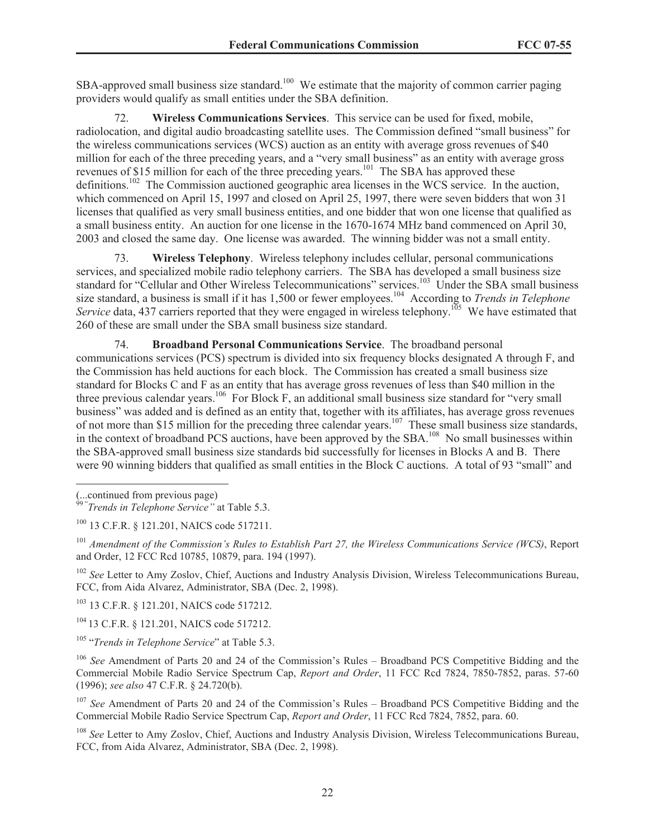SBA-approved small business size standard.<sup>100</sup> We estimate that the majority of common carrier paging providers would qualify as small entities under the SBA definition.

72. **Wireless Communications Services**. This service can be used for fixed, mobile, radiolocation, and digital audio broadcasting satellite uses. The Commission defined "small business" for the wireless communications services (WCS) auction as an entity with average gross revenues of \$40 million for each of the three preceding years, and a "very small business" as an entity with average gross revenues of \$15 million for each of the three preceding years.<sup>101</sup> The SBA has approved these definitions.<sup>102</sup> The Commission auctioned geographic area licenses in the WCS service. In the auction, which commenced on April 15, 1997 and closed on April 25, 1997, there were seven bidders that won 31 licenses that qualified as very small business entities, and one bidder that won one license that qualified as a small business entity. An auction for one license in the 1670-1674 MHz band commenced on April 30, 2003 and closed the same day. One license was awarded. The winning bidder was not a small entity.

73. **Wireless Telephony**. Wireless telephony includes cellular, personal communications services, and specialized mobile radio telephony carriers. The SBA has developed a small business size standard for "Cellular and Other Wireless Telecommunications" services.<sup>103</sup> Under the SBA small business size standard, a business is small if it has 1,500 or fewer employees.<sup>104</sup> According to *Trends in Telephone Service* data, 437 carriers reported that they were engaged in wireless telephony.<sup>105</sup> We have estimated that 260 of these are small under the SBA small business size standard.

74. **Broadband Personal Communications Service**. The broadband personal communications services (PCS) spectrum is divided into six frequency blocks designated A through F, and the Commission has held auctions for each block. The Commission has created a small business size standard for Blocks C and F as an entity that has average gross revenues of less than \$40 million in the three previous calendar years.<sup>106</sup> For Block F, an additional small business size standard for "very small business" was added and is defined as an entity that, together with its affiliates, has average gross revenues of not more than \$15 million for the preceding three calendar years.<sup>107</sup> These small business size standards, in the context of broadband PCS auctions, have been approved by the SBA.<sup>108</sup> No small businesses within the SBA-approved small business size standards bid successfully for licenses in Blocks A and B. There were 90 winning bidders that qualified as small entities in the Block C auctions. A total of 93 "small" and

<sup>102</sup> *See* Letter to Amy Zoslov, Chief, Auctions and Industry Analysis Division, Wireless Telecommunications Bureau, FCC, from Aida Alvarez, Administrator, SBA (Dec. 2, 1998).

<sup>103</sup> 13 C.F.R. § 121.201, NAICS code 517212.

<sup>104</sup> 13 C.F.R. § 121.201, NAICS code 517212.

<sup>105</sup> "*Trends in Telephone Service*" at Table 5.3.

<sup>106</sup> *See* Amendment of Parts 20 and 24 of the Commission's Rules – Broadband PCS Competitive Bidding and the Commercial Mobile Radio Service Spectrum Cap, *Report and Order*, 11 FCC Rcd 7824, 7850-7852, paras. 57-60 (1996); *see also* 47 C.F.R. § 24.720(b).

<sup>107</sup> *See* Amendment of Parts 20 and 24 of the Commission's Rules – Broadband PCS Competitive Bidding and the Commercial Mobile Radio Service Spectrum Cap, *Report and Order*, 11 FCC Rcd 7824, 7852, para. 60.

<sup>108</sup> *See* Letter to Amy Zoslov, Chief, Auctions and Industry Analysis Division, Wireless Telecommunications Bureau, FCC, from Aida Alvarez, Administrator, SBA (Dec. 2, 1998).

<sup>(...</sup>continued from previous page) 99 " *Trends in Telephone Service"* at Table 5.3.

<sup>100</sup> 13 C.F.R. § 121.201, NAICS code 517211.

<sup>101</sup> *Amendment of the Commission's Rules to Establish Part 27, the Wireless Communications Service (WCS)*, Report and Order, 12 FCC Rcd 10785, 10879, para. 194 (1997).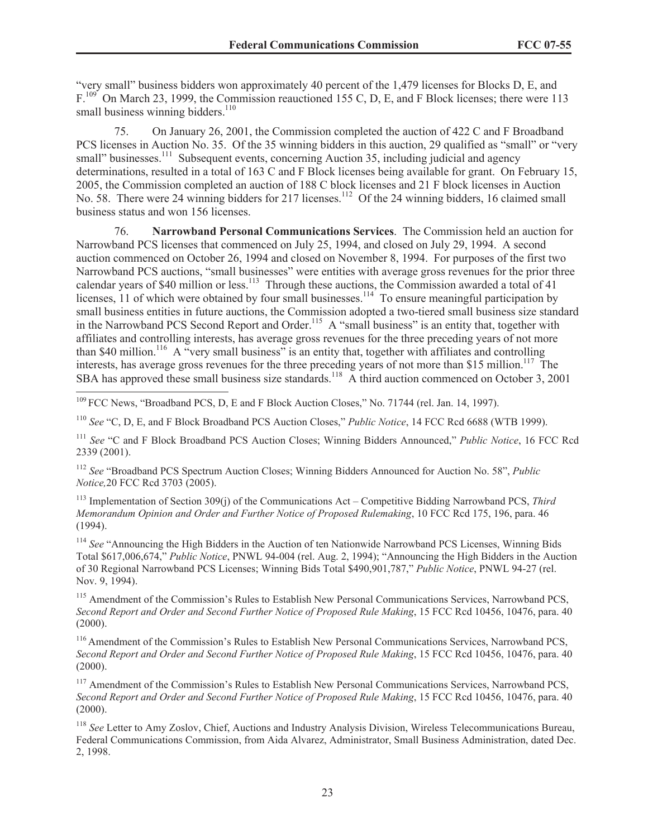"very small" business bidders won approximately 40 percent of the 1,479 licenses for Blocks D, E, and F.<sup>109</sup> On March 23, 1999, the Commission reauctioned 155 C, D, E, and F Block licenses; there were 113 small business winning bidders. $110$ 

75. On January 26, 2001, the Commission completed the auction of 422 C and F Broadband PCS licenses in Auction No. 35. Of the 35 winning bidders in this auction, 29 qualified as "small" or "very small" businesses.<sup>111</sup> Subsequent events, concerning Auction 35, including judicial and agency determinations, resulted in a total of 163 C and F Block licenses being available for grant. On February 15, 2005, the Commission completed an auction of 188 C block licenses and 21 F block licenses in Auction No. 58. There were 24 winning bidders for 217 licenses.<sup>112</sup> Of the 24 winning bidders, 16 claimed small business status and won 156 licenses.

76. **Narrowband Personal Communications Services**. The Commission held an auction for Narrowband PCS licenses that commenced on July 25, 1994, and closed on July 29, 1994. A second auction commenced on October 26, 1994 and closed on November 8, 1994. For purposes of the first two Narrowband PCS auctions, "small businesses" were entities with average gross revenues for the prior three calendar years of \$40 million or less.<sup>113</sup> Through these auctions, the Commission awarded a total of 41 licenses, 11 of which were obtained by four small businesses.<sup>114</sup> To ensure meaningful participation by small business entities in future auctions, the Commission adopted a two-tiered small business size standard in the Narrowband PCS Second Report and Order.<sup>115</sup> A "small business" is an entity that, together with affiliates and controlling interests, has average gross revenues for the three preceding years of not more than \$40 million.<sup>116</sup> A "very small business" is an entity that, together with affiliates and controlling interests, has average gross revenues for the three preceding years of not more than \$15 million.<sup>117</sup> The SBA has approved these small business size standards.<sup>118</sup> A third auction commenced on October 3, 2001

<sup>109</sup> FCC News, "Broadband PCS, D. E and F Block Auction Closes," No. 71744 (rel. Jan. 14, 1997).

<sup>110</sup> *See* "C, D, E, and F Block Broadband PCS Auction Closes," *Public Notice*, 14 FCC Rcd 6688 (WTB 1999).

<sup>111</sup> *See* "C and F Block Broadband PCS Auction Closes; Winning Bidders Announced," *Public Notice*, 16 FCC Rcd 2339 (2001).

<sup>112</sup> *See* "Broadband PCS Spectrum Auction Closes; Winning Bidders Announced for Auction No. 58", *Public Notice,*20 FCC Rcd 3703 (2005).

<sup>113</sup> Implementation of Section 309(j) of the Communications Act – Competitive Bidding Narrowband PCS, *Third Memorandum Opinion and Order and Further Notice of Proposed Rulemaking*, 10 FCC Rcd 175, 196, para. 46 (1994).

<sup>114</sup> *See* "Announcing the High Bidders in the Auction of ten Nationwide Narrowband PCS Licenses, Winning Bids Total \$617,006,674," *Public Notice*, PNWL 94-004 (rel. Aug. 2, 1994); "Announcing the High Bidders in the Auction of 30 Regional Narrowband PCS Licenses; Winning Bids Total \$490,901,787," *Public Notice*, PNWL 94-27 (rel. Nov. 9, 1994).

<sup>115</sup> Amendment of the Commission's Rules to Establish New Personal Communications Services, Narrowband PCS, *Second Report and Order and Second Further Notice of Proposed Rule Making*, 15 FCC Rcd 10456, 10476, para. 40  $(2000)$ .

<sup>116</sup> Amendment of the Commission's Rules to Establish New Personal Communications Services, Narrowband PCS, *Second Report and Order and Second Further Notice of Proposed Rule Making*, 15 FCC Rcd 10456, 10476, para. 40 (2000).

<sup>117</sup> Amendment of the Commission's Rules to Establish New Personal Communications Services, Narrowband PCS, *Second Report and Order and Second Further Notice of Proposed Rule Making*, 15 FCC Rcd 10456, 10476, para. 40 (2000).

<sup>118</sup> *See* Letter to Amy Zoslov, Chief, Auctions and Industry Analysis Division, Wireless Telecommunications Bureau, Federal Communications Commission, from Aida Alvarez, Administrator, Small Business Administration, dated Dec. 2, 1998.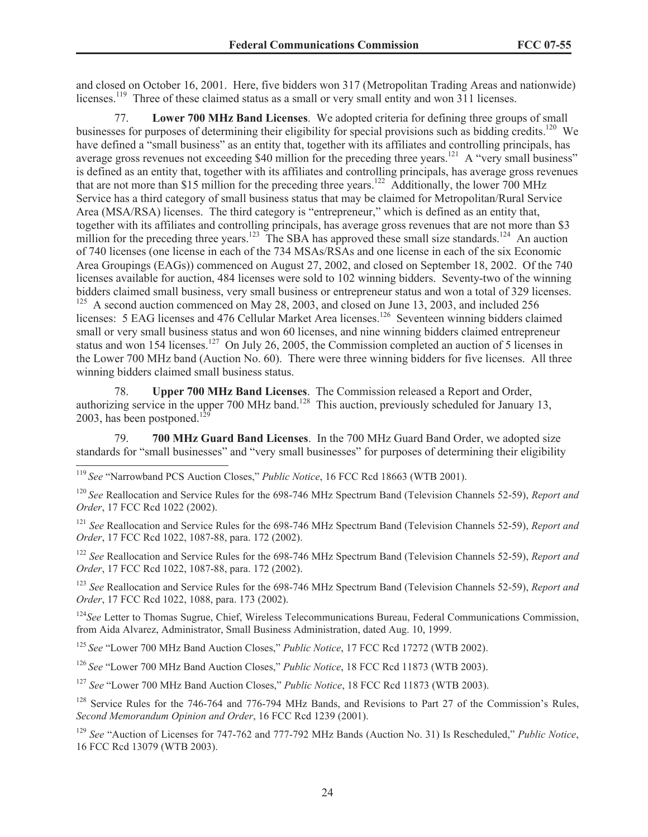and closed on October 16, 2001. Here, five bidders won 317 (Metropolitan Trading Areas and nationwide) licenses.<sup>119</sup> Three of these claimed status as a small or very small entity and won 311 licenses.

77. **Lower 700 MHz Band Licenses**. We adopted criteria for defining three groups of small businesses for purposes of determining their eligibility for special provisions such as bidding credits.<sup>120</sup> We have defined a "small business" as an entity that, together with its affiliates and controlling principals, has average gross revenues not exceeding \$40 million for the preceding three years.<sup>121</sup> A "very small business" is defined as an entity that, together with its affiliates and controlling principals, has average gross revenues that are not more than \$15 million for the preceding three years.<sup>122</sup> Additionally, the lower 700 MHz Service has a third category of small business status that may be claimed for Metropolitan/Rural Service Area (MSA/RSA) licenses. The third category is "entrepreneur," which is defined as an entity that, together with its affiliates and controlling principals, has average gross revenues that are not more than \$3 million for the preceding three years.<sup>123</sup> The SBA has approved these small size standards.<sup>124</sup> An auction of 740 licenses (one license in each of the 734 MSAs/RSAs and one license in each of the six Economic Area Groupings (EAGs)) commenced on August 27, 2002, and closed on September 18, 2002. Of the 740 licenses available for auction, 484 licenses were sold to 102 winning bidders. Seventy-two of the winning bidders claimed small business, very small business or entrepreneur status and won a total of 329 licenses. <sup>125</sup> A second auction commenced on May 28, 2003, and closed on June 13, 2003, and included 256 licenses: 5 EAG licenses and 476 Cellular Market Area licenses.<sup>126</sup> Seventeen winning bidders claimed small or very small business status and won 60 licenses, and nine winning bidders claimed entrepreneur status and won 154 licenses.<sup>127</sup> On July 26, 2005, the Commission completed an auction of 5 licenses in the Lower 700 MHz band (Auction No. 60). There were three winning bidders for five licenses. All three winning bidders claimed small business status.

78. **Upper 700 MHz Band Licenses**. The Commission released a Report and Order, authorizing service in the upper 700 MHz band.<sup>128</sup> This auction, previously scheduled for January 13, 2003, has been postponed.<sup>129</sup>

79. **700 MHz Guard Band Licenses**. In the 700 MHz Guard Band Order, we adopted size standards for "small businesses" and "very small businesses" for purposes of determining their eligibility

<sup>120</sup> *See* Reallocation and Service Rules for the 698-746 MHz Spectrum Band (Television Channels 52-59), *Report and Order*, 17 FCC Rcd 1022 (2002).

<sup>121</sup> *See* Reallocation and Service Rules for the 698-746 MHz Spectrum Band (Television Channels 52-59), *Report and Order*, 17 FCC Rcd 1022, 1087-88, para. 172 (2002).

<sup>122</sup> *See* Reallocation and Service Rules for the 698-746 MHz Spectrum Band (Television Channels 52-59), *Report and Order*, 17 FCC Rcd 1022, 1087-88, para. 172 (2002).

<sup>123</sup> *See* Reallocation and Service Rules for the 698-746 MHz Spectrum Band (Television Channels 52-59), *Report and Order*, 17 FCC Rcd 1022, 1088, para. 173 (2002).

<sup>124</sup>See Letter to Thomas Sugrue, Chief, Wireless Telecommunications Bureau, Federal Communications Commission, from Aida Alvarez, Administrator, Small Business Administration, dated Aug. 10, 1999.

<sup>125</sup> *See* "Lower 700 MHz Band Auction Closes," *Public Notice*, 17 FCC Rcd 17272 (WTB 2002).

<sup>126</sup> *See* "Lower 700 MHz Band Auction Closes," *Public Notice*, 18 FCC Rcd 11873 (WTB 2003).

<sup>127</sup> *See* "Lower 700 MHz Band Auction Closes," *Public Notice*, 18 FCC Rcd 11873 (WTB 2003).

<sup>128</sup> Service Rules for the 746-764 and 776-794 MHz Bands, and Revisions to Part 27 of the Commission's Rules, *Second Memorandum Opinion and Order*, 16 FCC Rcd 1239 (2001).

<sup>129</sup> *See* "Auction of Licenses for 747-762 and 777-792 MHz Bands (Auction No. 31) Is Rescheduled," *Public Notice*, 16 FCC Rcd 13079 (WTB 2003).

<sup>119</sup> *See* "Narrowband PCS Auction Closes," *Public Notice*, 16 FCC Rcd 18663 (WTB 2001).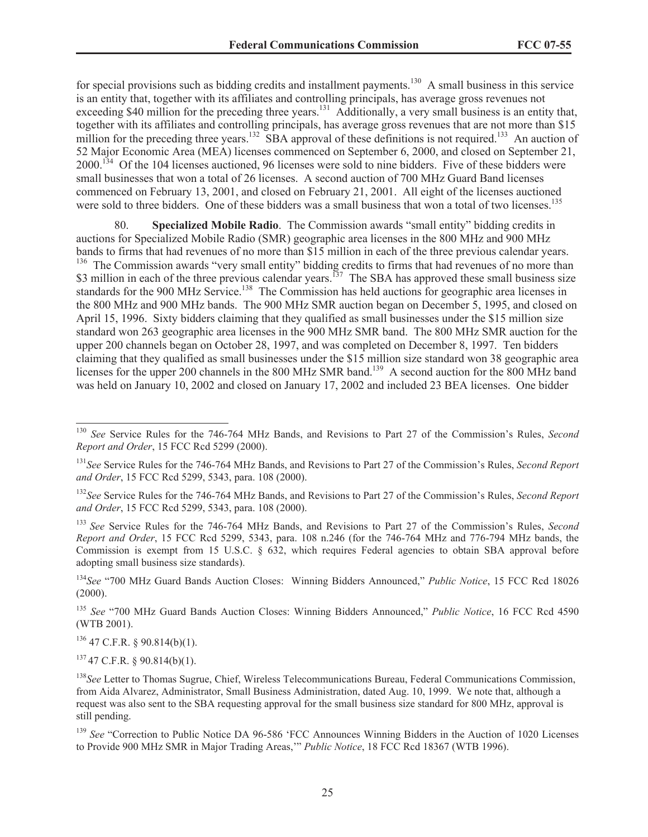for special provisions such as bidding credits and installment payments.<sup>130</sup> A small business in this service is an entity that, together with its affiliates and controlling principals, has average gross revenues not exceeding \$40 million for the preceding three years.<sup>131</sup> Additionally, a very small business is an entity that, together with its affiliates and controlling principals, has average gross revenues that are not more than \$15 million for the preceding three years.<sup>132</sup> SBA approval of these definitions is not required.<sup>133</sup> An auction of 52 Major Economic Area (MEA) licenses commenced on September 6, 2000, and closed on September 21, 2000.<sup>134</sup> Of the 104 licenses auctioned, 96 licenses were sold to nine bidders. Five of these bidders were small businesses that won a total of 26 licenses. A second auction of 700 MHz Guard Band licenses commenced on February 13, 2001, and closed on February 21, 2001. All eight of the licenses auctioned were sold to three bidders. One of these bidders was a small business that won a total of two licenses.<sup>135</sup>

80. **Specialized Mobile Radio**. The Commission awards "small entity" bidding credits in auctions for Specialized Mobile Radio (SMR) geographic area licenses in the 800 MHz and 900 MHz bands to firms that had revenues of no more than \$15 million in each of the three previous calendar years. <sup>136</sup> The Commission awards "very small entity" bidding credits to firms that had revenues of no more than \$3 million in each of the three previous calendar years.<sup>137</sup> The SBA has approved these small business size standards for the 900 MHz Service.<sup>138</sup> The Commission has held auctions for geographic area licenses in the 800 MHz and 900 MHz bands. The 900 MHz SMR auction began on December 5, 1995, and closed on April 15, 1996. Sixty bidders claiming that they qualified as small businesses under the \$15 million size standard won 263 geographic area licenses in the 900 MHz SMR band. The 800 MHz SMR auction for the upper 200 channels began on October 28, 1997, and was completed on December 8, 1997. Ten bidders claiming that they qualified as small businesses under the \$15 million size standard won 38 geographic area licenses for the upper 200 channels in the 800 MHz SMR band.<sup>139</sup> A second auction for the 800 MHz band was held on January 10, 2002 and closed on January 17, 2002 and included 23 BEA licenses. One bidder

<sup>133</sup> *See* Service Rules for the 746-764 MHz Bands, and Revisions to Part 27 of the Commission's Rules, *Second Report and Order*, 15 FCC Rcd 5299, 5343, para. 108 n.246 (for the 746-764 MHz and 776-794 MHz bands, the Commission is exempt from 15 U.S.C. § 632, which requires Federal agencies to obtain SBA approval before adopting small business size standards).

<sup>134</sup>*See* "700 MHz Guard Bands Auction Closes: Winning Bidders Announced," *Public Notice*, 15 FCC Rcd 18026 (2000).

<sup>135</sup> *See* "700 MHz Guard Bands Auction Closes: Winning Bidders Announced," *Public Notice*, 16 FCC Rcd 4590 (WTB 2001).

 $136$  47 C.F.R. § 90.814(b)(1).

 $137$  47 C.F.R. § 90.814(b)(1).

<sup>138</sup>*See* Letter to Thomas Sugrue, Chief, Wireless Telecommunications Bureau, Federal Communications Commission, from Aida Alvarez, Administrator, Small Business Administration, dated Aug. 10, 1999. We note that, although a request was also sent to the SBA requesting approval for the small business size standard for 800 MHz, approval is still pending.

<sup>139</sup> *See* "Correction to Public Notice DA 96-586 'FCC Announces Winning Bidders in the Auction of 1020 Licenses to Provide 900 MHz SMR in Major Trading Areas,'" *Public Notice*, 18 FCC Rcd 18367 (WTB 1996).

<sup>130</sup> *See* Service Rules for the 746-764 MHz Bands, and Revisions to Part 27 of the Commission's Rules, *Second Report and Order*, 15 FCC Rcd 5299 (2000).

<sup>131</sup>*See* Service Rules for the 746-764 MHz Bands, and Revisions to Part 27 of the Commission's Rules, *Second Report and Order*, 15 FCC Rcd 5299, 5343, para. 108 (2000).

<sup>132</sup>*See* Service Rules for the 746-764 MHz Bands, and Revisions to Part 27 of the Commission's Rules, *Second Report and Order*, 15 FCC Rcd 5299, 5343, para. 108 (2000).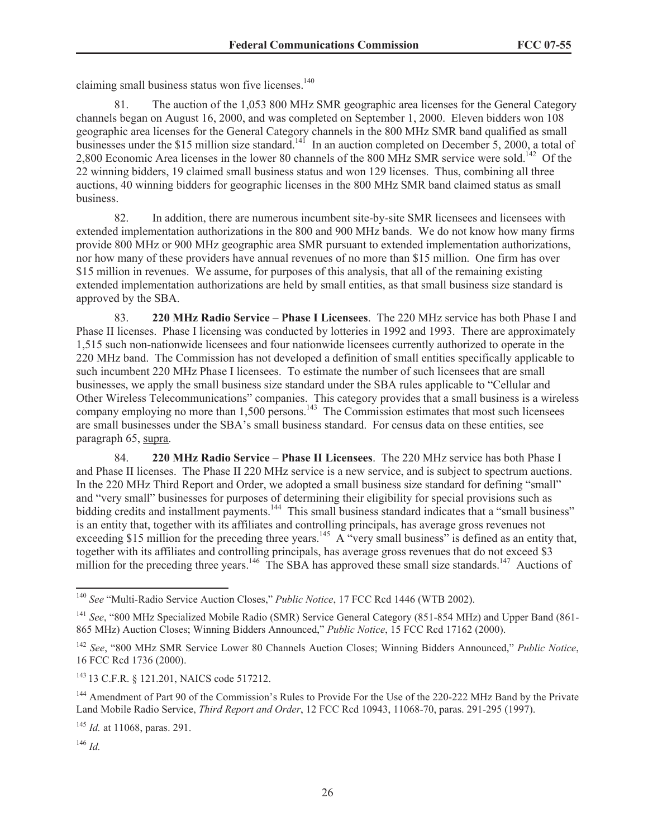claiming small business status won five licenses.<sup>140</sup>

81. The auction of the 1,053 800 MHz SMR geographic area licenses for the General Category channels began on August 16, 2000, and was completed on September 1, 2000. Eleven bidders won 108 geographic area licenses for the General Category channels in the 800 MHz SMR band qualified as small businesses under the \$15 million size standard.<sup>141</sup> In an auction completed on December 5, 2000, a total of 2,800 Economic Area licenses in the lower 80 channels of the 800 MHz SMR service were sold.<sup>142</sup> Of the 22 winning bidders, 19 claimed small business status and won 129 licenses. Thus, combining all three auctions, 40 winning bidders for geographic licenses in the 800 MHz SMR band claimed status as small business.

82. In addition, there are numerous incumbent site-by-site SMR licensees and licensees with extended implementation authorizations in the 800 and 900 MHz bands. We do not know how many firms provide 800 MHz or 900 MHz geographic area SMR pursuant to extended implementation authorizations, nor how many of these providers have annual revenues of no more than \$15 million. One firm has over \$15 million in revenues. We assume, for purposes of this analysis, that all of the remaining existing extended implementation authorizations are held by small entities, as that small business size standard is approved by the SBA.

83. **220 MHz Radio Service – Phase I Licensees**. The 220 MHz service has both Phase I and Phase II licenses. Phase I licensing was conducted by lotteries in 1992 and 1993. There are approximately 1,515 such non-nationwide licensees and four nationwide licensees currently authorized to operate in the 220 MHz band. The Commission has not developed a definition of small entities specifically applicable to such incumbent 220 MHz Phase I licensees. To estimate the number of such licensees that are small businesses, we apply the small business size standard under the SBA rules applicable to "Cellular and Other Wireless Telecommunications" companies. This category provides that a small business is a wireless company employing no more than  $1,500$  persons.<sup>143</sup> The Commission estimates that most such licensees are small businesses under the SBA's small business standard. For census data on these entities, see paragraph 65, supra.

84. **220 MHz Radio Service – Phase II Licensees**. The 220 MHz service has both Phase I and Phase II licenses. The Phase II 220 MHz service is a new service, and is subject to spectrum auctions. In the 220 MHz Third Report and Order, we adopted a small business size standard for defining "small" and "very small" businesses for purposes of determining their eligibility for special provisions such as bidding credits and installment payments.<sup>144</sup> This small business standard indicates that a "small business" is an entity that, together with its affiliates and controlling principals, has average gross revenues not exceeding \$15 million for the preceding three years.<sup>145</sup> A "very small business" is defined as an entity that, together with its affiliates and controlling principals, has average gross revenues that do not exceed \$3 million for the preceding three years.<sup>146</sup> The SBA has approved these small size standards.<sup>147</sup> Auctions of

<sup>146</sup> *Id.*

<sup>140</sup> *See* "Multi-Radio Service Auction Closes," *Public Notice*, 17 FCC Rcd 1446 (WTB 2002).

<sup>&</sup>lt;sup>141</sup> *See*, "800 MHz Specialized Mobile Radio (SMR) Service General Category (851-854 MHz) and Upper Band (861-865 MHz) Auction Closes; Winning Bidders Announced," *Public Notice*, 15 FCC Rcd 17162 (2000).

<sup>142</sup> *See*, "800 MHz SMR Service Lower 80 Channels Auction Closes; Winning Bidders Announced," *Public Notice*, 16 FCC Rcd 1736 (2000).

<sup>143</sup> 13 C.F.R. § 121.201, NAICS code 517212.

<sup>&</sup>lt;sup>144</sup> Amendment of Part 90 of the Commission's Rules to Provide For the Use of the 220-222 MHz Band by the Private Land Mobile Radio Service, *Third Report and Order*, 12 FCC Rcd 10943, 11068-70, paras. 291-295 (1997).

<sup>145</sup> *Id.* at 11068, paras. 291.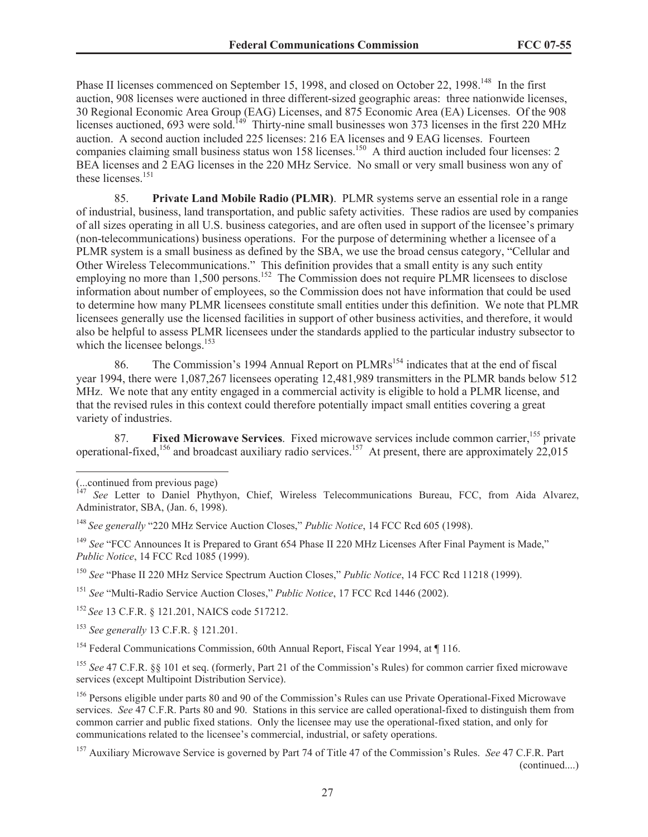Phase II licenses commenced on September 15, 1998, and closed on October 22, 1998.<sup>148</sup> In the first auction, 908 licenses were auctioned in three different-sized geographic areas: three nationwide licenses, 30 Regional Economic Area Group (EAG) Licenses, and 875 Economic Area (EA) Licenses. Of the 908 licenses auctioned, 693 were sold.<sup>149</sup> Thirty-nine small businesses won 373 licenses in the first 220 MHz auction. A second auction included 225 licenses: 216 EA licenses and 9 EAG licenses. Fourteen companies claiming small business status won 158 licenses.<sup>150</sup> A third auction included four licenses: 2 BEA licenses and 2 EAG licenses in the 220 MHz Service. No small or very small business won any of these licenses.<sup>151</sup>

85. **Private Land Mobile Radio (PLMR)**. PLMR systems serve an essential role in a range of industrial, business, land transportation, and public safety activities. These radios are used by companies of all sizes operating in all U.S. business categories, and are often used in support of the licensee's primary (non-telecommunications) business operations. For the purpose of determining whether a licensee of a PLMR system is a small business as defined by the SBA, we use the broad census category, "Cellular and Other Wireless Telecommunications." This definition provides that a small entity is any such entity employing no more than 1,500 persons.<sup>152</sup> The Commission does not require PLMR licensees to disclose information about number of employees, so the Commission does not have information that could be used to determine how many PLMR licensees constitute small entities under this definition. We note that PLMR licensees generally use the licensed facilities in support of other business activities, and therefore, it would also be helpful to assess PLMR licensees under the standards applied to the particular industry subsector to which the licensee belongs. $153$ 

86. The Commission's 1994 Annual Report on  $PLMRs<sup>154</sup>$  indicates that at the end of fiscal year 1994, there were 1,087,267 licensees operating 12,481,989 transmitters in the PLMR bands below 512 MHz. We note that any entity engaged in a commercial activity is eligible to hold a PLMR license, and that the revised rules in this context could therefore potentially impact small entities covering a great variety of industries.

87. **Fixed Microwave Services**. Fixed microwave services include common carrier,<sup>155</sup> private operational-fixed,<sup>156</sup> and broadcast auxiliary radio services.<sup>157</sup> At present, there are approximately  $22,015$ 

<sup>149</sup> See "FCC Announces It is Prepared to Grant 654 Phase II 220 MHz Licenses After Final Payment is Made." *Public Notice*, 14 FCC Rcd 1085 (1999).

<sup>150</sup> *See* "Phase II 220 MHz Service Spectrum Auction Closes," *Public Notice*, 14 FCC Rcd 11218 (1999).

<sup>151</sup> *See* "Multi-Radio Service Auction Closes," *Public Notice*, 17 FCC Rcd 1446 (2002).

<sup>152</sup> *See* 13 C.F.R. § 121.201, NAICS code 517212.

<sup>153</sup> *See generally* 13 C.F.R. § 121.201.

<sup>154</sup> Federal Communications Commission, 60th Annual Report, Fiscal Year 1994, at ¶ 116.

<sup>155</sup> *See* 47 C.F.R. §§ 101 et seq. (formerly, Part 21 of the Commission's Rules) for common carrier fixed microwave services (except Multipoint Distribution Service).

<sup>156</sup> Persons eligible under parts 80 and 90 of the Commission's Rules can use Private Operational-Fixed Microwave services. *See* 47 C.F.R. Parts 80 and 90. Stations in this service are called operational-fixed to distinguish them from common carrier and public fixed stations. Only the licensee may use the operational-fixed station, and only for communications related to the licensee's commercial, industrial, or safety operations.

<sup>157</sup> Auxiliary Microwave Service is governed by Part 74 of Title 47 of the Commission's Rules. *See* 47 C.F.R. Part (continued....)

<sup>(...</sup>continued from previous page)

<sup>&</sup>lt;sup>147</sup> See Letter to Daniel Phythyon, Chief, Wireless Telecommunications Bureau, FCC, from Aida Alvarez, Administrator, SBA, (Jan. 6, 1998).

<sup>&</sup>lt;sup>148</sup> See generally "220 MHz Service Auction Closes," Public Notice, 14 FCC Rcd 605 (1998).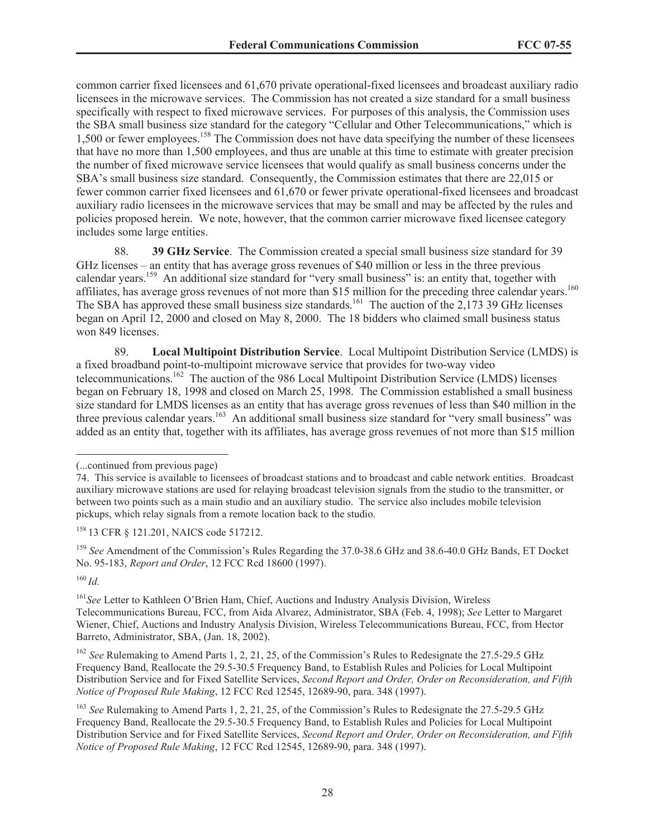common carrier fixed licensees and 61,670 private operational-fixed licensees and broadcast auxiliary radio licensees in the microwave services. The Commission has not created a size standard for a small business specifically with respect to fixed microwave services. For purposes of this analysis, the Commission uses the SBA small business size standard for the category "Cellular and Other Telecommunications," which is 1,500 or fewer employees.<sup>158</sup> The Commission does not have data specifying the number of these licensees that have no more than 1,500 employees, and thus are unable at this time to estimate with greater precision the number of fixed microwave service licensees that would qualify as small business concerns under the SBA's small business size standard. Consequently, the Commission estimates that there are 22,015 or fewer common carrier fixed licensees and 61,670 or fewer private operational-fixed licensees and broadcast auxiliary radio licensees in the microwave services that may be small and may be affected by the rules and policies proposed herein. We note, however, that the common carrier microwave fixed licensee category includes some large entities.

88. **39 GHz Service**. The Commission created a special small business size standard for 39 GHz licenses – an entity that has average gross revenues of \$40 million or less in the three previous calendar years.<sup>159</sup> An additional size standard for "very small business" is: an entity that, together with affiliates, has average gross revenues of not more than \$15 million for the preceding three calendar years.<sup>160</sup> The SBA has approved these small business size standards.<sup>161</sup> The auction of the 2,173 39 GHz licenses began on April 12, 2000 and closed on May 8, 2000. The 18 bidders who claimed small business status won 849 licenses.

89. **Local Multipoint Distribution Service**. Local Multipoint Distribution Service (LMDS) is a fixed broadband point-to-multipoint microwave service that provides for two-way video telecommunications.<sup>162</sup> The auction of the 986 Local Multipoint Distribution Service (LMDS) licenses began on February 18, 1998 and closed on March 25, 1998. The Commission established a small business size standard for LMDS licenses as an entity that has average gross revenues of less than \$40 million in the three previous calendar years.<sup>163</sup> An additional small business size standard for "very small business" was added as an entity that, together with its affiliates, has average gross revenues of not more than \$15 million

<sup>159</sup> See Amendment of the Commission's Rules Regarding the 37.0-38.6 GHz and 38.6-40.0 GHz Bands, ET Docket No. 95-183, *Report and Order*, 12 FCC Rcd 18600 (1997).

<sup>160</sup> *Id.*

<sup>161</sup>*See* Letter to Kathleen O'Brien Ham, Chief, Auctions and Industry Analysis Division, Wireless Telecommunications Bureau, FCC, from Aida Alvarez, Administrator, SBA (Feb. 4, 1998); *See* Letter to Margaret Wiener, Chief, Auctions and Industry Analysis Division, Wireless Telecommunications Bureau, FCC, from Hector Barreto, Administrator, SBA, (Jan. 18, 2002).

<sup>162</sup> *See* Rulemaking to Amend Parts 1, 2, 21, 25, of the Commission's Rules to Redesignate the 27.5-29.5 GHz Frequency Band, Reallocate the 29.5-30.5 Frequency Band, to Establish Rules and Policies for Local Multipoint Distribution Service and for Fixed Satellite Services, *Second Report and Order, Order on Reconsideration, and Fifth Notice of Proposed Rule Making*, 12 FCC Rcd 12545, 12689-90, para. 348 (1997).

<sup>(...</sup>continued from previous page)

<sup>74.</sup> This service is available to licensees of broadcast stations and to broadcast and cable network entities. Broadcast auxiliary microwave stations are used for relaying broadcast television signals from the studio to the transmitter, or between two points such as a main studio and an auxiliary studio. The service also includes mobile television pickups, which relay signals from a remote location back to the studio.

<sup>158</sup> 13 CFR § 121.201, NAICS code 517212.

<sup>&</sup>lt;sup>163</sup> See Rulemaking to Amend Parts 1, 2, 21, 25, of the Commission's Rules to Redesignate the 27.5-29.5 GHz Frequency Band, Reallocate the 29.5-30.5 Frequency Band, to Establish Rules and Policies for Local Multipoint Distribution Service and for Fixed Satellite Services, *Second Report and Order, Order on Reconsideration, and Fifth Notice of Proposed Rule Making*, 12 FCC Rcd 12545, 12689-90, para. 348 (1997).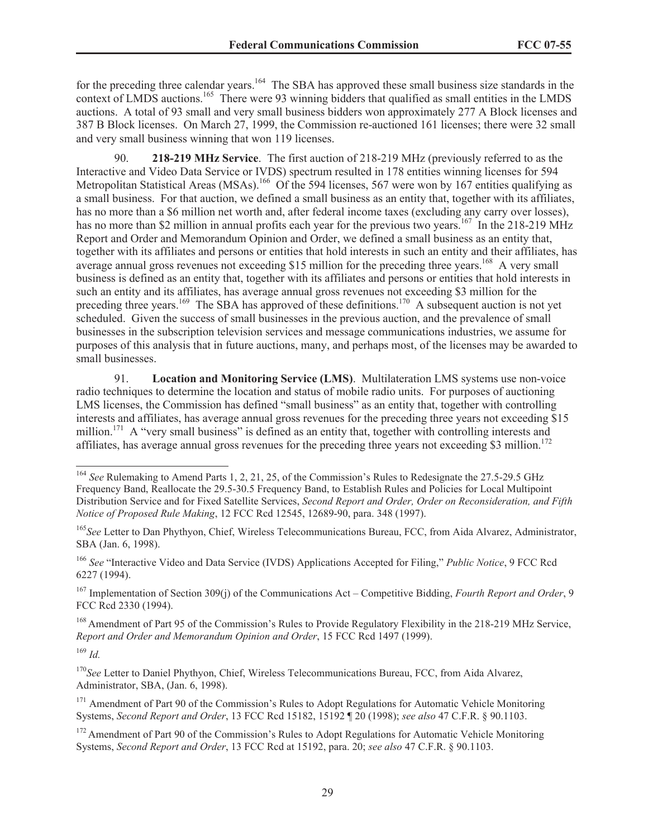for the preceding three calendar years.<sup>164</sup> The SBA has approved these small business size standards in the context of LMDS auctions.<sup>165</sup> There were 93 winning bidders that qualified as small entities in the LMDS auctions. A total of 93 small and very small business bidders won approximately 277 A Block licenses and 387 B Block licenses. On March 27, 1999, the Commission re-auctioned 161 licenses; there were 32 small and very small business winning that won 119 licenses.

90. **218-219 MHz Service**. The first auction of 218-219 MHz (previously referred to as the Interactive and Video Data Service or IVDS) spectrum resulted in 178 entities winning licenses for 594 Metropolitan Statistical Areas (MSAs).<sup>166</sup> Of the 594 licenses, 567 were won by 167 entities qualifying as a small business. For that auction, we defined a small business as an entity that, together with its affiliates, has no more than a \$6 million net worth and, after federal income taxes (excluding any carry over losses), has no more than \$2 million in annual profits each year for the previous two years.<sup>167</sup> In the 218-219 MHz Report and Order and Memorandum Opinion and Order, we defined a small business as an entity that, together with its affiliates and persons or entities that hold interests in such an entity and their affiliates, has average annual gross revenues not exceeding \$15 million for the preceding three years.<sup>168</sup> A very small business is defined as an entity that, together with its affiliates and persons or entities that hold interests in such an entity and its affiliates, has average annual gross revenues not exceeding \$3 million for the preceding three years.<sup>169</sup> The SBA has approved of these definitions.<sup>170</sup> A subsequent auction is not yet scheduled. Given the success of small businesses in the previous auction, and the prevalence of small businesses in the subscription television services and message communications industries, we assume for purposes of this analysis that in future auctions, many, and perhaps most, of the licenses may be awarded to small businesses.

91. **Location and Monitoring Service (LMS)**. Multilateration LMS systems use non-voice radio techniques to determine the location and status of mobile radio units. For purposes of auctioning LMS licenses, the Commission has defined "small business" as an entity that, together with controlling interests and affiliates, has average annual gross revenues for the preceding three years not exceeding \$15 million.<sup>171</sup> A "very small business" is defined as an entity that, together with controlling interests and affiliates, has average annual gross revenues for the preceding three years not exceeding \$3 million.<sup>172</sup>

<sup>166</sup> *See* "Interactive Video and Data Service (IVDS) Applications Accepted for Filing," *Public Notice*, 9 FCC Rcd 6227 (1994).

<sup>167</sup> Implementation of Section 309(j) of the Communications Act – Competitive Bidding, *Fourth Report and Order*, 9 FCC Rcd 2330 (1994).

<sup>168</sup> Amendment of Part 95 of the Commission's Rules to Provide Regulatory Flexibility in the 218-219 MHz Service, *Report and Order and Memorandum Opinion and Order*, 15 FCC Rcd 1497 (1999).

<sup>169</sup> *Id.*

<sup>170</sup>See Letter to Daniel Phythyon, Chief, Wireless Telecommunications Bureau, FCC, from Aida Alvarez, Administrator, SBA, (Jan. 6, 1998).

<sup>171</sup> Amendment of Part 90 of the Commission's Rules to Adopt Regulations for Automatic Vehicle Monitoring Systems, *Second Report and Order*, 13 FCC Rcd 15182, 15192 ¶ 20 (1998); *see also* 47 C.F.R. § 90.1103.

<sup>172</sup> Amendment of Part 90 of the Commission's Rules to Adopt Regulations for Automatic Vehicle Monitoring Systems, *Second Report and Order*, 13 FCC Rcd at 15192, para. 20; *see also* 47 C.F.R. § 90.1103.

<sup>&</sup>lt;sup>164</sup> See Rulemaking to Amend Parts 1, 2, 21, 25, of the Commission's Rules to Redesignate the 27.5-29.5 GHz Frequency Band, Reallocate the 29.5-30.5 Frequency Band, to Establish Rules and Policies for Local Multipoint Distribution Service and for Fixed Satellite Services, *Second Report and Order, Order on Reconsideration, and Fifth Notice of Proposed Rule Making*, 12 FCC Rcd 12545, 12689-90, para. 348 (1997).

<sup>165</sup>*See* Letter to Dan Phythyon, Chief, Wireless Telecommunications Bureau, FCC, from Aida Alvarez, Administrator, SBA (Jan. 6, 1998).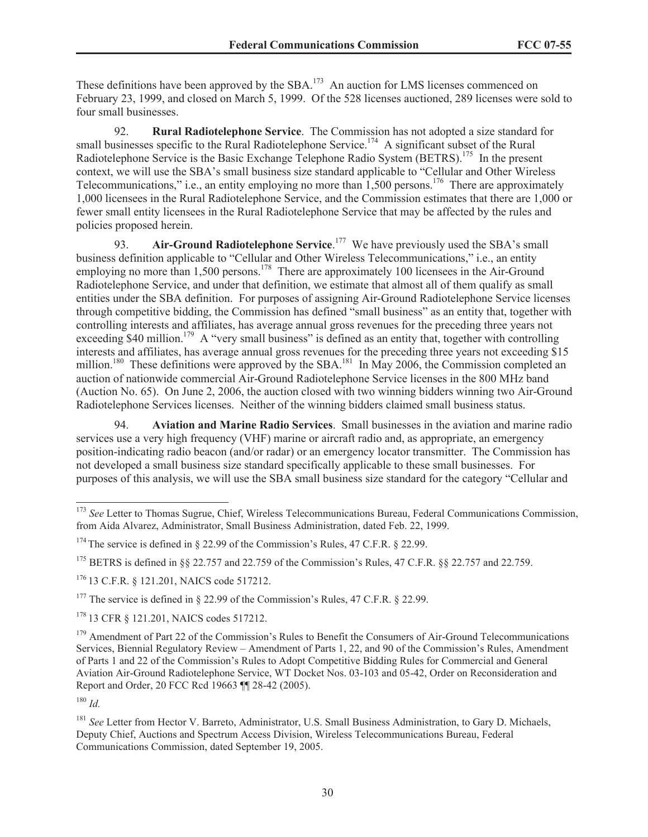These definitions have been approved by the SBA.<sup>173</sup> An auction for LMS licenses commenced on February 23, 1999, and closed on March 5, 1999. Of the 528 licenses auctioned, 289 licenses were sold to four small businesses.

92. **Rural Radiotelephone Service**. The Commission has not adopted a size standard for small businesses specific to the Rural Radiotelephone Service.<sup>174</sup> A significant subset of the Rural Radiotelephone Service is the Basic Exchange Telephone Radio System (BETRS).<sup>175</sup> In the present context, we will use the SBA's small business size standard applicable to "Cellular and Other Wireless Telecommunications," i.e., an entity employing no more than  $1,500$  persons.<sup>176</sup> There are approximately 1,000 licensees in the Rural Radiotelephone Service, and the Commission estimates that there are 1,000 or fewer small entity licensees in the Rural Radiotelephone Service that may be affected by the rules and policies proposed herein.

93. **Air-Ground Radiotelephone Service**. <sup>177</sup> We have previously used the SBA's small business definition applicable to "Cellular and Other Wireless Telecommunications," i.e., an entity employing no more than 1,500 persons.<sup>178</sup> There are approximately 100 licensees in the Air-Ground Radiotelephone Service, and under that definition, we estimate that almost all of them qualify as small entities under the SBA definition. For purposes of assigning Air-Ground Radiotelephone Service licenses through competitive bidding, the Commission has defined "small business" as an entity that, together with controlling interests and affiliates, has average annual gross revenues for the preceding three years not exceeding \$40 million.<sup>179</sup> A "very small business" is defined as an entity that, together with controlling interests and affiliates, has average annual gross revenues for the preceding three years not exceeding \$15 million.<sup>180</sup> These definitions were approved by the SBA.<sup>181</sup> In May 2006, the Commission completed an auction of nationwide commercial Air-Ground Radiotelephone Service licenses in the 800 MHz band (Auction No. 65). On June 2, 2006, the auction closed with two winning bidders winning two Air-Ground Radiotelephone Services licenses. Neither of the winning bidders claimed small business status.

94. **Aviation and Marine Radio Services**. Small businesses in the aviation and marine radio services use a very high frequency (VHF) marine or aircraft radio and, as appropriate, an emergency position-indicating radio beacon (and/or radar) or an emergency locator transmitter. The Commission has not developed a small business size standard specifically applicable to these small businesses. For purposes of this analysis, we will use the SBA small business size standard for the category "Cellular and

<sup>180</sup> *Id.*

<sup>&</sup>lt;sup>173</sup> *See* Letter to Thomas Sugrue, Chief, Wireless Telecommunications Bureau, Federal Communications Commission, from Aida Alvarez, Administrator, Small Business Administration, dated Feb. 22, 1999.

<sup>&</sup>lt;sup>174</sup> The service is defined in  $\S$  22.99 of the Commission's Rules, 47 C.F.R.  $\S$  22.99.

<sup>&</sup>lt;sup>175</sup> BETRS is defined in §§ 22.757 and 22.759 of the Commission's Rules, 47 C.F.R. §§ 22.757 and 22.759.

<sup>176</sup> 13 C.F.R. § 121.201, NAICS code 517212.

<sup>&</sup>lt;sup>177</sup> The service is defined in § 22.99 of the Commission's Rules, 47 C.F.R. § 22.99.

<sup>178</sup> 13 CFR § 121.201, NAICS codes 517212.

<sup>&</sup>lt;sup>179</sup> Amendment of Part 22 of the Commission's Rules to Benefit the Consumers of Air-Ground Telecommunications Services, Biennial Regulatory Review – Amendment of Parts 1, 22, and 90 of the Commission's Rules, Amendment of Parts 1 and 22 of the Commission's Rules to Adopt Competitive Bidding Rules for Commercial and General Aviation Air-Ground Radiotelephone Service, WT Docket Nos. 03-103 and 05-42, Order on Reconsideration and Report and Order, 20 FCC Rcd 19663 ¶¶ 28-42 (2005).

<sup>&</sup>lt;sup>181</sup> See Letter from Hector V. Barreto, Administrator, U.S. Small Business Administration, to Gary D. Michaels, Deputy Chief, Auctions and Spectrum Access Division, Wireless Telecommunications Bureau, Federal Communications Commission, dated September 19, 2005.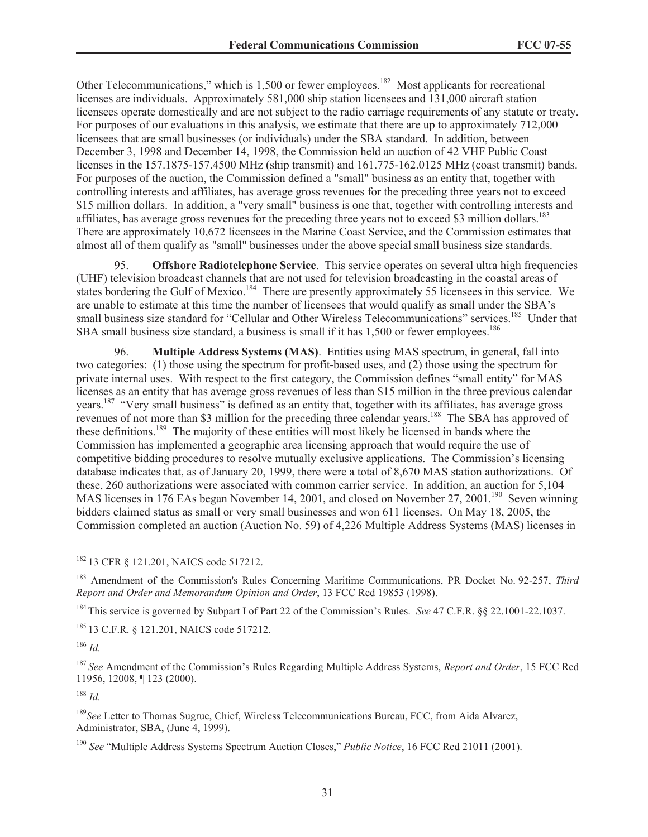Other Telecommunications," which is 1,500 or fewer employees.<sup>182</sup> Most applicants for recreational licenses are individuals. Approximately 581,000 ship station licensees and 131,000 aircraft station licensees operate domestically and are not subject to the radio carriage requirements of any statute or treaty. For purposes of our evaluations in this analysis, we estimate that there are up to approximately 712,000 licensees that are small businesses (or individuals) under the SBA standard. In addition, between December 3, 1998 and December 14, 1998, the Commission held an auction of 42 VHF Public Coast licenses in the 157.1875-157.4500 MHz (ship transmit) and 161.775-162.0125 MHz (coast transmit) bands. For purposes of the auction, the Commission defined a "small" business as an entity that, together with controlling interests and affiliates, has average gross revenues for the preceding three years not to exceed \$15 million dollars. In addition, a "very small" business is one that, together with controlling interests and affiliates, has average gross revenues for the preceding three years not to exceed \$3 million dollars.<sup>183</sup> There are approximately 10,672 licensees in the Marine Coast Service, and the Commission estimates that almost all of them qualify as "small" businesses under the above special small business size standards.

95. **Offshore Radiotelephone Service**. This service operates on several ultra high frequencies (UHF) television broadcast channels that are not used for television broadcasting in the coastal areas of states bordering the Gulf of Mexico.<sup>184</sup> There are presently approximately 55 licensees in this service. We are unable to estimate at this time the number of licensees that would qualify as small under the SBA's small business size standard for "Cellular and Other Wireless Telecommunications" services.<sup>185</sup> Under that SBA small business size standard, a business is small if it has 1,500 or fewer employees.<sup>186</sup>

96. **Multiple Address Systems (MAS)**. Entities using MAS spectrum, in general, fall into two categories: (1) those using the spectrum for profit-based uses, and (2) those using the spectrum for private internal uses. With respect to the first category, the Commission defines "small entity" for MAS licenses as an entity that has average gross revenues of less than \$15 million in the three previous calendar years.<sup>187</sup> "Very small business" is defined as an entity that, together with its affiliates, has average gross revenues of not more than \$3 million for the preceding three calendar years.<sup>188</sup> The SBA has approved of these definitions. <sup>189</sup> The majority of these entities will most likely be licensed in bands where the Commission has implemented a geographic area licensing approach that would require the use of competitive bidding procedures to resolve mutually exclusive applications. The Commission's licensing database indicates that, as of January 20, 1999, there were a total of 8,670 MAS station authorizations. Of these, 260 authorizations were associated with common carrier service. In addition, an auction for 5,104 MAS licenses in 176 EAs began November 14, 2001, and closed on November 27, 2001.<sup>190</sup> Seven winning bidders claimed status as small or very small businesses and won 611 licenses. On May 18, 2005, the Commission completed an auction (Auction No. 59) of 4,226 Multiple Address Systems (MAS) licenses in

<sup>182</sup> 13 CFR § 121.201, NAICS code 517212.

<sup>183</sup> Amendment of the Commission's Rules Concerning Maritime Communications, PR Docket No. 92-257, *Third Report and Order and Memorandum Opinion and Order*, 13 FCC Rcd 19853 (1998).

<sup>184</sup> This service is governed by Subpart I of Part 22 of the Commission's Rules. *See* 47 C.F.R. §§ 22.1001-22.1037.

<sup>185</sup> 13 C.F.R. § 121.201, NAICS code 517212.

<sup>186</sup> *Id.*

<sup>187</sup> *See* Amendment of the Commission's Rules Regarding Multiple Address Systems, *Report and Order*, 15 FCC Rcd 11956, 12008, ¶ 123 (2000).

<sup>188</sup> *Id.*

<sup>189</sup>*See* Letter to Thomas Sugrue, Chief, Wireless Telecommunications Bureau, FCC, from Aida Alvarez, Administrator, SBA, (June 4, 1999).

<sup>190</sup> *See* "Multiple Address Systems Spectrum Auction Closes," *Public Notice*, 16 FCC Rcd 21011 (2001).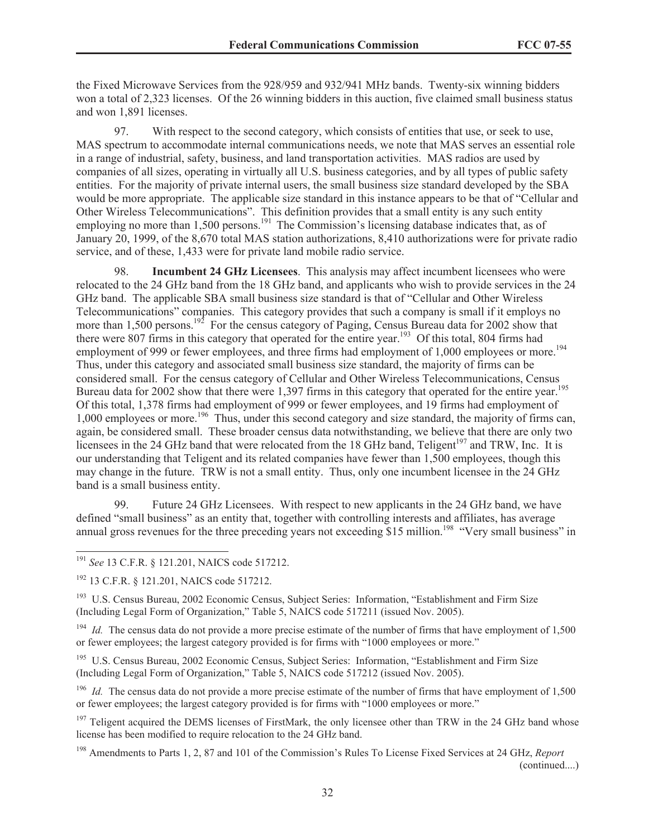the Fixed Microwave Services from the 928/959 and 932/941 MHz bands. Twenty-six winning bidders won a total of 2,323 licenses. Of the 26 winning bidders in this auction, five claimed small business status and won 1,891 licenses.

97. With respect to the second category, which consists of entities that use, or seek to use, MAS spectrum to accommodate internal communications needs, we note that MAS serves an essential role in a range of industrial, safety, business, and land transportation activities. MAS radios are used by companies of all sizes, operating in virtually all U.S. business categories, and by all types of public safety entities. For the majority of private internal users, the small business size standard developed by the SBA would be more appropriate. The applicable size standard in this instance appears to be that of "Cellular and Other Wireless Telecommunications". This definition provides that a small entity is any such entity employing no more than 1,500 persons.<sup>191</sup> The Commission's licensing database indicates that, as of January 20, 1999, of the 8,670 total MAS station authorizations, 8,410 authorizations were for private radio service, and of these, 1,433 were for private land mobile radio service.

98. **Incumbent 24 GHz Licensees**. This analysis may affect incumbent licensees who were relocated to the 24 GHz band from the 18 GHz band, and applicants who wish to provide services in the 24 GHz band. The applicable SBA small business size standard is that of "Cellular and Other Wireless Telecommunications" companies. This category provides that such a company is small if it employs no more than 1,500 persons.<sup>192</sup> For the census category of Paging, Census Bureau data for 2002 show that there were 807 firms in this category that operated for the entire year.<sup>193</sup> Of this total, 804 firms had employment of 999 or fewer employees, and three firms had employment of 1,000 employees or more.<sup>194</sup> Thus, under this category and associated small business size standard, the majority of firms can be considered small. For the census category of Cellular and Other Wireless Telecommunications, Census Bureau data for 2002 show that there were 1,397 firms in this category that operated for the entire year.<sup>195</sup> Of this total, 1,378 firms had employment of 999 or fewer employees, and 19 firms had employment of 1,000 employees or more.<sup>196</sup> Thus, under this second category and size standard, the majority of firms can, again, be considered small. These broader census data notwithstanding, we believe that there are only two licensees in the 24 GHz band that were relocated from the 18 GHz band, Teligent<sup>197</sup> and TRW, Inc. It is our understanding that Teligent and its related companies have fewer than 1,500 employees, though this may change in the future. TRW is not a small entity. Thus, only one incumbent licensee in the 24 GHz band is a small business entity.

99. Future 24 GHz Licensees. With respect to new applicants in the 24 GHz band, we have defined "small business" as an entity that, together with controlling interests and affiliates, has average annual gross revenues for the three preceding years not exceeding \$15 million.<sup>198</sup> "Very small business" in

<sup>193</sup> U.S. Census Bureau, 2002 Economic Census, Subject Series: Information, "Establishment and Firm Size (Including Legal Form of Organization," Table 5, NAICS code 517211 (issued Nov. 2005).

<sup>194</sup> *Id.* The census data do not provide a more precise estimate of the number of firms that have employment of 1,500 or fewer employees; the largest category provided is for firms with "1000 employees or more."

<sup>195</sup> U.S. Census Bureau, 2002 Economic Census, Subject Series: Information, "Establishment and Firm Size (Including Legal Form of Organization," Table 5, NAICS code 517212 (issued Nov. 2005).

<sup>196</sup> *Id.* The census data do not provide a more precise estimate of the number of firms that have employment of 1,500 or fewer employees; the largest category provided is for firms with "1000 employees or more."

<sup>197</sup> Teligent acquired the DEMS licenses of FirstMark, the only licensee other than TRW in the 24 GHz band whose license has been modified to require relocation to the 24 GHz band.

<sup>198</sup> Amendments to Parts 1, 2, 87 and 101 of the Commission's Rules To License Fixed Services at 24 GHz, *Report*  (continued....)

<sup>191</sup> *See* 13 C.F.R. § 121.201, NAICS code 517212.

<sup>&</sup>lt;sup>192</sup> 13 C.F.R. § 121.201, NAICS code 517212.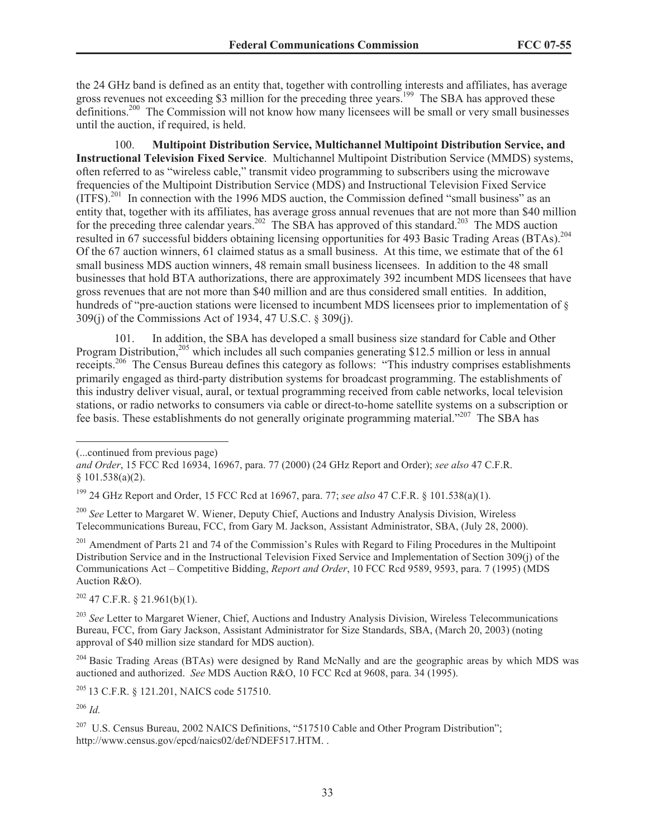the 24 GHz band is defined as an entity that, together with controlling interests and affiliates, has average gross revenues not exceeding \$3 million for the preceding three years.<sup>199</sup> The SBA has approved these definitions.<sup>200</sup> The Commission will not know how many licensees will be small or very small businesses until the auction, if required, is held.

100. **Multipoint Distribution Service, Multichannel Multipoint Distribution Service, and Instructional Television Fixed Service**. Multichannel Multipoint Distribution Service (MMDS) systems, often referred to as "wireless cable," transmit video programming to subscribers using the microwave frequencies of the Multipoint Distribution Service (MDS) and Instructional Television Fixed Service  $(ITFS).<sup>201</sup>$  In connection with the 1996 MDS auction, the Commission defined "small business" as an entity that, together with its affiliates, has average gross annual revenues that are not more than \$40 million for the preceding three calendar years.<sup>202</sup> The SBA has approved of this standard.<sup>203</sup> The MDS auction resulted in 67 successful bidders obtaining licensing opportunities for 493 Basic Trading Areas (BTAs).<sup>204</sup> Of the 67 auction winners, 61 claimed status as a small business. At this time, we estimate that of the 61 small business MDS auction winners, 48 remain small business licensees. In addition to the 48 small businesses that hold BTA authorizations, there are approximately 392 incumbent MDS licensees that have gross revenues that are not more than \$40 million and are thus considered small entities. In addition, hundreds of "pre-auction stations were licensed to incumbent MDS licensees prior to implementation of § 309(j) of the Commissions Act of 1934, 47 U.S.C. § 309(j).

101. In addition, the SBA has developed a small business size standard for Cable and Other Program Distribution,<sup>205</sup> which includes all such companies generating \$12.5 million or less in annual receipts.<sup>206</sup> The Census Bureau defines this category as follows: "This industry comprises establishments primarily engaged as third-party distribution systems for broadcast programming. The establishments of this industry deliver visual, aural, or textual programming received from cable networks, local television stations, or radio networks to consumers via cable or direct-to-home satellite systems on a subscription or fee basis. These establishments do not generally originate programming material."<sup>207</sup> The SBA has

<sup>201</sup> Amendment of Parts 21 and 74 of the Commission's Rules with Regard to Filing Procedures in the Multipoint Distribution Service and in the Instructional Television Fixed Service and Implementation of Section 309(j) of the Communications Act – Competitive Bidding, *Report and Order*, 10 FCC Rcd 9589, 9593, para. 7 (1995) (MDS Auction R&O).

 $202$  47 C.F.R. § 21.961(b)(1).

<sup>203</sup> See Letter to Margaret Wiener, Chief, Auctions and Industry Analysis Division, Wireless Telecommunications Bureau, FCC, from Gary Jackson, Assistant Administrator for Size Standards, SBA, (March 20, 2003) (noting approval of \$40 million size standard for MDS auction).

<sup>204</sup> Basic Trading Areas (BTAs) were designed by Rand McNally and are the geographic areas by which MDS was auctioned and authorized. *See* MDS Auction R&O, 10 FCC Rcd at 9608, para. 34 (1995).

<sup>205</sup> 13 C.F.R. § 121.201, NAICS code 517510.

<sup>206</sup> *Id.*

<sup>207</sup> U.S. Census Bureau, 2002 NAICS Definitions, "517510 Cable and Other Program Distribution"; http://www.census.gov/epcd/naics02/def/NDEF517.HTM. .

<sup>(...</sup>continued from previous page)

*and Order*, 15 FCC Rcd 16934, 16967, para. 77 (2000) (24 GHz Report and Order); *see also* 47 C.F.R. § 101.538(a)(2).

<sup>199</sup> 24 GHz Report and Order, 15 FCC Rcd at 16967, para. 77; *see also* 47 C.F.R. § 101.538(a)(1).

<sup>200</sup> *See* Letter to Margaret W. Wiener, Deputy Chief, Auctions and Industry Analysis Division, Wireless Telecommunications Bureau, FCC, from Gary M. Jackson, Assistant Administrator, SBA, (July 28, 2000).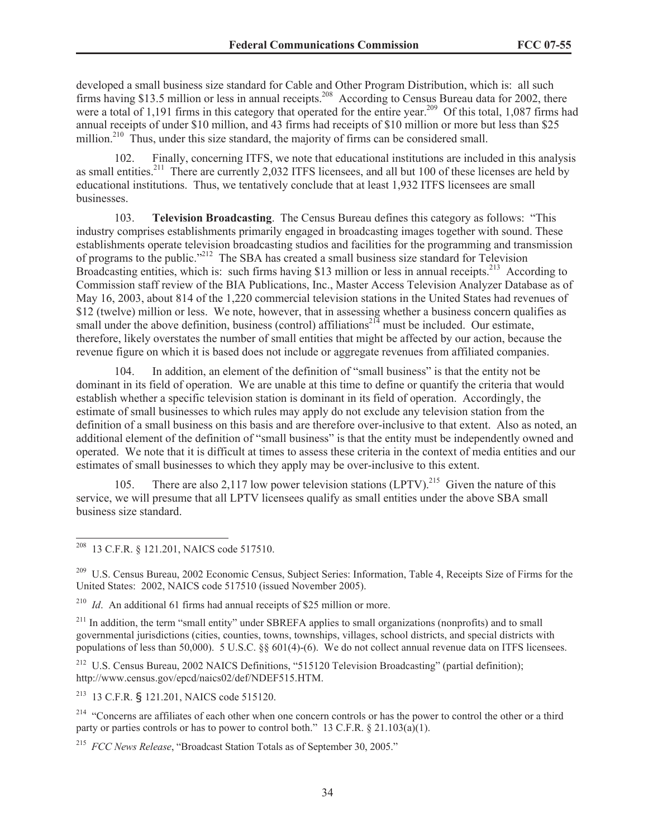developed a small business size standard for Cable and Other Program Distribution, which is: all such firms having \$13.5 million or less in annual receipts.<sup>208</sup> According to Census Bureau data for 2002, there were a total of 1,191 firms in this category that operated for the entire year.<sup>209</sup> Of this total, 1,087 firms had annual receipts of under \$10 million, and 43 firms had receipts of \$10 million or more but less than \$25 million.<sup>210</sup> Thus, under this size standard, the majority of firms can be considered small.

102. Finally, concerning ITFS, we note that educational institutions are included in this analysis as small entities.<sup>211</sup> There are currently 2,032 ITFS licensees, and all but 100 of these licenses are held by educational institutions. Thus, we tentatively conclude that at least 1,932 ITFS licensees are small businesses.

103. **Television Broadcasting**. The Census Bureau defines this category as follows: "This industry comprises establishments primarily engaged in broadcasting images together with sound. These establishments operate television broadcasting studios and facilities for the programming and transmission of programs to the public."<sup>212</sup> The SBA has created a small business size standard for Television Broadcasting entities, which is: such firms having \$13 million or less in annual receipts.<sup>213</sup> According to Commission staff review of the BIA Publications, Inc., Master Access Television Analyzer Database as of May 16, 2003, about 814 of the 1,220 commercial television stations in the United States had revenues of \$12 (twelve) million or less. We note, however, that in assessing whether a business concern qualifies as small under the above definition, business (control) affiliations<sup>214</sup> must be included. Our estimate, therefore, likely overstates the number of small entities that might be affected by our action, because the revenue figure on which it is based does not include or aggregate revenues from affiliated companies.

104. In addition, an element of the definition of "small business" is that the entity not be dominant in its field of operation. We are unable at this time to define or quantify the criteria that would establish whether a specific television station is dominant in its field of operation. Accordingly, the estimate of small businesses to which rules may apply do not exclude any television station from the definition of a small business on this basis and are therefore over-inclusive to that extent. Also as noted, an additional element of the definition of "small business" is that the entity must be independently owned and operated. We note that it is difficult at times to assess these criteria in the context of media entities and our estimates of small businesses to which they apply may be over-inclusive to this extent.

105. There are also 2,117 low power television stations  $(LPTV)$ <sup>215</sup> Given the nature of this service, we will presume that all LPTV licensees qualify as small entities under the above SBA small business size standard.

<sup>211</sup> In addition, the term "small entity" under SBREFA applies to small organizations (nonprofits) and to small governmental jurisdictions (cities, counties, towns, townships, villages, school districts, and special districts with populations of less than 50,000). 5 U.S.C. §§ 601(4)-(6). We do not collect annual revenue data on ITFS licensees.

<sup>212</sup> U.S. Census Bureau, 2002 NAICS Definitions, "515120 Television Broadcasting" (partial definition); http://www.census.gov/epcd/naics02/def/NDEF515.HTM.

<sup>213</sup> 13 C.F.R. § 121.201, NAICS code 515120.

<sup>214</sup> "Concerns are affiliates of each other when one concern controls or has the power to control the other or a third party or parties controls or has to power to control both." 13 C.F.R. § 21.103(a)(1).

<sup>215</sup> *FCC News Release*, "Broadcast Station Totals as of September 30, 2005."

<sup>208</sup> 13 C.F.R. § 121.201, NAICS code 517510.

<sup>&</sup>lt;sup>209</sup> U.S. Census Bureau, 2002 Economic Census, Subject Series: Information, Table 4, Receipts Size of Firms for the United States: 2002, NAICS code 517510 (issued November 2005).

<sup>&</sup>lt;sup>210</sup> *Id.* An additional 61 firms had annual receipts of \$25 million or more.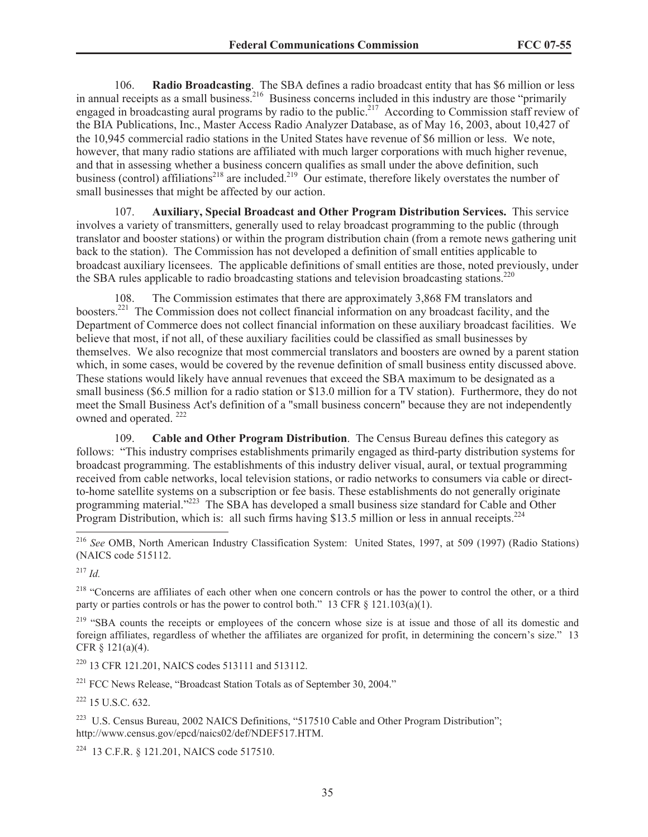106. **Radio Broadcasting**. The SBA defines a radio broadcast entity that has \$6 million or less in annual receipts as a small business.<sup>216</sup> Business concerns included in this industry are those "primarily" engaged in broadcasting aural programs by radio to the public.<sup>217</sup> According to Commission staff review of the BIA Publications, Inc., Master Access Radio Analyzer Database, as of May 16, 2003, about 10,427 of the 10,945 commercial radio stations in the United States have revenue of \$6 million or less. We note, however, that many radio stations are affiliated with much larger corporations with much higher revenue, and that in assessing whether a business concern qualifies as small under the above definition, such business (control) affiliations<sup>218</sup> are included.<sup>219</sup> Our estimate, therefore likely overstates the number of small businesses that might be affected by our action.

107. **Auxiliary, Special Broadcast and Other Program Distribution Services.** This service involves a variety of transmitters, generally used to relay broadcast programming to the public (through translator and booster stations) or within the program distribution chain (from a remote news gathering unit back to the station). The Commission has not developed a definition of small entities applicable to broadcast auxiliary licensees. The applicable definitions of small entities are those, noted previously, under the SBA rules applicable to radio broadcasting stations and television broadcasting stations.<sup>220</sup>

108. The Commission estimates that there are approximately 3,868 FM translators and boosters.<sup>221</sup> The Commission does not collect financial information on any broadcast facility, and the Department of Commerce does not collect financial information on these auxiliary broadcast facilities. We believe that most, if not all, of these auxiliary facilities could be classified as small businesses by themselves. We also recognize that most commercial translators and boosters are owned by a parent station which, in some cases, would be covered by the revenue definition of small business entity discussed above. These stations would likely have annual revenues that exceed the SBA maximum to be designated as a small business (\$6.5 million for a radio station or \$13.0 million for a TV station). Furthermore, they do not meet the Small Business Act's definition of a "small business concern" because they are not independently owned and operated.<sup>222</sup>

109. **Cable and Other Program Distribution**. The Census Bureau defines this category as follows: "This industry comprises establishments primarily engaged as third-party distribution systems for broadcast programming. The establishments of this industry deliver visual, aural, or textual programming received from cable networks, local television stations, or radio networks to consumers via cable or directto-home satellite systems on a subscription or fee basis. These establishments do not generally originate programming material."<sup>223</sup> The SBA has developed a small business size standard for Cable and Other Program Distribution, which is: all such firms having \$13.5 million or less in annual receipts.<sup>224</sup>

<sup>217</sup> *Id.*

<sup>218</sup> "Concerns are affiliates of each other when one concern controls or has the power to control the other, or a third party or parties controls or has the power to control both." 13 CFR § 121.103(a)(1).

<sup>219</sup> "SBA counts the receipts or employees of the concern whose size is at issue and those of all its domestic and foreign affiliates, regardless of whether the affiliates are organized for profit, in determining the concern's size." 13 CFR § 121(a)(4).

<sup>220</sup> 13 CFR 121.201, NAICS codes 513111 and 513112.

<sup>221</sup> FCC News Release, "Broadcast Station Totals as of September 30, 2004."

 $222$  15 U.S.C. 632.

<sup>223</sup> U.S. Census Bureau, 2002 NAICS Definitions, "517510 Cable and Other Program Distribution"; http://www.census.gov/epcd/naics02/def/NDEF517.HTM.

<sup>224</sup> 13 C.F.R. § 121.201, NAICS code 517510.

<sup>216</sup> *See* OMB, North American Industry Classification System: United States, 1997, at 509 (1997) (Radio Stations) (NAICS code 515112.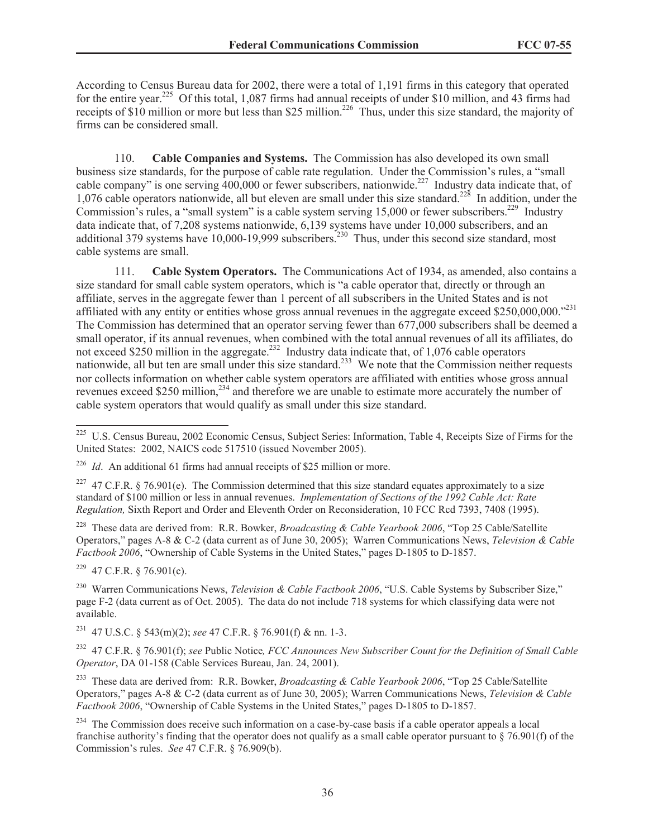According to Census Bureau data for 2002, there were a total of 1,191 firms in this category that operated for the entire year.<sup>225</sup> Of this total, 1,087 firms had annual receipts of under \$10 million, and 43 firms had receipts of \$10 million or more but less than \$25 million.<sup>226</sup> Thus, under this size standard, the majority of firms can be considered small.

110. **Cable Companies and Systems.** The Commission has also developed its own small business size standards, for the purpose of cable rate regulation. Under the Commission's rules, a "small cable company" is one serving 400,000 or fewer subscribers, nationwide.<sup>227</sup> Industry data indicate that, of 1,076 cable operators nationwide, all but eleven are small under this size standard.<sup>228</sup> In addition, under the Commission's rules, a "small system" is a cable system serving 15,000 or fewer subscribers.<sup>229</sup> Industry data indicate that, of 7,208 systems nationwide, 6,139 systems have under 10,000 subscribers, and an additional 379 systems have 10,000-19,999 subscribers.<sup>230</sup> Thus, under this second size standard, most cable systems are small.

111. **Cable System Operators.** The Communications Act of 1934, as amended, also contains a size standard for small cable system operators, which is "a cable operator that, directly or through an affiliate, serves in the aggregate fewer than 1 percent of all subscribers in the United States and is not affiliated with any entity or entities whose gross annual revenues in the aggregate exceed \$250,000,000.<sup>231</sup> The Commission has determined that an operator serving fewer than 677,000 subscribers shall be deemed a small operator, if its annual revenues, when combined with the total annual revenues of all its affiliates, do not exceed \$250 million in the aggregate.<sup>232</sup> Industry data indicate that, of 1,076 cable operators nationwide, all but ten are small under this size standard.<sup>233</sup> We note that the Commission neither requests nor collects information on whether cable system operators are affiliated with entities whose gross annual revenues exceed \$250 million,<sup>234</sup> and therefore we are unable to estimate more accurately the number of cable system operators that would qualify as small under this size standard.

<sup>228</sup> These data are derived from: R.R. Bowker, *Broadcasting & Cable Yearbook 2006*, "Top 25 Cable/Satellite Operators," pages A-8 & C-2 (data current as of June 30, 2005); Warren Communications News, *Television & Cable Factbook 2006*, "Ownership of Cable Systems in the United States," pages D-1805 to D-1857.

 $229$  47 C.F.R. § 76.901(c).

<sup>230</sup> Warren Communications News, *Television & Cable Factbook 2006*, "U.S. Cable Systems by Subscriber Size," page F-2 (data current as of Oct. 2005). The data do not include 718 systems for which classifying data were not available.

<sup>231</sup> 47 U.S.C. § 543(m)(2); *see* 47 C.F.R. § 76.901(f) & nn. 1-3.

<sup>232</sup> 47 C.F.R. § 76.901(f); *see* Public Notice*, FCC Announces New Subscriber Count for the Definition of Small Cable Operator*, DA 01-158 (Cable Services Bureau, Jan. 24, 2001).

<sup>233</sup> These data are derived from: R.R. Bowker, *Broadcasting & Cable Yearbook 2006*, "Top 25 Cable/Satellite Operators," pages A-8 & C-2 (data current as of June 30, 2005); Warren Communications News, *Television & Cable Factbook 2006*, "Ownership of Cable Systems in the United States," pages D-1805 to D-1857.

<sup>234</sup> The Commission does receive such information on a case-by-case basis if a cable operator appeals a local franchise authority's finding that the operator does not qualify as a small cable operator pursuant to  $\S$  76.901(f) of the Commission's rules. *See* 47 C.F.R. § 76.909(b).

<sup>&</sup>lt;sup>225</sup> U.S. Census Bureau, 2002 Economic Census, Subject Series: Information, Table 4, Receipts Size of Firms for the United States: 2002, NAICS code 517510 (issued November 2005).

<sup>&</sup>lt;sup>226</sup> *Id.* An additional 61 firms had annual receipts of \$25 million or more.

<sup>&</sup>lt;sup>227</sup> 47 C.F.R. § 76.901(e). The Commission determined that this size standard equates approximately to a size standard of \$100 million or less in annual revenues. *Implementation of Sections of the 1992 Cable Act: Rate Regulation,* Sixth Report and Order and Eleventh Order on Reconsideration, 10 FCC Rcd 7393, 7408 (1995).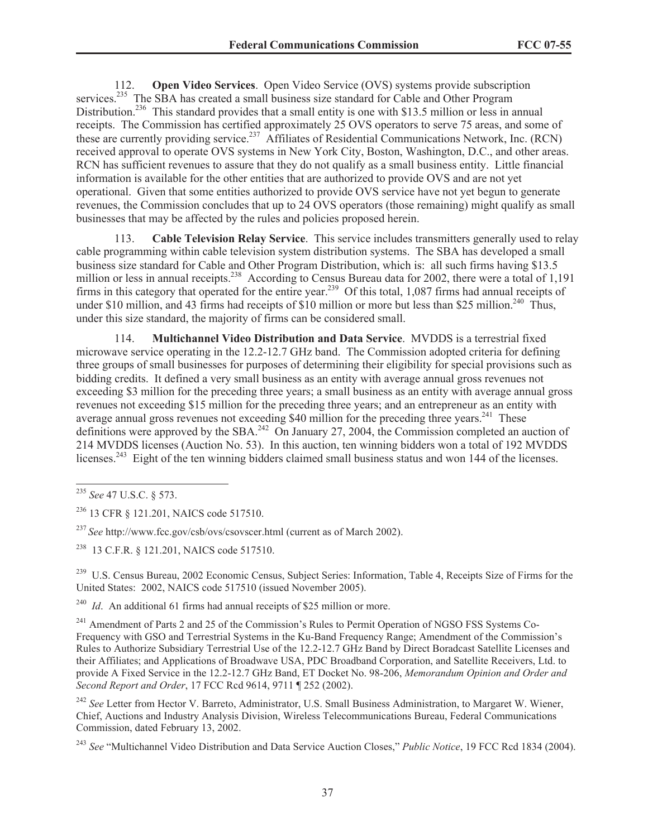112. **Open Video Services**. Open Video Service (OVS) systems provide subscription services.<sup>235</sup> The SBA has created a small business size standard for Cable and Other Program Distribution.<sup>236</sup> This standard provides that a small entity is one with \$13.5 million or less in annual receipts. The Commission has certified approximately 25 OVS operators to serve 75 areas, and some of these are currently providing service.<sup>237</sup> Affiliates of Residential Communications Network, Inc. (RCN) received approval to operate OVS systems in New York City, Boston, Washington, D.C., and other areas. RCN has sufficient revenues to assure that they do not qualify as a small business entity. Little financial information is available for the other entities that are authorized to provide OVS and are not yet operational. Given that some entities authorized to provide OVS service have not yet begun to generate revenues, the Commission concludes that up to 24 OVS operators (those remaining) might qualify as small businesses that may be affected by the rules and policies proposed herein.

113. **Cable Television Relay Service**. This service includes transmitters generally used to relay cable programming within cable television system distribution systems. The SBA has developed a small business size standard for Cable and Other Program Distribution, which is: all such firms having \$13.5 million or less in annual receipts.<sup>238</sup> According to Census Bureau data for 2002, there were a total of 1,191 firms in this category that operated for the entire year.<sup>239</sup> Of this total, 1,087 firms had annual receipts of under \$10 million, and 43 firms had receipts of \$10 million or more but less than \$25 million.<sup>240</sup> Thus, under this size standard, the majority of firms can be considered small.

114. **Multichannel Video Distribution and Data Service**. MVDDS is a terrestrial fixed microwave service operating in the 12.2-12.7 GHz band. The Commission adopted criteria for defining three groups of small businesses for purposes of determining their eligibility for special provisions such as bidding credits. It defined a very small business as an entity with average annual gross revenues not exceeding \$3 million for the preceding three years; a small business as an entity with average annual gross revenues not exceeding \$15 million for the preceding three years; and an entrepreneur as an entity with average annual gross revenues not exceeding \$40 million for the preceding three years. $^{241}$  These definitions were approved by the SBA.<sup>242</sup> On January 27, 2004, the Commission completed an auction of 214 MVDDS licenses (Auction No. 53). In this auction, ten winning bidders won a total of 192 MVDDS licenses.<sup>243</sup> Eight of the ten winning bidders claimed small business status and won 144 of the licenses.

<sup>238</sup> 13 C.F.R. § 121.201, NAICS code 517510.

<sup>239</sup> U.S. Census Bureau, 2002 Economic Census, Subject Series: Information, Table 4, Receipts Size of Firms for the United States: 2002, NAICS code 517510 (issued November 2005).

<sup>240</sup> *Id.* An additional 61 firms had annual receipts of \$25 million or more.

<sup>235</sup> *See* 47 U.S.C. § 573.

<sup>236</sup> 13 CFR § 121.201, NAICS code 517510.

<sup>237</sup> *See* http://www.fcc.gov/csb/ovs/csovscer.html (current as of March 2002).

<sup>&</sup>lt;sup>241</sup> Amendment of Parts 2 and 25 of the Commission's Rules to Permit Operation of NGSO FSS Systems Co-Frequency with GSO and Terrestrial Systems in the Ku-Band Frequency Range; Amendment of the Commission's Rules to Authorize Subsidiary Terrestrial Use of the 12.2-12.7 GHz Band by Direct Boradcast Satellite Licenses and their Affiliates; and Applications of Broadwave USA, PDC Broadband Corporation, and Satellite Receivers, Ltd. to provide A Fixed Service in the 12.2-12.7 GHz Band, ET Docket No. 98-206, *Memorandum Opinion and Order and Second Report and Order*, 17 FCC Rcd 9614, 9711 ¶ 252 (2002).

<sup>242</sup> *See* Letter from Hector V. Barreto, Administrator, U.S. Small Business Administration, to Margaret W. Wiener, Chief, Auctions and Industry Analysis Division, Wireless Telecommunications Bureau, Federal Communications Commission, dated February 13, 2002.

<sup>243</sup> *See* "Multichannel Video Distribution and Data Service Auction Closes," *Public Notice*, 19 FCC Rcd 1834 (2004).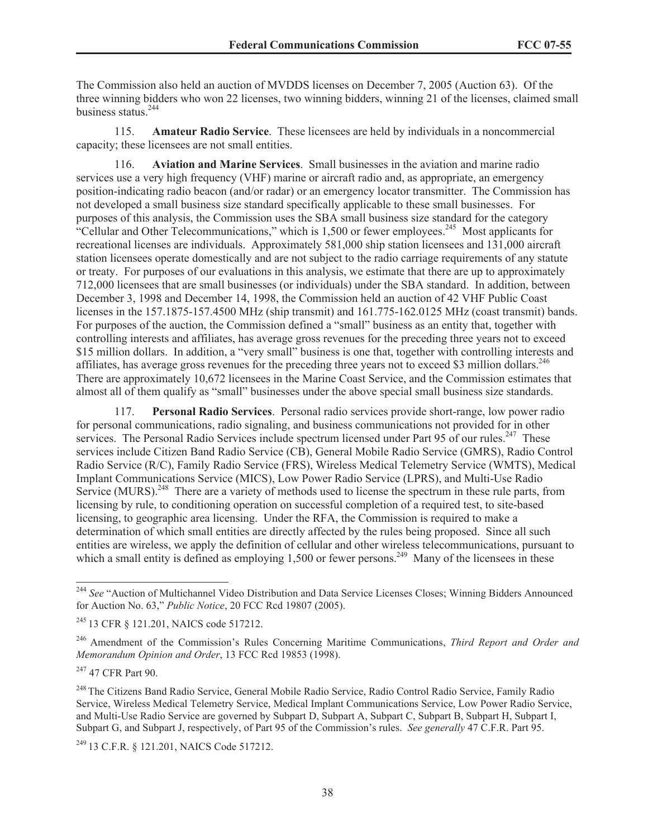The Commission also held an auction of MVDDS licenses on December 7, 2005 (Auction 63). Of the three winning bidders who won 22 licenses, two winning bidders, winning 21 of the licenses, claimed small business status.<sup>244</sup>

115. **Amateur Radio Service**. These licensees are held by individuals in a noncommercial capacity; these licensees are not small entities.

116. **Aviation and Marine Services**. Small businesses in the aviation and marine radio services use a very high frequency (VHF) marine or aircraft radio and, as appropriate, an emergency position-indicating radio beacon (and/or radar) or an emergency locator transmitter. The Commission has not developed a small business size standard specifically applicable to these small businesses. For purposes of this analysis, the Commission uses the SBA small business size standard for the category "Cellular and Other Telecommunications," which is 1,500 or fewer employees.<sup>245</sup> Most applicants for recreational licenses are individuals. Approximately 581,000 ship station licensees and 131,000 aircraft station licensees operate domestically and are not subject to the radio carriage requirements of any statute or treaty. For purposes of our evaluations in this analysis, we estimate that there are up to approximately 712,000 licensees that are small businesses (or individuals) under the SBA standard. In addition, between December 3, 1998 and December 14, 1998, the Commission held an auction of 42 VHF Public Coast licenses in the 157.1875-157.4500 MHz (ship transmit) and 161.775-162.0125 MHz (coast transmit) bands. For purposes of the auction, the Commission defined a "small" business as an entity that, together with controlling interests and affiliates, has average gross revenues for the preceding three years not to exceed \$15 million dollars. In addition, a "very small" business is one that, together with controlling interests and affiliates, has average gross revenues for the preceding three years not to exceed \$3 million dollars.  $246$ There are approximately 10,672 licensees in the Marine Coast Service, and the Commission estimates that almost all of them qualify as "small" businesses under the above special small business size standards.

117. **Personal Radio Services**. Personal radio services provide short-range, low power radio for personal communications, radio signaling, and business communications not provided for in other services. The Personal Radio Services include spectrum licensed under Part 95 of our rules.<sup>247</sup> These services include Citizen Band Radio Service (CB), General Mobile Radio Service (GMRS), Radio Control Radio Service (R/C), Family Radio Service (FRS), Wireless Medical Telemetry Service (WMTS), Medical Implant Communications Service (MICS), Low Power Radio Service (LPRS), and Multi-Use Radio Service (MURS).<sup>248</sup> There are a variety of methods used to license the spectrum in these rule parts, from licensing by rule, to conditioning operation on successful completion of a required test, to site-based licensing, to geographic area licensing. Under the RFA, the Commission is required to make a determination of which small entities are directly affected by the rules being proposed. Since all such entities are wireless, we apply the definition of cellular and other wireless telecommunications, pursuant to which a small entity is defined as employing 1,500 or fewer persons.<sup>249</sup> Many of the licensees in these

<sup>249</sup> 13 C.F.R. § 121.201, NAICS Code 517212.

<sup>&</sup>lt;sup>244</sup> See "Auction of Multichannel Video Distribution and Data Service Licenses Closes; Winning Bidders Announced for Auction No. 63," *Public Notice*, 20 FCC Rcd 19807 (2005).

<sup>245</sup> 13 CFR § 121.201, NAICS code 517212.

<sup>246</sup> Amendment of the Commission's Rules Concerning Maritime Communications, *Third Report and Order and Memorandum Opinion and Order*, 13 FCC Rcd 19853 (1998).

<sup>&</sup>lt;sup>247</sup> 47 CFR Part 90.

<sup>&</sup>lt;sup>248</sup> The Citizens Band Radio Service, General Mobile Radio Service, Radio Control Radio Service, Family Radio Service, Wireless Medical Telemetry Service, Medical Implant Communications Service, Low Power Radio Service, and Multi-Use Radio Service are governed by Subpart D, Subpart A, Subpart C, Subpart B, Subpart H, Subpart I, Subpart G, and Subpart J, respectively, of Part 95 of the Commission's rules. *See generally* 47 C.F.R. Part 95.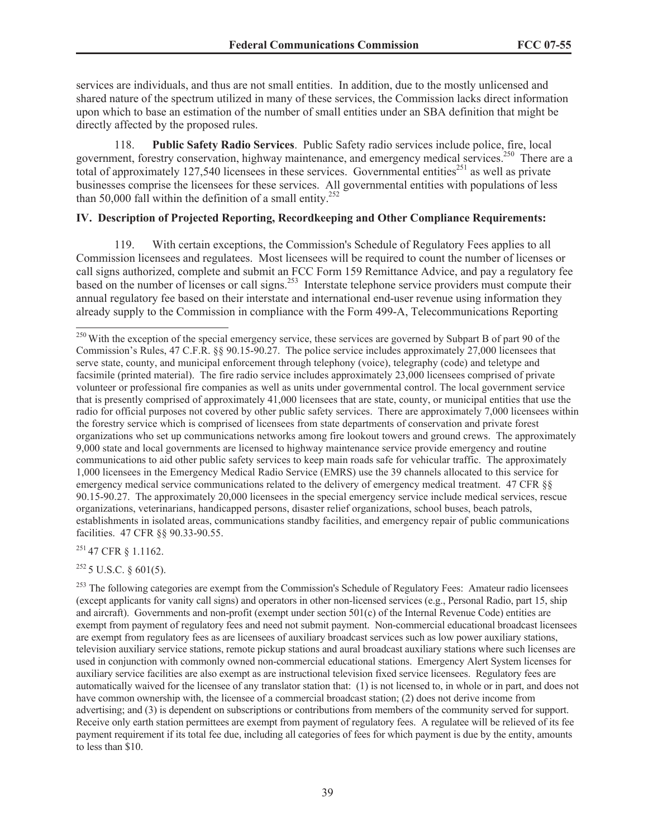services are individuals, and thus are not small entities. In addition, due to the mostly unlicensed and shared nature of the spectrum utilized in many of these services, the Commission lacks direct information upon which to base an estimation of the number of small entities under an SBA definition that might be directly affected by the proposed rules.

118. **Public Safety Radio Services**. Public Safety radio services include police, fire, local government, forestry conservation, highway maintenance, and emergency medical services.<sup>250</sup> There are a total of approximately 127,540 licensees in these services. Governmental entities<sup>251</sup> as well as private businesses comprise the licensees for these services. All governmental entities with populations of less than 50,000 fall within the definition of a small entity.<sup>252</sup>

#### **IV. Description of Projected Reporting, Recordkeeping and Other Compliance Requirements:**

119. With certain exceptions, the Commission's Schedule of Regulatory Fees applies to all Commission licensees and regulatees. Most licensees will be required to count the number of licenses or call signs authorized, complete and submit an FCC Form 159 Remittance Advice, and pay a regulatory fee based on the number of licenses or call signs.<sup>253</sup> Interstate telephone service providers must compute their annual regulatory fee based on their interstate and international end-user revenue using information they already supply to the Commission in compliance with the Form 499-A, Telecommunications Reporting

<sup>251</sup> 47 CFR § 1.1162.

 $252$  5 U.S.C. § 601(5).

<sup>&</sup>lt;sup>250</sup> With the exception of the special emergency service, these services are governed by Subpart B of part 90 of the Commission's Rules, 47 C.F.R. §§ 90.15-90.27. The police service includes approximately 27,000 licensees that serve state, county, and municipal enforcement through telephony (voice), telegraphy (code) and teletype and facsimile (printed material). The fire radio service includes approximately 23,000 licensees comprised of private volunteer or professional fire companies as well as units under governmental control. The local government service that is presently comprised of approximately 41,000 licensees that are state, county, or municipal entities that use the radio for official purposes not covered by other public safety services. There are approximately 7,000 licensees within the forestry service which is comprised of licensees from state departments of conservation and private forest organizations who set up communications networks among fire lookout towers and ground crews. The approximately 9,000 state and local governments are licensed to highway maintenance service provide emergency and routine communications to aid other public safety services to keep main roads safe for vehicular traffic. The approximately 1,000 licensees in the Emergency Medical Radio Service (EMRS) use the 39 channels allocated to this service for emergency medical service communications related to the delivery of emergency medical treatment. 47 CFR §§ 90.15-90.27. The approximately 20,000 licensees in the special emergency service include medical services, rescue organizations, veterinarians, handicapped persons, disaster relief organizations, school buses, beach patrols, establishments in isolated areas, communications standby facilities, and emergency repair of public communications facilities. 47 CFR §§ 90.33-90.55.

<sup>&</sup>lt;sup>253</sup> The following categories are exempt from the Commission's Schedule of Regulatory Fees: Amateur radio licensees (except applicants for vanity call signs) and operators in other non-licensed services (e.g., Personal Radio, part 15, ship and aircraft). Governments and non-profit (exempt under section 501(c) of the Internal Revenue Code) entities are exempt from payment of regulatory fees and need not submit payment. Non-commercial educational broadcast licensees are exempt from regulatory fees as are licensees of auxiliary broadcast services such as low power auxiliary stations, television auxiliary service stations, remote pickup stations and aural broadcast auxiliary stations where such licenses are used in conjunction with commonly owned non-commercial educational stations. Emergency Alert System licenses for auxiliary service facilities are also exempt as are instructional television fixed service licensees. Regulatory fees are automatically waived for the licensee of any translator station that: (1) is not licensed to, in whole or in part, and does not have common ownership with, the licensee of a commercial broadcast station; (2) does not derive income from advertising; and (3) is dependent on subscriptions or contributions from members of the community served for support. Receive only earth station permittees are exempt from payment of regulatory fees. A regulatee will be relieved of its fee payment requirement if its total fee due, including all categories of fees for which payment is due by the entity, amounts to less than \$10.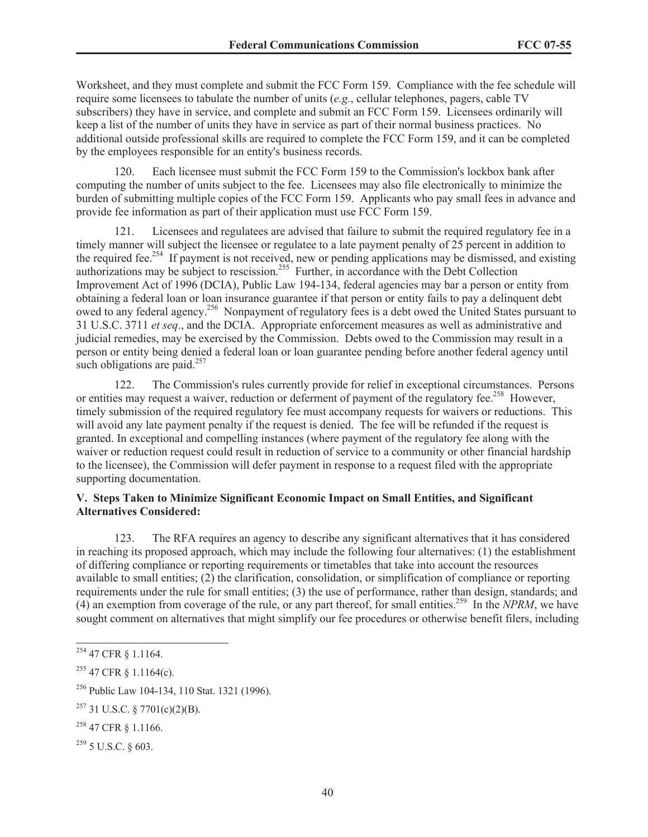Worksheet, and they must complete and submit the FCC Form 159. Compliance with the fee schedule will require some licensees to tabulate the number of units (*e.g.*, cellular telephones, pagers, cable TV subscribers) they have in service, and complete and submit an FCC Form 159. Licensees ordinarily will keep a list of the number of units they have in service as part of their normal business practices. No additional outside professional skills are required to complete the FCC Form 159, and it can be completed by the employees responsible for an entity's business records.

120. Each licensee must submit the FCC Form 159 to the Commission's lockbox bank after computing the number of units subject to the fee. Licensees may also file electronically to minimize the burden of submitting multiple copies of the FCC Form 159. Applicants who pay small fees in advance and provide fee information as part of their application must use FCC Form 159.

121. Licensees and regulatees are advised that failure to submit the required regulatory fee in a timely manner will subject the licensee or regulatee to a late payment penalty of 25 percent in addition to the required fee.<sup>254</sup> If payment is not received, new or pending applications may be dismissed, and existing authorizations may be subject to rescission.<sup>255</sup> Further, in accordance with the Debt Collection Improvement Act of 1996 (DCIA), Public Law 194-134, federal agencies may bar a person or entity from obtaining a federal loan or loan insurance guarantee if that person or entity fails to pay a delinquent debt owed to any federal agency.<sup>256</sup> Nonpayment of regulatory fees is a debt owed the United States pursuant to 31 U.S.C. 3711 *et seq*., and the DCIA. Appropriate enforcement measures as well as administrative and judicial remedies, may be exercised by the Commission. Debts owed to the Commission may result in a person or entity being denied a federal loan or loan guarantee pending before another federal agency until such obligations are paid. $257$ 

122. The Commission's rules currently provide for relief in exceptional circumstances. Persons or entities may request a waiver, reduction or deferment of payment of the regulatory fee.<sup>258</sup> However, timely submission of the required regulatory fee must accompany requests for waivers or reductions. This will avoid any late payment penalty if the request is denied. The fee will be refunded if the request is granted. In exceptional and compelling instances (where payment of the regulatory fee along with the waiver or reduction request could result in reduction of service to a community or other financial hardship to the licensee), the Commission will defer payment in response to a request filed with the appropriate supporting documentation.

### **V. Steps Taken to Minimize Significant Economic Impact on Small Entities, and Significant Alternatives Considered:**

123. The RFA requires an agency to describe any significant alternatives that it has considered in reaching its proposed approach, which may include the following four alternatives: (1) the establishment of differing compliance or reporting requirements or timetables that take into account the resources available to small entities; (2) the clarification, consolidation, or simplification of compliance or reporting requirements under the rule for small entities; (3) the use of performance, rather than design, standards; and (4) an exemption from coverage of the rule, or any part thereof, for small entities.<sup>259</sup> In the *NPRM*, we have sought comment on alternatives that might simplify our fee procedures or otherwise benefit filers, including

<sup>254</sup> 47 CFR § 1.1164.

 $255$  47 CFR  $\frac{1164(c)}{c}$ .

<sup>256</sup> Public Law 104-134, 110 Stat. 1321 (1996).

 $257$  31 U.S.C. § 7701(c)(2)(B).

<sup>258</sup> 47 CFR § 1.1166.

 $^{259}$  5 U.S.C.  $\&$  603.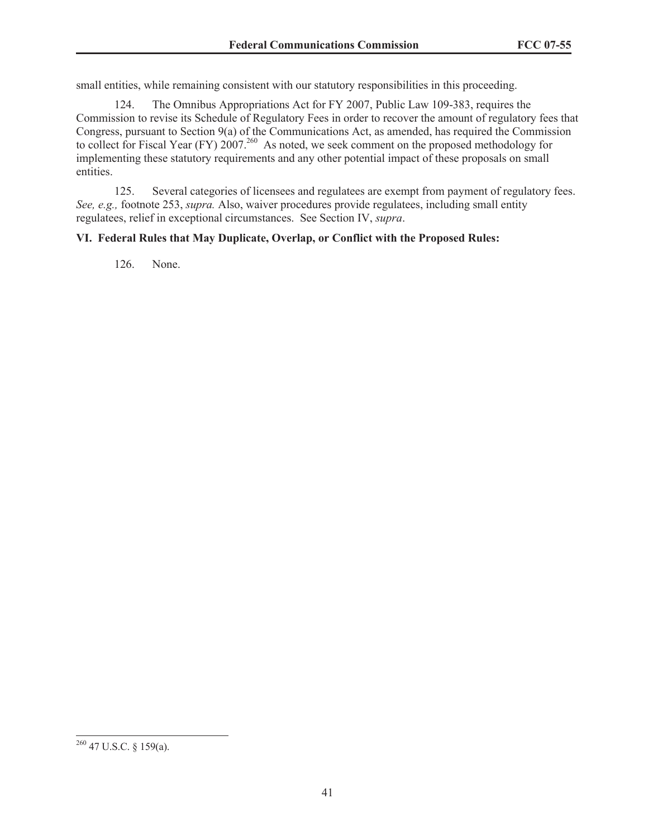small entities, while remaining consistent with our statutory responsibilities in this proceeding.

124. The Omnibus Appropriations Act for FY 2007, Public Law 109-383, requires the Commission to revise its Schedule of Regulatory Fees in order to recover the amount of regulatory fees that Congress, pursuant to Section 9(a) of the Communications Act, as amended, has required the Commission to collect for Fiscal Year (FY) 2007.<sup>260</sup> As noted, we seek comment on the proposed methodology for implementing these statutory requirements and any other potential impact of these proposals on small entities.

125. Several categories of licensees and regulatees are exempt from payment of regulatory fees. *See, e.g.,* footnote 253, *supra.* Also, waiver procedures provide regulatees, including small entity regulatees, relief in exceptional circumstances. See Section IV, *supra*.

## **VI. Federal Rules that May Duplicate, Overlap, or Conflict with the Proposed Rules:**

126. None.

 $260$  47 U.S.C. § 159(a).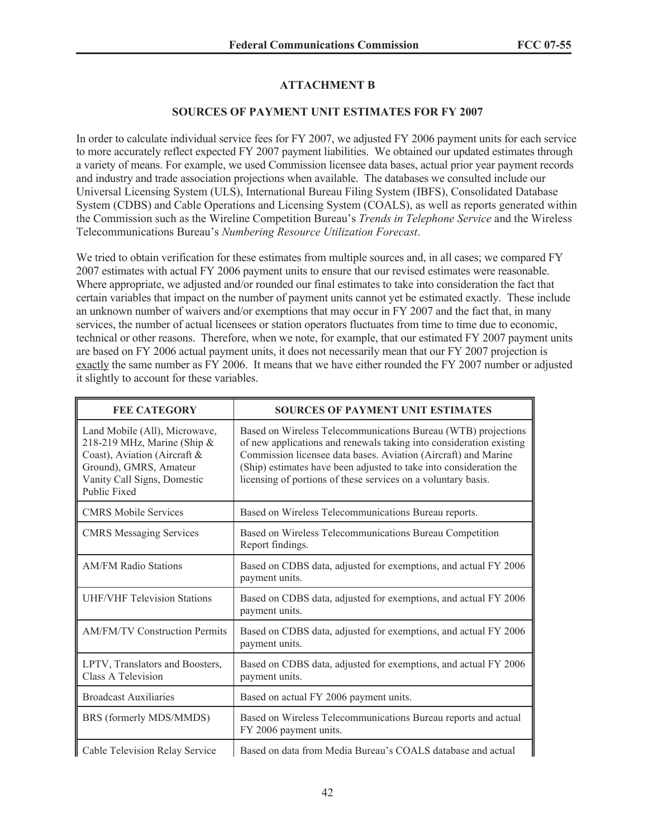## **ATTACHMENT B**

#### **SOURCES OF PAYMENT UNIT ESTIMATES FOR FY 2007**

In order to calculate individual service fees for FY 2007, we adjusted FY 2006 payment units for each service to more accurately reflect expected FY 2007 payment liabilities. We obtained our updated estimates through a variety of means. For example, we used Commission licensee data bases, actual prior year payment records and industry and trade association projections when available. The databases we consulted include our Universal Licensing System (ULS), International Bureau Filing System (IBFS), Consolidated Database System (CDBS) and Cable Operations and Licensing System (COALS), as well as reports generated within the Commission such as the Wireline Competition Bureau's *Trends in Telephone Service* and the Wireless Telecommunications Bureau's *Numbering Resource Utilization Forecast*.

We tried to obtain verification for these estimates from multiple sources and, in all cases; we compared FY 2007 estimates with actual FY 2006 payment units to ensure that our revised estimates were reasonable. Where appropriate, we adjusted and/or rounded our final estimates to take into consideration the fact that certain variables that impact on the number of payment units cannot yet be estimated exactly. These include an unknown number of waivers and/or exemptions that may occur in FY 2007 and the fact that, in many services, the number of actual licensees or station operators fluctuates from time to time due to economic, technical or other reasons. Therefore, when we note, for example, that our estimated FY 2007 payment units are based on FY 2006 actual payment units, it does not necessarily mean that our FY 2007 projection is exactly the same number as FY 2006. It means that we have either rounded the FY 2007 number or adjusted it slightly to account for these variables.

| <b>FEE CATEGORY</b>                                                                                                                                                          | <b>SOURCES OF PAYMENT UNIT ESTIMATES</b>                                                                                                                                                                                                                                                                                                      |
|------------------------------------------------------------------------------------------------------------------------------------------------------------------------------|-----------------------------------------------------------------------------------------------------------------------------------------------------------------------------------------------------------------------------------------------------------------------------------------------------------------------------------------------|
| Land Mobile (All), Microwave,<br>218-219 MHz, Marine (Ship &<br>Coast), Aviation (Aircraft &<br>Ground), GMRS, Amateur<br>Vanity Call Signs, Domestic<br><b>Public Fixed</b> | Based on Wireless Telecommunications Bureau (WTB) projections<br>of new applications and renewals taking into consideration existing<br>Commission licensee data bases. Aviation (Aircraft) and Marine<br>(Ship) estimates have been adjusted to take into consideration the<br>licensing of portions of these services on a voluntary basis. |
| <b>CMRS Mobile Services</b>                                                                                                                                                  | Based on Wireless Telecommunications Bureau reports.                                                                                                                                                                                                                                                                                          |
| <b>CMRS</b> Messaging Services                                                                                                                                               | Based on Wireless Telecommunications Bureau Competition<br>Report findings.                                                                                                                                                                                                                                                                   |
| <b>AM/FM Radio Stations</b>                                                                                                                                                  | Based on CDBS data, adjusted for exemptions, and actual FY 2006<br>payment units.                                                                                                                                                                                                                                                             |
| <b>UHF/VHF Television Stations</b>                                                                                                                                           | Based on CDBS data, adjusted for exemptions, and actual FY 2006<br>payment units.                                                                                                                                                                                                                                                             |
| <b>AM/FM/TV Construction Permits</b>                                                                                                                                         | Based on CDBS data, adjusted for exemptions, and actual FY 2006<br>payment units.                                                                                                                                                                                                                                                             |
| LPTV, Translators and Boosters,<br>Class A Television                                                                                                                        | Based on CDBS data, adjusted for exemptions, and actual FY 2006<br>payment units.                                                                                                                                                                                                                                                             |
| <b>Broadcast Auxiliaries</b>                                                                                                                                                 | Based on actual FY 2006 payment units.                                                                                                                                                                                                                                                                                                        |
| BRS (formerly MDS/MMDS)                                                                                                                                                      | Based on Wireless Telecommunications Bureau reports and actual<br>FY 2006 payment units.                                                                                                                                                                                                                                                      |
| Cable Television Relay Service                                                                                                                                               | Based on data from Media Bureau's COALS database and actual                                                                                                                                                                                                                                                                                   |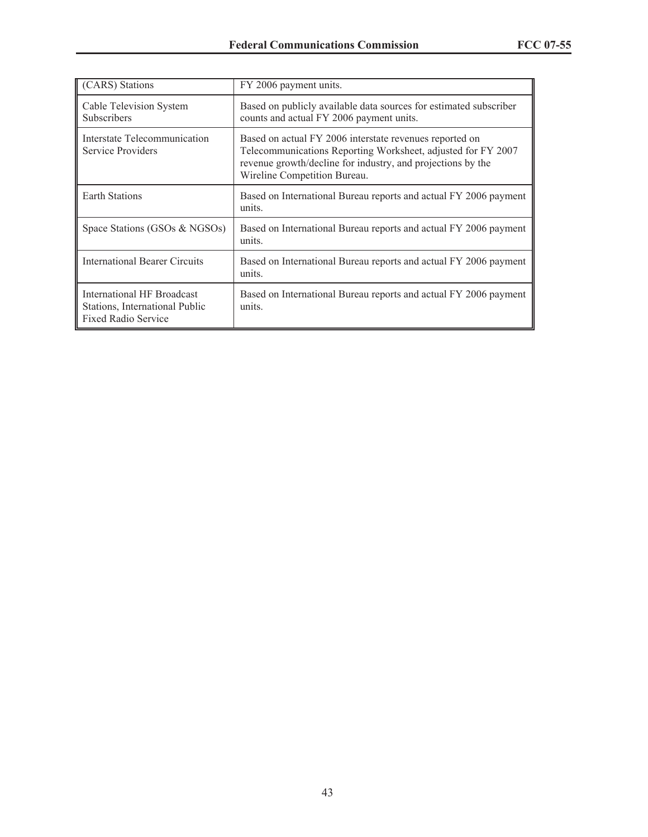| (CARS) Stations                                                                            | FY 2006 payment units.                                                                                                                                                                                                 |
|--------------------------------------------------------------------------------------------|------------------------------------------------------------------------------------------------------------------------------------------------------------------------------------------------------------------------|
| Cable Television System<br><b>Subscribers</b>                                              | Based on publicly available data sources for estimated subscriber<br>counts and actual FY 2006 payment units.                                                                                                          |
| Interstate Telecommunication<br>Service Providers                                          | Based on actual FY 2006 interstate revenues reported on<br>Telecommunications Reporting Worksheet, adjusted for FY 2007<br>revenue growth/decline for industry, and projections by the<br>Wireline Competition Bureau. |
| <b>Earth Stations</b>                                                                      | Based on International Bureau reports and actual FY 2006 payment<br>units.                                                                                                                                             |
| Space Stations (GSOs & NGSOs)                                                              | Based on International Bureau reports and actual FY 2006 payment<br>units.                                                                                                                                             |
| <b>International Bearer Circuits</b>                                                       | Based on International Bureau reports and actual FY 2006 payment<br>units.                                                                                                                                             |
| International HF Broadcast<br>Stations, International Public<br><b>Fixed Radio Service</b> | Based on International Bureau reports and actual FY 2006 payment<br>units.                                                                                                                                             |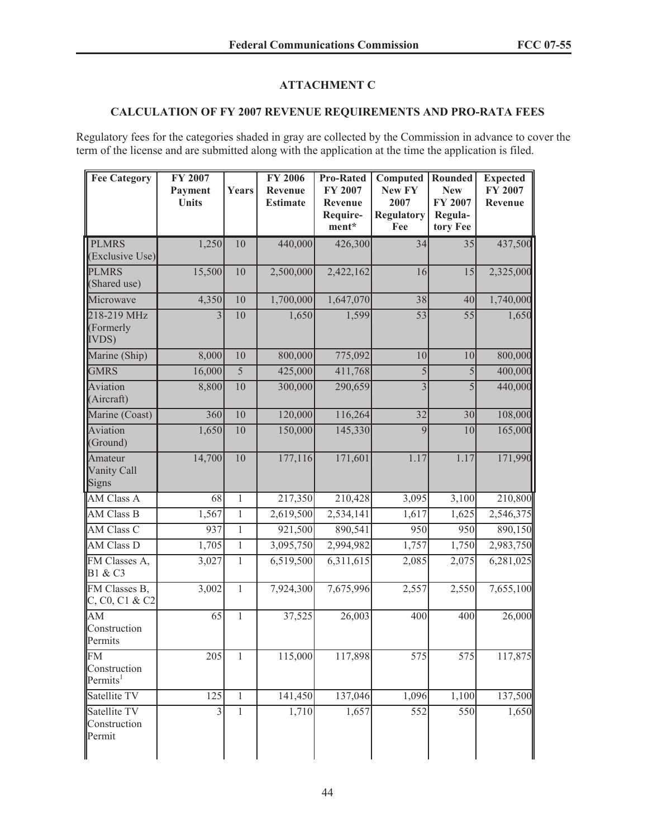## **ATTACHMENT C**

# **CALCULATION OF FY 2007 REVENUE REQUIREMENTS AND PRO-RATA FEES**

Regulatory fees for the categories shaded in gray are collected by the Commission in advance to cover the term of the license and are submitted along with the application at the time the application is filed.

| <b>Fee Category</b>                               | FY 2007<br>Payment<br><b>Units</b> | <b>Years</b>   | FY 2006<br>Revenue<br><b>Estimate</b> | <b>Pro-Rated</b><br><b>FY 2007</b><br>Revenue<br>Require-<br>ment* | Computed<br>New FY<br>2007<br><b>Regulatory</b><br>Fee | Rounded<br><b>New</b><br>FY 2007<br>Regula-<br>tory Fee | <b>Expected</b><br>FY 2007<br>Revenue |
|---------------------------------------------------|------------------------------------|----------------|---------------------------------------|--------------------------------------------------------------------|--------------------------------------------------------|---------------------------------------------------------|---------------------------------------|
| <b>PLMRS</b><br>(Exclusive Use)                   | 1,250                              | 10             | 440,000                               | 426,300                                                            | 34                                                     | 35                                                      | 437,500                               |
| <b>PLMRS</b><br>(Shared use)                      | 15,500                             | 10             | 2,500,000                             | 2,422,162                                                          | 16                                                     | 15                                                      | 2,325,000                             |
| Microwave                                         | 4,350                              | 10             | 1,700,000                             | 1,647,070                                                          | 38                                                     | 40                                                      | 1,740,000                             |
| 218-219 MHz<br>(Formerly<br><b>IVDS</b> )         | $\overline{3}$                     | 10             | 1,650                                 | 1,599                                                              | $\overline{53}$                                        | 55                                                      | 1,650                                 |
| Marine (Ship)                                     | 8,000                              | 10             | 800,000                               | 775,092                                                            | 10                                                     | 10                                                      | 800,000                               |
| <b>GMRS</b>                                       | 16,000                             | $\overline{5}$ | 425,000                               | 411,768                                                            | 5                                                      | $\overline{5}$                                          | 400,000                               |
| Aviation<br>(Aircraft)                            | 8,800                              | $10\,$         | 300,000                               | 290,659                                                            | $\overline{3}$                                         | 5                                                       | 440,000                               |
| Marine (Coast)                                    | 360                                | 10             | 120,000                               | 116,264                                                            | 32                                                     | 30                                                      | 108,000                               |
| Aviation<br>(Ground)                              | 1,650                              | 10             | 150,000                               | 145,330                                                            | $\overline{9}$                                         | 10                                                      | 165,000                               |
| Amateur<br>Vanity Call<br><b>Signs</b>            | 14,700                             | 10             | 177,116                               | 171,601                                                            | 1.17                                                   | 1.17                                                    | 171,990                               |
| <b>AM Class A</b>                                 | 68                                 | $\mathbf{1}$   | 217,350                               | 210,428                                                            | 3,095                                                  | 3,100                                                   | 210,800                               |
| <b>AM Class B</b>                                 | 1,567                              | $\mathbf{1}$   | 2,619,500                             | 2,534,141                                                          | 1,617                                                  | 1,625                                                   | 2,546,375                             |
| <b>AM Class C</b>                                 | 937                                | $\mathbf{1}$   | 921,500                               | 890,541                                                            | 950                                                    | 950                                                     | 890,150                               |
| AM Class D                                        | 1,705                              | $\overline{1}$ | 3,095,750                             | 2,994,982                                                          | 1,757                                                  | 1,750                                                   | 2,983,750                             |
| FM Classes A,<br>B1 & C3                          | 3,027                              | $\mathbf{1}$   | 6,519,500                             | 6,311,615                                                          | 2,085                                                  | 2,075                                                   | 6,281,025                             |
| FM Classes B,<br>C, C0, C1 & C2                   | 3,002                              | $\mathbf{1}$   | 7,924,300                             | 7,675,996                                                          | 2,557                                                  | 2,550                                                   | 7,655,100                             |
| AM<br>Construction<br>Permits                     | 65                                 | $\mathbf{1}$   | 37,525                                | 26,003                                                             | 400                                                    | 400                                                     | 26,000                                |
| <b>FM</b><br>Construction<br>Permits <sup>1</sup> | 205                                | $\mathbf{1}$   | 115,000                               | 117,898                                                            | 575                                                    | 575                                                     | 117,875                               |
| Satellite TV                                      | 125                                | $\mathbf{1}$   | 141,450                               | 137,046                                                            | 1,096                                                  | 1,100                                                   | 137,500                               |
| Satellite TV<br>Construction<br>Permit            | $\overline{\mathbf{3}}$            | $\mathbf{1}$   | 1,710                                 | 1,657                                                              | 552                                                    | 550                                                     | 1,650                                 |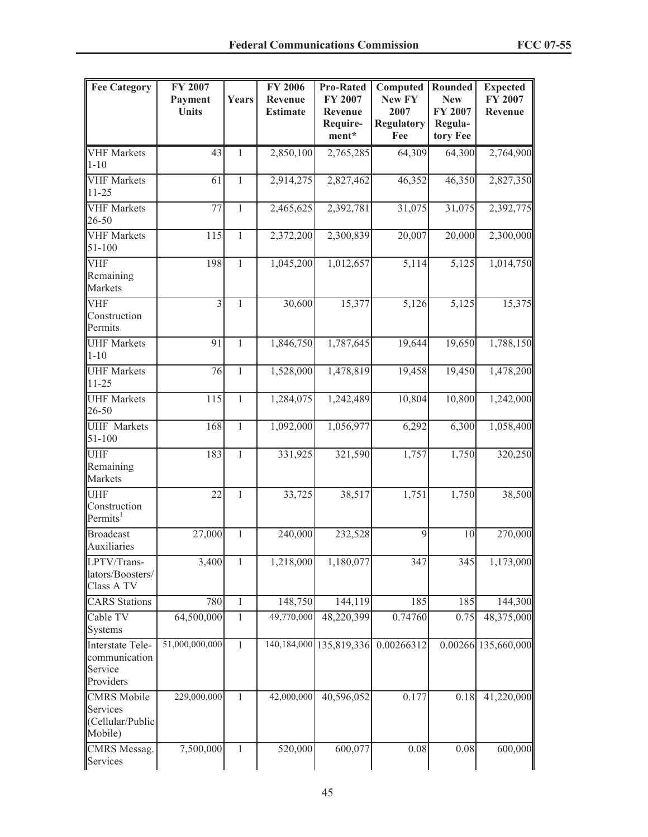| <b>Fee Category</b>                                           | FY 2007<br>Payment<br><b>Units</b> | <b>Years</b>   | FY 2006<br>Revenue<br><b>Estimate</b> | <b>Pro-Rated</b><br>FY 2007<br>Revenue | Computed<br>New FY<br>2007 | Rounded<br><b>New</b><br>FY 2007 | <b>Expected</b><br>FY 2007<br>Revenue |
|---------------------------------------------------------------|------------------------------------|----------------|---------------------------------------|----------------------------------------|----------------------------|----------------------------------|---------------------------------------|
|                                                               |                                    |                |                                       | Require-<br>ment*                      | <b>Regulatory</b><br>Fee   | Regula-<br>tory Fee              |                                       |
| <b>VHF</b> Markets<br>$1 - 10$                                | 43                                 | 1              | 2,850,100                             | 2,765,285                              | 64,309                     | 64,300                           | 2,764,900                             |
| <b>VHF</b> Markets<br>$11 - 25$                               | 61                                 | $\mathbf{1}$   | 2,914,275                             | 2,827,462                              | 46,352                     | 46,350                           | 2,827,350                             |
| <b>VHF</b> Markets<br>26-50                                   | 77                                 | $\overline{1}$ | 2,465,625                             | 2,392,781                              | 31,075                     | 31,075                           | 2,392,775                             |
| <b>VHF</b> Markets<br>51-100                                  | 115                                | $\mathbf{1}$   | 2,372,200                             | 2,300,839                              | 20,007                     | 20,000                           | 2,300,000                             |
| <b>VHF</b><br>Remaining<br>Markets                            | 198                                | $\mathbf{1}$   | 1,045,200                             | 1,012,657                              | 5,114                      | $\overline{5,125}$               | 1,014,750                             |
| <b>VHF</b><br>Construction<br>Permits                         | $\overline{3}$                     | $\mathbf{1}$   | 30,600                                | 15,377                                 | 5,126                      | 5,125                            | 15,375                                |
| <b>UHF Markets</b><br>$1 - 10$                                | 91                                 | 1              | 1,846,750                             | 1,787,645                              | 19,644                     | 19,650                           | 1,788,150                             |
| <b>UHF Markets</b><br>$11 - 25$                               | 76                                 | $\mathbf{1}$   | 1,528,000                             | 1,478,819                              | 19,458                     | 19,450                           | 1,478,200                             |
| <b>UHF Markets</b><br>26-50                                   | 115                                | $\overline{1}$ | 1,284,075                             | 1,242,489                              | 10,804                     | 10,800                           | 1,242,000                             |
| <b>UHF</b> Markets<br>$51 - 100$                              | 168                                | $\mathbf{1}$   | 1,092,000                             | 1,056,977                              | 6,292                      | 6,300                            | 1,058,400                             |
| <b>UHF</b><br>Remaining<br>Markets                            | 183                                | $\mathbf{1}$   | 331,925                               | 321,590                                | 1,757                      | 1,750                            | 320,250                               |
| <b>UHF</b><br>Construction<br>Permits <sup>1</sup>            | $\overline{22}$                    | $\mathbf{1}$   | 33,725                                | 38,517                                 | 1,751                      | 1,750                            | 38,500                                |
| <b>Broadcast</b><br>Auxiliaries                               | 27,000                             | 1              | 240,000                               | 232,528                                | 9                          | 10                               | 270,000                               |
| LPTV/Trans-<br>lators/Boosters/<br>Class A TV                 | $\frac{1}{3,400}$                  | $\mathbf{1}$   | 1,218,000                             | 1,180,077                              | 347                        | 345                              | 1,173,000                             |
| <b>CARS</b> Stations                                          | 780                                | $\,1$          | 148,750                               | 144,119                                | 185                        | 185                              | 144,300                               |
| Cable TV<br><b>Systems</b>                                    | 64,500,000                         | $\mathbf{1}$   | 49,770,000                            | 48,220,399                             | 0.74760                    | 0.75                             | 48,375,000                            |
| Interstate Tele-<br>communication<br>Service<br>Providers     | 51,000,000,000                     | $\mathbf{1}$   |                                       | 140, 184, 000 135, 819, 336            | 0.00266312                 |                                  | 0.00266 135,660,000                   |
| <b>CMRS</b> Mobile<br>Services<br>(Cellular/Public<br>Mobile) | 229,000,000                        | $\mathbf{1}$   | 42,000,000                            | 40,596,052                             | 0.177                      | 0.18                             | 41,220,000                            |
| <b>CMRS</b> Messag.<br>Services                               | 7,500,000                          | 1              | 520,000                               | 600,077                                | 0.08                       | 0.08                             | 600,000                               |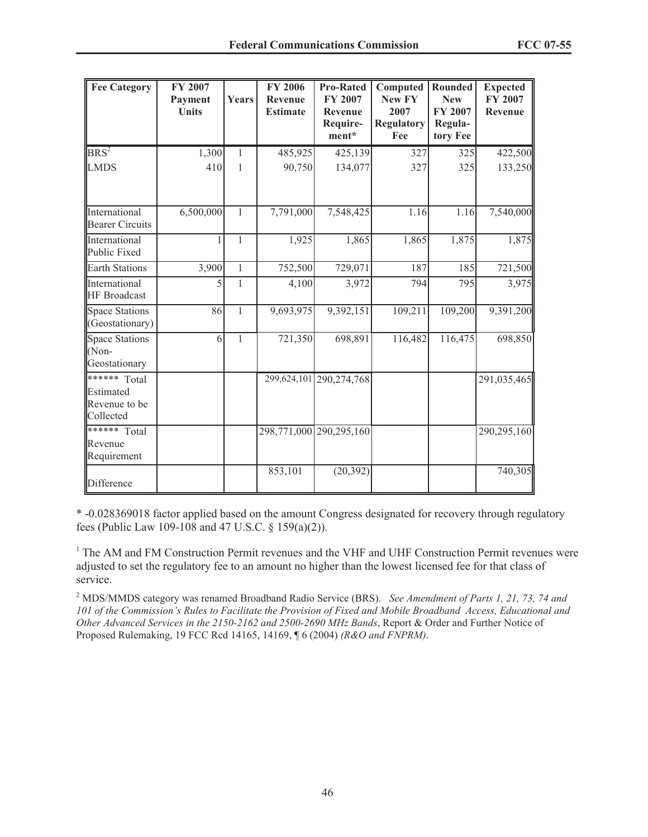| <b>Fee Category</b>                                     | <b>FY 2007</b><br>Payment<br><b>Units</b> | Years        | <b>FY 2006</b><br>Revenue<br><b>Estimate</b> | <b>Pro-Rated</b><br>FY 2007<br>Revenue<br>Require-<br>ment* | Computed<br><b>New FY</b><br>2007<br><b>Regulatory</b><br>Fee | Rounded<br><b>New</b><br><b>FY 2007</b><br>Regula-<br>tory Fee | <b>Expected</b><br><b>FY 2007</b><br>Revenue |
|---------------------------------------------------------|-------------------------------------------|--------------|----------------------------------------------|-------------------------------------------------------------|---------------------------------------------------------------|----------------------------------------------------------------|----------------------------------------------|
| $BRS^2$                                                 | 1,300                                     | 1            | 485,925                                      | 425,139                                                     | 327                                                           | 325                                                            | 422,500                                      |
| <b>LMDS</b>                                             | 410                                       | $\mathbf{1}$ | 90,750                                       | 134,077                                                     | 327                                                           | 325                                                            | 133,250                                      |
| International<br><b>Bearer Circuits</b>                 | 6,500,000                                 | $\mathbf{1}$ | 7,791,000                                    | 7,548,425                                                   | 1.16                                                          | 1.16                                                           | 7,540,000                                    |
| International<br>Public Fixed                           |                                           | $\mathbf{1}$ | 1,925                                        | 1,865                                                       | 1,865                                                         | 1,875                                                          | 1,875                                        |
| <b>Earth Stations</b>                                   | 3,900                                     | $\mathbf{1}$ | 752,500                                      | 729,071                                                     | 187                                                           | 185                                                            | 721,500                                      |
| International<br><b>HF</b> Broadcast                    | 5                                         | 1            | 4,100                                        | 3,972                                                       | 794                                                           | 795                                                            | 3,975                                        |
| <b>Space Stations</b><br>(Geostationary)                | 86                                        | $\mathbf{1}$ | 9,693,975                                    | 9,392,151                                                   | 109,211                                                       | 109,200                                                        | 9,391,200                                    |
| Space Stations<br>$(Non-$<br>Geostationary              | 6                                         | $\mathbf{1}$ | 721,350                                      | 698,891                                                     | 116,482                                                       | 116,475                                                        | 698,850                                      |
| ****** Total<br>Estimated<br>Revenue to be<br>Collected |                                           |              |                                              | 299,624,101 290,274,768                                     |                                                               |                                                                | 291,035,465                                  |
| ****** Total<br>Revenue<br>Requirement                  |                                           |              |                                              | 298,771,000 290,295,160                                     |                                                               |                                                                | 290,295,160                                  |
| Difference                                              |                                           |              | 853,101                                      | (20, 392)                                                   |                                                               |                                                                | 740,305                                      |

\* -0.028369018 factor applied based on the amount Congress designated for recovery through regulatory fees (Public Law 109-108 and 47 U.S.C. § 159(a)(2)).

<sup>1</sup> The AM and FM Construction Permit revenues and the VHF and UHF Construction Permit revenues were adjusted to set the regulatory fee to an amount no higher than the lowest licensed fee for that class of service.

<sup>2</sup> MDS/MMDS category was renamed Broadband Radio Service (BRS). *See Amendment of Parts 1, 21, 73, 74 and 101 of the Commission's Rules to Facilitate the Provision of Fixed and Mobile Broadband Access, Educational and Other Advanced Services in the 2150-2162 and 2500-2690 MHz Bands*, Report & Order and Further Notice of Proposed Rulemaking, 19 FCC Rcd 14165, 14169, ¶ 6 (2004) *(R&O and FNPRM)*.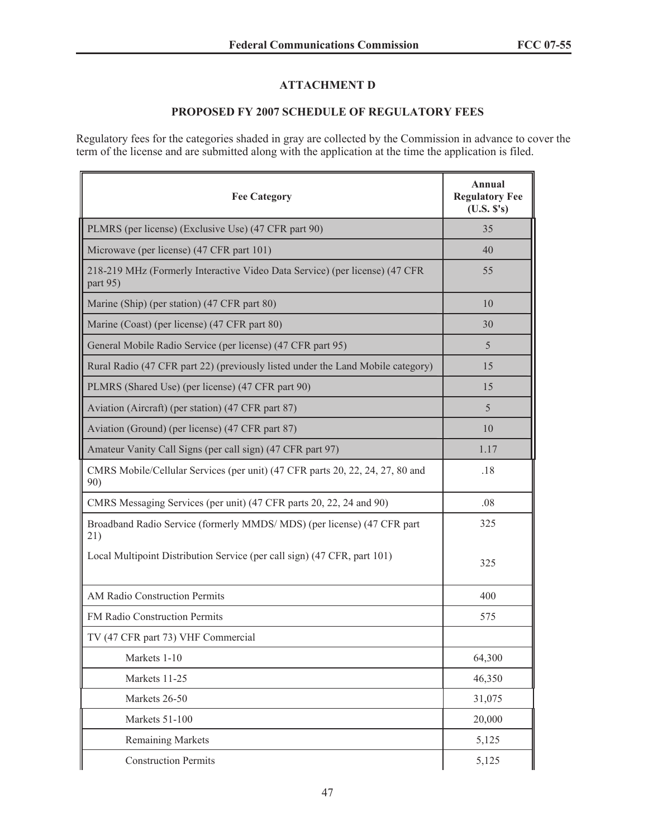## **ATTACHMENT D**

# **PROPOSED FY 2007 SCHEDULE OF REGULATORY FEES**

Regulatory fees for the categories shaded in gray are collected by the Commission in advance to cover the term of the license and are submitted along with the application at the time the application is filed.

| <b>Fee Category</b>                                                                     | Annual<br><b>Regulatory Fee</b><br>(U.S. S's) |
|-----------------------------------------------------------------------------------------|-----------------------------------------------|
| PLMRS (per license) (Exclusive Use) (47 CFR part 90)                                    | 35                                            |
| Microwave (per license) (47 CFR part 101)                                               | 40                                            |
| 218-219 MHz (Formerly Interactive Video Data Service) (per license) (47 CFR<br>part 95) | 55                                            |
| Marine (Ship) (per station) (47 CFR part 80)                                            | 10                                            |
| Marine (Coast) (per license) (47 CFR part 80)                                           | 30                                            |
| General Mobile Radio Service (per license) (47 CFR part 95)                             | 5                                             |
| Rural Radio (47 CFR part 22) (previously listed under the Land Mobile category)         | 15                                            |
| PLMRS (Shared Use) (per license) (47 CFR part 90)                                       | 15                                            |
| Aviation (Aircraft) (per station) (47 CFR part 87)                                      | 5                                             |
| Aviation (Ground) (per license) (47 CFR part 87)                                        | 10                                            |
| Amateur Vanity Call Signs (per call sign) (47 CFR part 97)                              | 1.17                                          |
| CMRS Mobile/Cellular Services (per unit) (47 CFR parts 20, 22, 24, 27, 80 and<br>90)    | .18                                           |
| CMRS Messaging Services (per unit) (47 CFR parts 20, 22, 24 and 90)                     | .08                                           |
| Broadband Radio Service (formerly MMDS/MDS) (per license) (47 CFR part<br>21)           | 325                                           |
| Local Multipoint Distribution Service (per call sign) (47 CFR, part 101)                | 325                                           |
| AM Radio Construction Permits                                                           | 400                                           |
| FM Radio Construction Permits                                                           | 575                                           |
| TV (47 CFR part 73) VHF Commercial                                                      |                                               |
| Markets 1-10                                                                            | 64,300                                        |
| Markets 11-25                                                                           | 46,350                                        |
| Markets 26-50                                                                           | 31,075                                        |
| Markets 51-100                                                                          | 20,000                                        |
| <b>Remaining Markets</b>                                                                | 5,125                                         |
| <b>Construction Permits</b>                                                             | 5,125                                         |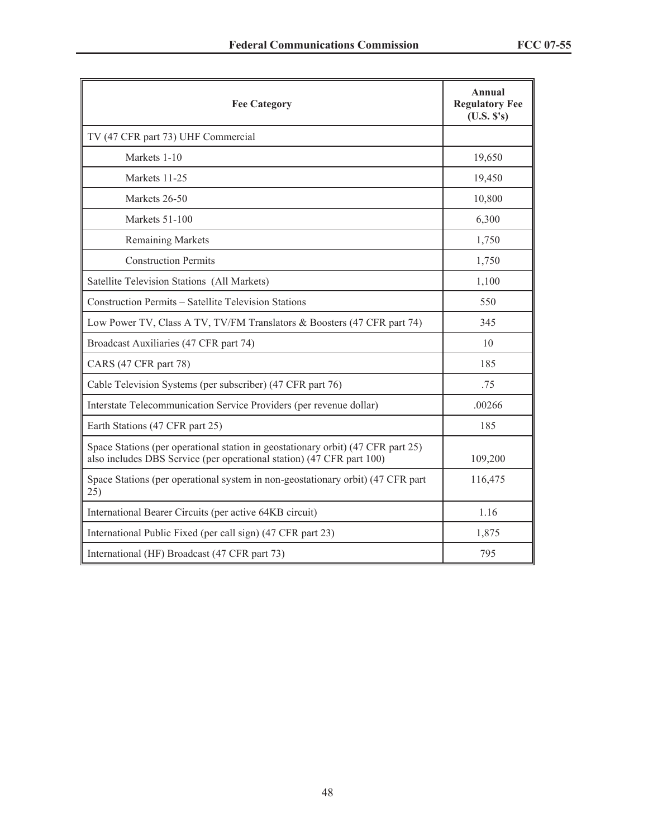| <b>Fee Category</b>                                                                                                                                       | Annual<br><b>Regulatory Fee</b><br>(U.S. S's) |
|-----------------------------------------------------------------------------------------------------------------------------------------------------------|-----------------------------------------------|
| TV (47 CFR part 73) UHF Commercial                                                                                                                        |                                               |
| Markets 1-10                                                                                                                                              | 19,650                                        |
| Markets 11-25                                                                                                                                             | 19,450                                        |
| Markets 26-50                                                                                                                                             | 10,800                                        |
| Markets 51-100                                                                                                                                            | 6,300                                         |
| <b>Remaining Markets</b>                                                                                                                                  | 1,750                                         |
| <b>Construction Permits</b>                                                                                                                               | 1,750                                         |
| Satellite Television Stations (All Markets)                                                                                                               | 1,100                                         |
| Construction Permits - Satellite Television Stations                                                                                                      | 550                                           |
| Low Power TV, Class A TV, TV/FM Translators & Boosters (47 CFR part 74)                                                                                   | 345                                           |
| Broadcast Auxiliaries (47 CFR part 74)                                                                                                                    | 10                                            |
| CARS (47 CFR part 78)                                                                                                                                     | 185                                           |
| Cable Television Systems (per subscriber) (47 CFR part 76)                                                                                                | .75                                           |
| Interstate Telecommunication Service Providers (per revenue dollar)                                                                                       | .00266                                        |
| Earth Stations (47 CFR part 25)                                                                                                                           | 185                                           |
| Space Stations (per operational station in geostationary orbit) (47 CFR part 25)<br>also includes DBS Service (per operational station) (47 CFR part 100) | 109,200                                       |
| Space Stations (per operational system in non-geostationary orbit) (47 CFR part<br>25)                                                                    | 116,475                                       |
| International Bearer Circuits (per active 64KB circuit)                                                                                                   | 1.16                                          |
| International Public Fixed (per call sign) (47 CFR part 23)                                                                                               | 1,875                                         |
| International (HF) Broadcast (47 CFR part 73)                                                                                                             | 795                                           |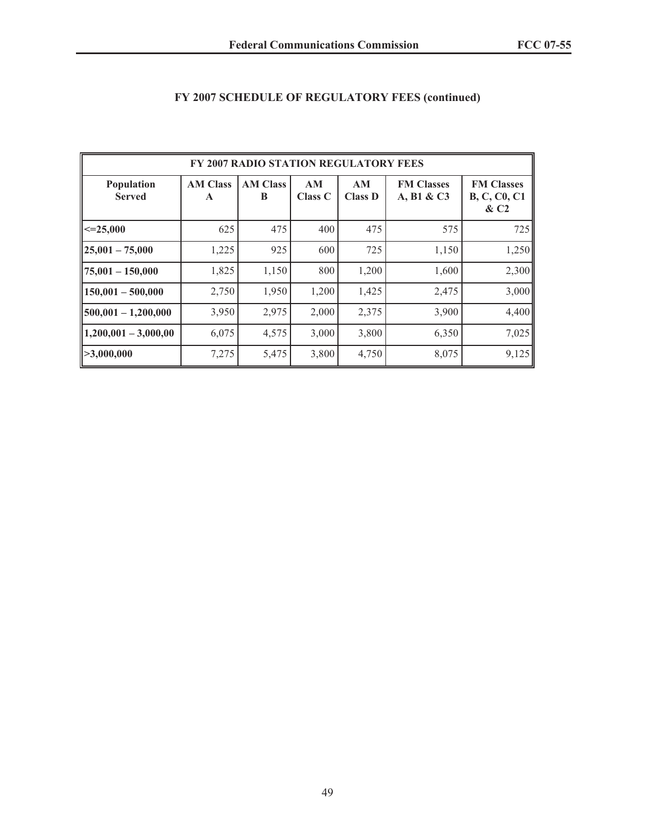| FY 2007 RADIO STATION REGULATORY FEES |                      |                      |                      |                      |                                 |                                                    |  |  |  |
|---------------------------------------|----------------------|----------------------|----------------------|----------------------|---------------------------------|----------------------------------------------------|--|--|--|
| <b>Population</b><br><b>Served</b>    | <b>AM Class</b><br>A | <b>AM Class</b><br>B | AM<br><b>Class C</b> | AM<br><b>Class D</b> | <b>FM Classes</b><br>A, B1 & C3 | <b>FM Classes</b><br><b>B, C, C0, C1</b><br>$\&C2$ |  |  |  |
| $\mid <=25,000$                       | 625                  | 475                  | 400                  | 475                  | 575                             | 725                                                |  |  |  |
| $\mid$ 25,001 - 75,000                | 1,225                | 925                  | 600                  | 725                  | 1,150                           | 1,250                                              |  |  |  |
| $\parallel$ 75,001 - 150,000          | 1,825                | 1,150                | 800                  | 1,200                | 1,600                           | 2,300                                              |  |  |  |
| $150,001 - 500,000$                   | 2,750                | 1,950                | 1,200                | 1,425                | 2,475                           | 3,000                                              |  |  |  |
| $\parallel$ 500,001 - 1,200,000       | 3,950                | 2,975                | 2,000                | 2,375                | 3,900                           | 4,400                                              |  |  |  |
| $\parallel$ 1,200,001 - 3,000,00      | 6,075                | 4,575                | 3,000                | 3,800                | 6,350                           | 7,025                                              |  |  |  |
| $\mid$ >3,000,000                     | 7,275                | 5,475                | 3,800                | 4,750                | 8,075                           | 9,125                                              |  |  |  |

# **FY 2007 SCHEDULE OF REGULATORY FEES (continued)**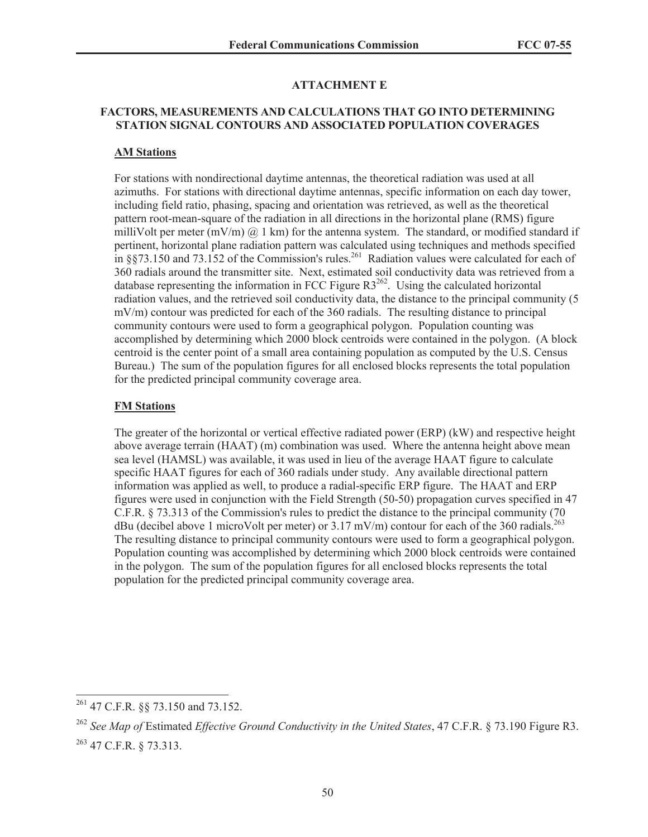#### **ATTACHMENT E**

### **FACTORS, MEASUREMENTS AND CALCULATIONS THAT GO INTO DETERMINING STATION SIGNAL CONTOURS AND ASSOCIATED POPULATION COVERAGES**

#### **AM Stations**

For stations with nondirectional daytime antennas, the theoretical radiation was used at all azimuths. For stations with directional daytime antennas, specific information on each day tower, including field ratio, phasing, spacing and orientation was retrieved, as well as the theoretical pattern root-mean-square of the radiation in all directions in the horizontal plane (RMS) figure milliVolt per meter  $(mV/m)$  @ 1 km) for the antenna system. The standard, or modified standard if pertinent, horizontal plane radiation pattern was calculated using techniques and methods specified in  $8873.150$  and  $73.152$  of the Commission's rules.<sup>261</sup> Radiation values were calculated for each of 360 radials around the transmitter site. Next, estimated soil conductivity data was retrieved from a database representing the information in FCC Figure  $R3^{262}$ . Using the calculated horizontal radiation values, and the retrieved soil conductivity data, the distance to the principal community (5 mV/m) contour was predicted for each of the 360 radials. The resulting distance to principal community contours were used to form a geographical polygon. Population counting was accomplished by determining which 2000 block centroids were contained in the polygon. (A block centroid is the center point of a small area containing population as computed by the U.S. Census Bureau.) The sum of the population figures for all enclosed blocks represents the total population for the predicted principal community coverage area.

#### **FM Stations**

The greater of the horizontal or vertical effective radiated power (ERP) (kW) and respective height above average terrain (HAAT) (m) combination was used. Where the antenna height above mean sea level (HAMSL) was available, it was used in lieu of the average HAAT figure to calculate specific HAAT figures for each of 360 radials under study. Any available directional pattern information was applied as well, to produce a radial-specific ERP figure. The HAAT and ERP figures were used in conjunction with the Field Strength (50-50) propagation curves specified in 47 C.F.R. § 73.313 of the Commission's rules to predict the distance to the principal community (70 dBu (decibel above 1 microVolt per meter) or  $3.17$  mV/m) contour for each of the 360 radials.<sup>263</sup> The resulting distance to principal community contours were used to form a geographical polygon. Population counting was accomplished by determining which 2000 block centroids were contained in the polygon. The sum of the population figures for all enclosed blocks represents the total population for the predicted principal community coverage area.

<sup>261</sup> 47 C.F.R. §§ 73.150 and 73.152.

<sup>262</sup> *See Map of* Estimated *Effective Ground Conductivity in the United States*, 47 C.F.R. § 73.190 Figure R3. <sup>263</sup> 47 C.F.R. § 73.313.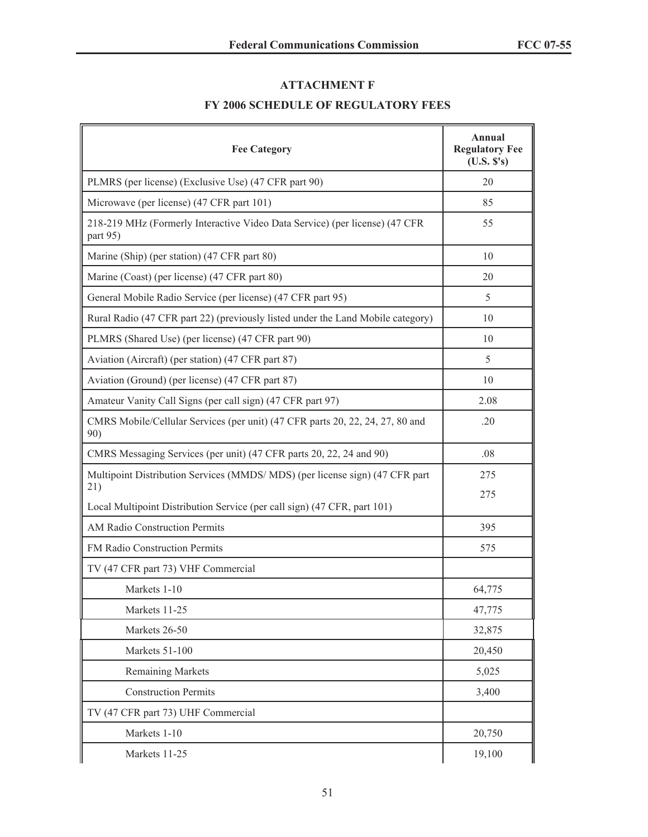## **ATTACHMENT F**

# **FY 2006 SCHEDULE OF REGULATORY FEES**

| <b>Fee Category</b>                                                                     | Annual<br><b>Regulatory Fee</b><br>(U.S. S's) |
|-----------------------------------------------------------------------------------------|-----------------------------------------------|
| PLMRS (per license) (Exclusive Use) (47 CFR part 90)                                    | 20                                            |
| Microwave (per license) (47 CFR part 101)                                               | 85                                            |
| 218-219 MHz (Formerly Interactive Video Data Service) (per license) (47 CFR<br>part 95) | 55                                            |
| Marine (Ship) (per station) (47 CFR part 80)                                            | 10                                            |
| Marine (Coast) (per license) (47 CFR part 80)                                           | 20                                            |
| General Mobile Radio Service (per license) (47 CFR part 95)                             | 5                                             |
| Rural Radio (47 CFR part 22) (previously listed under the Land Mobile category)         | 10                                            |
| PLMRS (Shared Use) (per license) (47 CFR part 90)                                       | 10                                            |
| Aviation (Aircraft) (per station) (47 CFR part 87)                                      | 5                                             |
| Aviation (Ground) (per license) (47 CFR part 87)                                        | 10                                            |
| Amateur Vanity Call Signs (per call sign) (47 CFR part 97)                              | 2.08                                          |
| CMRS Mobile/Cellular Services (per unit) (47 CFR parts 20, 22, 24, 27, 80 and<br>90)    | .20                                           |
| CMRS Messaging Services (per unit) (47 CFR parts 20, 22, 24 and 90)                     | .08                                           |
| Multipoint Distribution Services (MMDS/MDS) (per license sign) (47 CFR part<br>21)      | 275<br>275                                    |
| Local Multipoint Distribution Service (per call sign) (47 CFR, part 101)                |                                               |
| <b>AM Radio Construction Permits</b>                                                    | 395                                           |
| FM Radio Construction Permits                                                           | 575                                           |
| TV (47 CFR part 73) VHF Commercial                                                      |                                               |
| Markets 1-10                                                                            | 64,775                                        |
| Markets 11-25                                                                           | 47,775                                        |
| Markets 26-50                                                                           | 32,875                                        |
| Markets 51-100                                                                          | 20,450                                        |
| <b>Remaining Markets</b>                                                                | 5,025                                         |
| <b>Construction Permits</b>                                                             | 3,400                                         |
| TV (47 CFR part 73) UHF Commercial                                                      |                                               |
| Markets 1-10                                                                            | 20,750                                        |
| Markets 11-25                                                                           | 19,100                                        |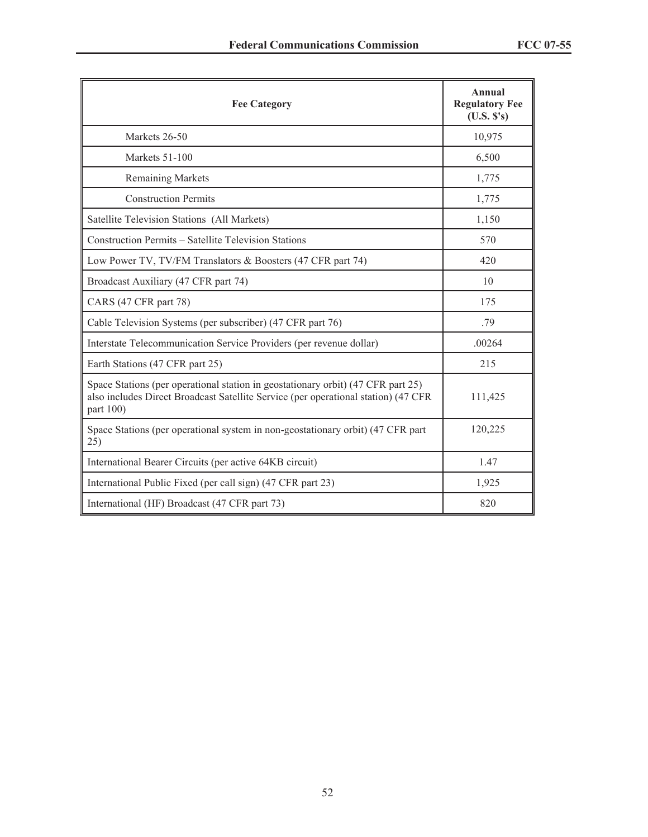| <b>Fee Category</b>                                                                                                                                                                 | Annual<br><b>Regulatory Fee</b><br>(U.S. S's) |
|-------------------------------------------------------------------------------------------------------------------------------------------------------------------------------------|-----------------------------------------------|
| Markets 26-50                                                                                                                                                                       | 10,975                                        |
| Markets 51-100                                                                                                                                                                      | 6,500                                         |
| <b>Remaining Markets</b>                                                                                                                                                            | 1,775                                         |
| <b>Construction Permits</b>                                                                                                                                                         | 1,775                                         |
| Satellite Television Stations (All Markets)                                                                                                                                         | 1,150                                         |
| Construction Permits - Satellite Television Stations                                                                                                                                | 570                                           |
| Low Power TV, TV/FM Translators & Boosters (47 CFR part 74)                                                                                                                         | 420                                           |
| Broadcast Auxiliary (47 CFR part 74)                                                                                                                                                | 10                                            |
| CARS (47 CFR part 78)                                                                                                                                                               | 175                                           |
| Cable Television Systems (per subscriber) (47 CFR part 76)                                                                                                                          | .79                                           |
| Interstate Telecommunication Service Providers (per revenue dollar)                                                                                                                 | .00264                                        |
| Earth Stations (47 CFR part 25)                                                                                                                                                     | 215                                           |
| Space Stations (per operational station in geostationary orbit) (47 CFR part 25)<br>also includes Direct Broadcast Satellite Service (per operational station) (47 CFR<br>part 100) | 111,425                                       |
| Space Stations (per operational system in non-geostationary orbit) (47 CFR part<br>25)                                                                                              | 120,225                                       |
| International Bearer Circuits (per active 64KB circuit)                                                                                                                             | 1.47                                          |
| International Public Fixed (per call sign) (47 CFR part 23)                                                                                                                         | 1,925                                         |
| International (HF) Broadcast (47 CFR part 73)                                                                                                                                       | 820                                           |